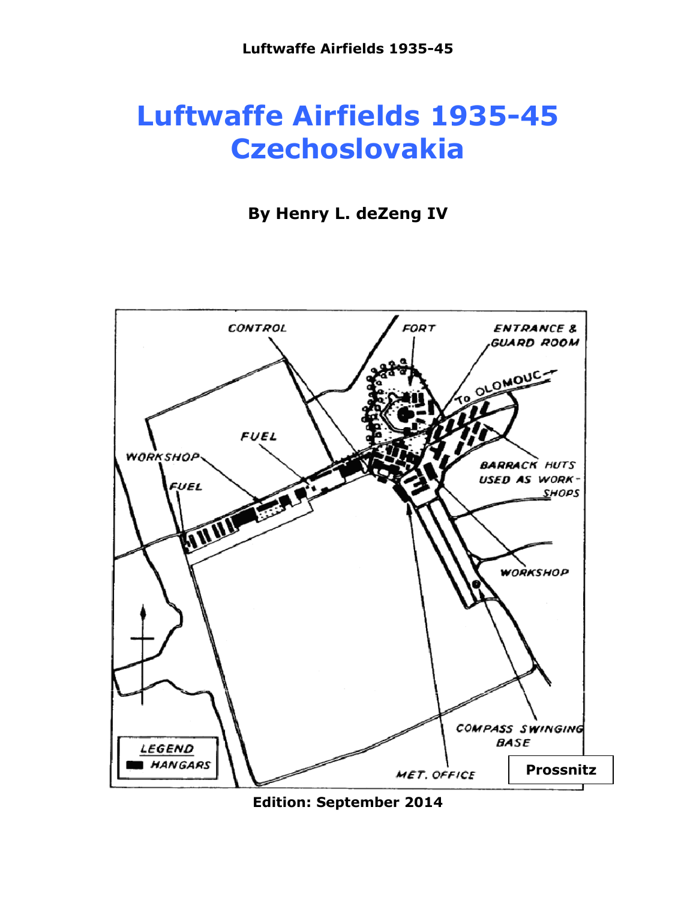# **Luftwaffe Airfields 1935-45 Czechoslovakia**

### **By Henry L. deZeng IV**



**Edition: September 2014**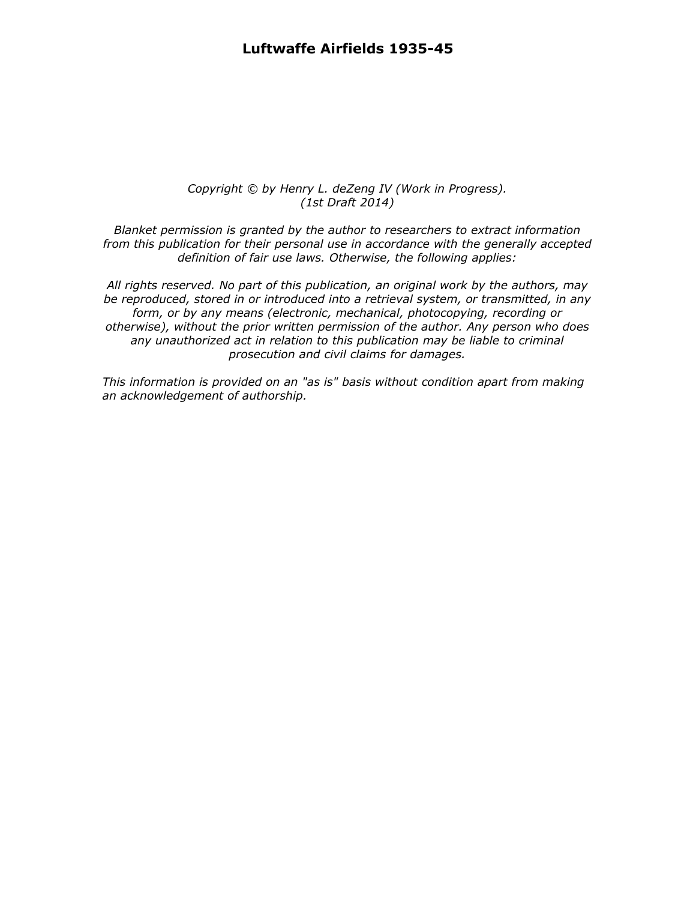#### *Copyright © by Henry L. deZeng IV (Work in Progress). (1st Draft 2014)*

*Blanket permission is granted by the author to researchers to extract information from this publication for their personal use in accordance with the generally accepted definition of fair use laws. Otherwise, the following applies:*

*All rights reserved. No part of this publication, an original work by the authors, may be reproduced, stored in or introduced into a retrieval system, or transmitted, in any form, or by any means (electronic, mechanical, photocopying, recording or otherwise), without the prior written permission of the author. Any person who does any unauthorized act in relation to this publication may be liable to criminal prosecution and civil claims for damages.*

*This information is provided on an "as is" basis without condition apart from making an acknowledgement of authorship.*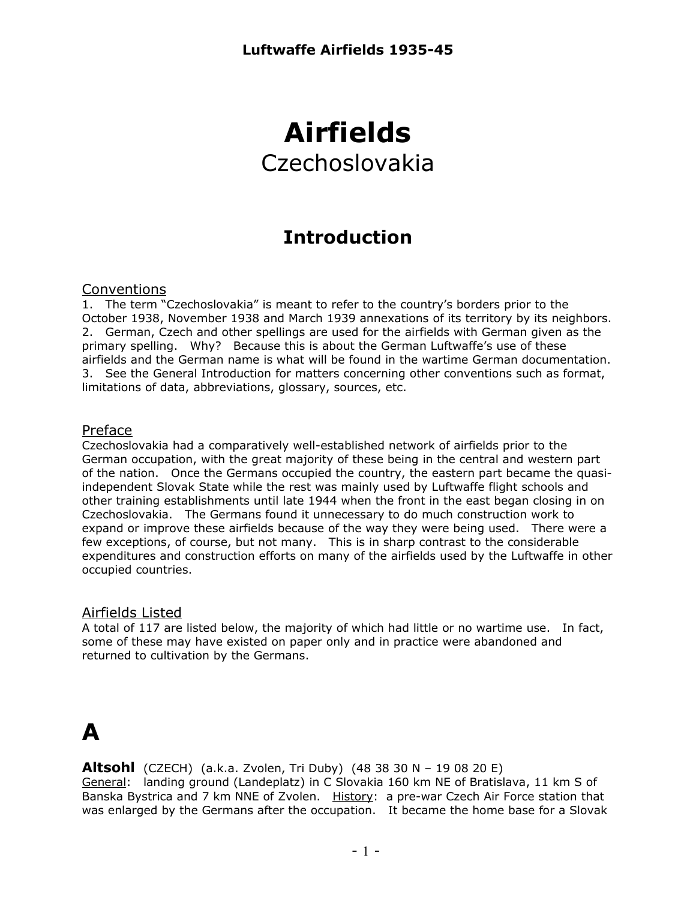## **Airfields** Czechoslovakia

### **Introduction**

#### Conventions

1. The term "Czechoslovakia" is meant to refer to the country's borders prior to the October 1938, November 1938 and March 1939 annexations of its territory by its neighbors. 2. German, Czech and other spellings are used for the airfields with German given as the primary spelling. Why? Because this is about the German Luftwaffe's use of these airfields and the German name is what will be found in the wartime German documentation. 3. See the General Introduction for matters concerning other conventions such as format, limitations of data, abbreviations, glossary, sources, etc.

#### Preface

Czechoslovakia had a comparatively well-established network of airfields prior to the German occupation, with the great majority of these being in the central and western part of the nation. Once the Germans occupied the country, the eastern part became the quasiindependent Slovak State while the rest was mainly used by Luftwaffe flight schools and other training establishments until late 1944 when the front in the east began closing in on Czechoslovakia. The Germans found it unnecessary to do much construction work to expand or improve these airfields because of the way they were being used. There were a few exceptions, of course, but not many. This is in sharp contrast to the considerable expenditures and construction efforts on many of the airfields used by the Luftwaffe in other occupied countries.

#### Airfields Listed

A total of 117 are listed below, the majority of which had little or no wartime use. In fact, some of these may have existed on paper only and in practice were abandoned and returned to cultivation by the Germans.

### **A**

**Altsohl** (CZECH) (a.k.a. Zvolen, Tri Duby) (48 38 30 N – 19 08 20 E) General: landing ground (Landeplatz) in C Slovakia 160 km NE of Bratislava, 11 km S of Banska Bystrica and 7 km NNE of Zvolen. History: a pre-war Czech Air Force station that was enlarged by the Germans after the occupation. It became the home base for a Slovak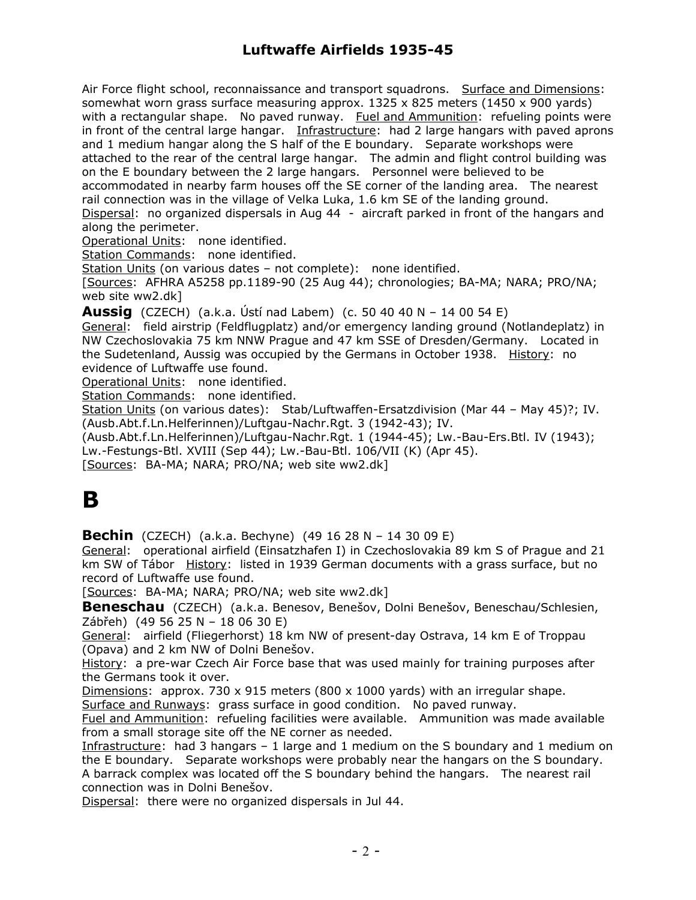Air Force flight school, reconnaissance and transport squadrons. Surface and Dimensions: somewhat worn grass surface measuring approx.  $1325 \times 825$  meters (1450 x 900 yards) with a rectangular shape. No paved runway. Fuel and Ammunition: refueling points were in front of the central large hangar. Infrastructure: had 2 large hangars with paved aprons and 1 medium hangar along the S half of the E boundary. Separate workshops were attached to the rear of the central large hangar. The admin and flight control building was on the E boundary between the 2 large hangars. Personnel were believed to be accommodated in nearby farm houses off the SE corner of the landing area. The nearest rail connection was in the village of Velka Luka, 1.6 km SE of the landing ground. Dispersal: no organized dispersals in Aug 44 - aircraft parked in front of the hangars and along the perimeter.

Operational Units: none identified.

Station Commands: none identified.

Station Units (on various dates – not complete): none identified.

[Sources: AFHRA A5258 pp.1189-90 (25 Aug 44); chronologies; BA-MA; NARA; PRO/NA; web site ww2.dk]

**Aussig** (CZECH) (a.k.a. Ústí nad Labem) (c. 50 40 40 N – 14 00 54 E)

General: field airstrip (Feldflugplatz) and/or emergency landing ground (Notlandeplatz) in NW Czechoslovakia 75 km NNW Prague and 47 km SSE of Dresden/Germany. Located in the Sudetenland, Aussig was occupied by the Germans in October 1938. History: no evidence of Luftwaffe use found.

Operational Units: none identified.

Station Commands: none identified.

Station Units (on various dates): Stab/Luftwaffen-Ersatzdivision (Mar 44 – May 45)?; IV. (Ausb.Abt.f.Ln.Helferinnen)/Luftgau-Nachr.Rgt. 3 (1942-43); IV.

(Ausb.Abt.f.Ln.Helferinnen)/Luftgau-Nachr.Rgt. 1 (1944-45); Lw.-Bau-Ers.Btl. IV (1943); Lw.-Festungs-Btl. XVIII (Sep 44); Lw.-Bau-Btl. 106/VII (K) (Apr 45).

[Sources: BA-MA; NARA; PRO/NA; web site ww2.dk]

### **B**

**Bechin** (CZECH) (a.k.a. Bechyne) (49 16 28 N – 14 30 09 E)

General: operational airfield (Einsatzhafen I) in Czechoslovakia 89 km S of Prague and 21 km SW of Tábor History: listed in 1939 German documents with a grass surface, but no record of Luftwaffe use found.

[Sources: BA-MA; NARA; PRO/NA; web site ww2.dk]

**Beneschau** (CZECH) (a.k.a. Benesov, Benešov, Dolni Benešov, Beneschau/Schlesien, Zábřeh) (49 56 25 N – 18 06 30 E)

General: airfield (Fliegerhorst) 18 km NW of present-day Ostrava, 14 km E of Troppau (Opava) and 2 km NW of Dolni Benešov.

History: a pre-war Czech Air Force base that was used mainly for training purposes after the Germans took it over.

Dimensions: approx. 730 x 915 meters (800 x 1000 yards) with an irregular shape. Surface and Runways: grass surface in good condition. No paved runway.

Fuel and Ammunition: refueling facilities were available. Ammunition was made available from a small storage site off the NE corner as needed.

Infrastructure: had 3 hangars – 1 large and 1 medium on the S boundary and 1 medium on the E boundary. Separate workshops were probably near the hangars on the S boundary. A barrack complex was located off the S boundary behind the hangars. The nearest rail connection was in Dolni Benešov.

Dispersal: there were no organized dispersals in Jul 44.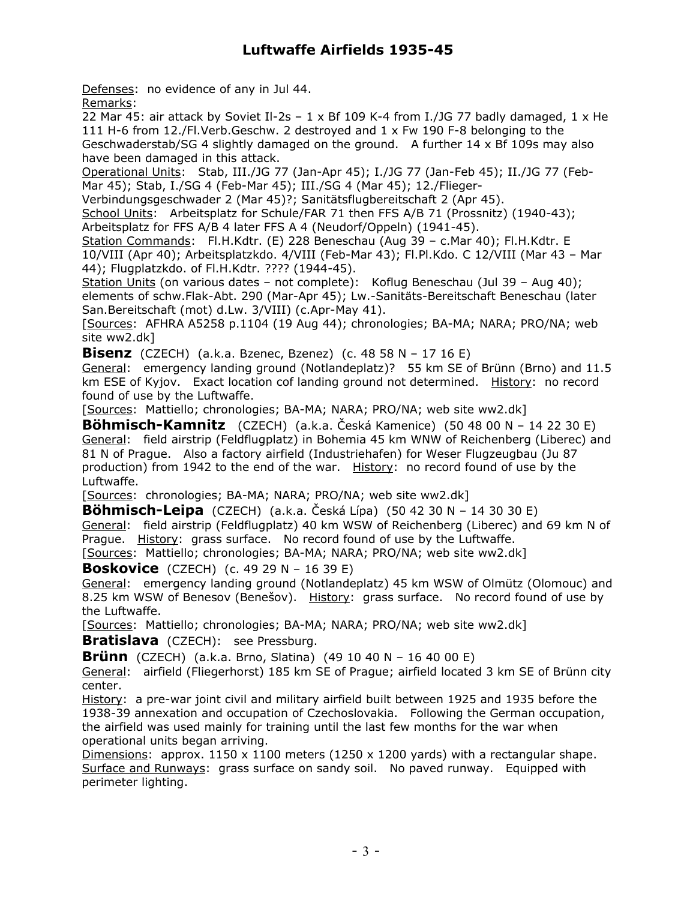Defenses: no evidence of any in Jul 44.

Remarks:

22 Mar 45: air attack by Soviet II-2s –  $1 \times$  Bf 109 K-4 from I./JG 77 badly damaged,  $1 \times$  He 111 H-6 from 12./Fl.Verb.Geschw. 2 destroyed and 1 x Fw 190 F-8 belonging to the Geschwaderstab/SG 4 slightly damaged on the ground. A further 14 x Bf 109s may also have been damaged in this attack.

Operational Units: Stab, III./JG 77 (Jan-Apr 45); I./JG 77 (Jan-Feb 45); II./JG 77 (Feb-Mar 45); Stab, I./SG 4 (Feb-Mar 45); III./SG 4 (Mar 45); 12./Flieger-

Verbindungsgeschwader 2 (Mar 45)?; Sanitätsflugbereitschaft 2 (Apr 45).

School Units: Arbeitsplatz for Schule/FAR 71 then FFS A/B 71 (Prossnitz) (1940-43); Arbeitsplatz for FFS A/B 4 later FFS A 4 (Neudorf/Oppeln) (1941-45).

Station Commands: Fl.H.Kdtr. (E) 228 Beneschau (Aug 39 – c.Mar 40); Fl.H.Kdtr. E 10/VIII (Apr 40); Arbeitsplatzkdo. 4/VIII (Feb-Mar 43); Fl.Pl.Kdo. C 12/VIII (Mar 43 – Mar 44); Flugplatzkdo. of Fl.H.Kdtr. ???? (1944-45).

Station Units (on various dates – not complete): Koflug Beneschau (Jul 39 – Aug 40); elements of schw.Flak-Abt. 290 (Mar-Apr 45); Lw.-Sanitäts-Bereitschaft Beneschau (later San.Bereitschaft (mot) d.Lw. 3/VIII) (c.Apr-May 41).

[Sources: AFHRA A5258 p.1104 (19 Aug 44); chronologies; BA-MA; NARA; PRO/NA; web site ww2.dk]

**Bisenz** (CZECH) (a.k.a. Bzenec, Bzenez) (c. 48 58 N – 17 16 E)

General: emergency landing ground (Notlandeplatz)? 55 km SE of Brünn (Brno) and 11.5 km ESE of Kyjov. Exact location cof landing ground not determined. History: no record found of use by the Luftwaffe.

[Sources: Mattiello; chronologies; BA-MA; NARA; PRO/NA; web site ww2.dk]

**Böhmisch-Kamnitz** (CZECH) (a.k.a. Česká Kamenice) (50 48 00 N – 14 22 30 E) General: field airstrip (Feldflugplatz) in Bohemia 45 km WNW of Reichenberg (Liberec) and 81 N of Prague. Also a factory airfield (Industriehafen) for Weser Flugzeugbau (Ju 87 production) from 1942 to the end of the war. History: no record found of use by the Luftwaffe.

[Sources: chronologies; BA-MA; NARA; PRO/NA; web site ww2.dk]

**Böhmisch-Leipa** (CZECH) (a.k.a. Česká Lípa) (50 42 30 N – 14 30 30 E) General: field airstrip (Feldflugplatz) 40 km WSW of Reichenberg (Liberec) and 69 km N of Prague. History: grass surface. No record found of use by the Luftwaffe. [Sources: Mattiello; chronologies; BA-MA; NARA; PRO/NA; web site ww2.dk]

**Boskovice** (CZECH) (c. 49 29 N – 16 39 E)

General: emergency landing ground (Notlandeplatz) 45 km WSW of Olmütz (Olomouc) and 8.25 km WSW of Benesov (Benešov). History: grass surface. No record found of use by the Luftwaffe.

[Sources: Mattiello; chronologies; BA-MA; NARA; PRO/NA; web site ww2.dk]

**Bratislava** (CZECH): see Pressburg.

**Brünn** (CZECH) (a.k.a. Brno, Slatina) (49 10 40 N – 16 40 00 E)

General: airfield (Fliegerhorst) 185 km SE of Prague; airfield located 3 km SE of Brünn city center.

History: a pre-war joint civil and military airfield built between 1925 and 1935 before the 1938-39 annexation and occupation of Czechoslovakia. Following the German occupation, the airfield was used mainly for training until the last few months for the war when operational units began arriving.

Dimensions: approx.  $1150 \times 1100$  meters (1250 x 1200 yards) with a rectangular shape. Surface and Runways: grass surface on sandy soil. No paved runway. Equipped with perimeter lighting.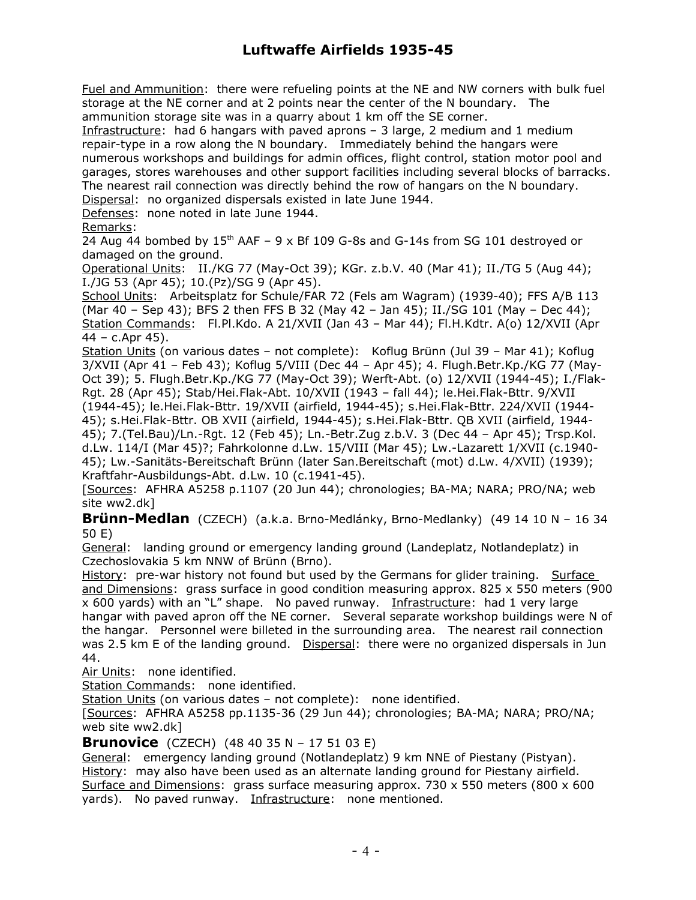Fuel and Ammunition: there were refueling points at the NE and NW corners with bulk fuel storage at the NE corner and at 2 points near the center of the N boundary. The ammunition storage site was in a quarry about 1 km off the SE corner.

Infrastructure: had 6 hangars with paved aprons – 3 large, 2 medium and 1 medium repair-type in a row along the N boundary. Immediately behind the hangars were numerous workshops and buildings for admin offices, flight control, station motor pool and garages, stores warehouses and other support facilities including several blocks of barracks. The nearest rail connection was directly behind the row of hangars on the N boundary. Dispersal: no organized dispersals existed in late June 1944.

Defenses: none noted in late June 1944.

#### Remarks:

24 Aug 44 bombed by  $15<sup>th</sup>$  AAF – 9 x Bf 109 G-8s and G-14s from SG 101 destroyed or damaged on the ground.

Operational Units: II./KG 77 (May-Oct 39); KGr. z.b.V. 40 (Mar 41); II./TG 5 (Aug 44); I./JG 53 (Apr 45); 10.(Pz)/SG 9 (Apr 45).

School Units: Arbeitsplatz for Schule/FAR 72 (Fels am Wagram) (1939-40); FFS A/B 113 (Mar 40 – Sep 43); BFS 2 then FFS B 32 (May 42 – Jan 45); II./SG 101 (May – Dec 44); Station Commands: Fl.Pl.Kdo. A 21/XVII (Jan 43 - Mar 44); Fl.H.Kdtr. A(o) 12/XVII (Apr 44 – c.Apr 45).

Station Units (on various dates – not complete): Koflug Brünn (Jul 39 – Mar 41); Koflug 3/XVII (Apr 41 – Feb 43); Koflug 5/VIII (Dec 44 – Apr 45); 4. Flugh.Betr.Kp./KG 77 (May-Oct 39); 5. Flugh.Betr.Kp./KG 77 (May-Oct 39); Werft-Abt. (o) 12/XVII (1944-45); I./Flak-Rgt. 28 (Apr 45); Stab/Hei.Flak-Abt. 10/XVII (1943 – fall 44); le.Hei.Flak-Bttr. 9/XVII (1944-45); le.Hei.Flak-Bttr. 19/XVII (airfield, 1944-45); s.Hei.Flak-Bttr. 224/XVII (1944- 45); s.Hei.Flak-Bttr. OB XVII (airfield, 1944-45); s.Hei.Flak-Bttr. QB XVII (airfield, 1944- 45); 7.(Tel.Bau)/Ln.-Rgt. 12 (Feb 45); Ln.-Betr.Zug z.b.V. 3 (Dec 44 – Apr 45); Trsp.Kol. d.Lw. 114/I (Mar 45)?; Fahrkolonne d.Lw. 15/VIII (Mar 45); Lw.-Lazarett 1/XVII (c.1940- 45); Lw.-Sanitäts-Bereitschaft Brünn (later San.Bereitschaft (mot) d.Lw. 4/XVII) (1939); Kraftfahr-Ausbildungs-Abt. d.Lw. 10 (c.1941-45).

[Sources: AFHRA A5258 p.1107 (20 Jun 44); chronologies; BA-MA; NARA; PRO/NA; web site ww2.dk]

**Brünn-Medlan** (CZECH) (a.k.a. Brno-Medlánky, Brno-Medlanky) (49 14 10 N – 16 34 50 E)

General: landing ground or emergency landing ground (Landeplatz, Notlandeplatz) in Czechoslovakia 5 km NNW of Brünn (Brno).

History: pre-war history not found but used by the Germans for glider training. Surface and Dimensions: grass surface in good condition measuring approx. 825 x 550 meters (900 x 600 yards) with an "L" shape. No paved runway. Infrastructure: had 1 very large hangar with paved apron off the NE corner. Several separate workshop buildings were N of the hangar. Personnel were billeted in the surrounding area. The nearest rail connection was 2.5 km E of the landing ground. Dispersal: there were no organized dispersals in Jun 44.

Air Units: none identified.

Station Commands: none identified.

Station Units (on various dates - not complete): none identified.

[Sources: AFHRA A5258 pp.1135-36 (29 Jun 44); chronologies; BA-MA; NARA; PRO/NA; web site ww2.dk]

**Brunovice** (CZECH) (48 40 35 N – 17 51 03 E)

General: emergency landing ground (Notlandeplatz) 9 km NNE of Piestany (Pistyan). History: may also have been used as an alternate landing ground for Piestany airfield. Surface and Dimensions: grass surface measuring approx. 730 x 550 meters (800 x 600 yards). No paved runway. Infrastructure: none mentioned.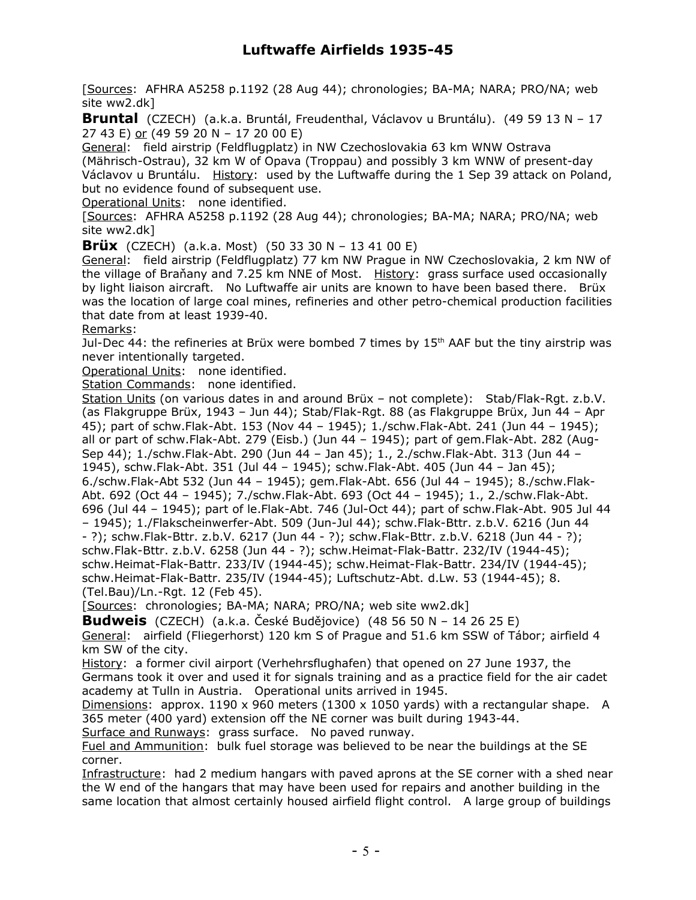[Sources: AFHRA A5258 p.1192 (28 Aug 44); chronologies; BA-MA; NARA; PRO/NA; web site ww2.dk]

**Bruntal** (CZECH) (a.k.a. Bruntál, Freudenthal, Václavov u Bruntálu). (49 59 13 N – 17 27 43 E) or (49 59 20 N – 17 20 00 E)

General: field airstrip (Feldflugplatz) in NW Czechoslovakia 63 km WNW Ostrava

(Mährisch-Ostrau), 32 km W of Opava (Troppau) and possibly 3 km WNW of present-day Václavov u Bruntálu. History: used by the Luftwaffe during the 1 Sep 39 attack on Poland, but no evidence found of subsequent use.

Operational Units: none identified.

[Sources: AFHRA A5258 p.1192 (28 Aug 44); chronologies; BA-MA; NARA; PRO/NA; web site ww2.dk]

**Brüx** (CZECH) (a.k.a. Most) (50 33 30 N – 13 41 00 E)

General: field airstrip (Feldflugplatz) 77 km NW Prague in NW Czechoslovakia, 2 km NW of the village of Braňany and 7.25 km NNE of Most. History: grass surface used occasionally by light liaison aircraft. No Luftwaffe air units are known to have been based there. Brüx was the location of large coal mines, refineries and other petro-chemical production facilities that date from at least 1939-40.

#### Remarks:

Jul-Dec 44: the refineries at Brüx were bombed 7 times by 15<sup>th</sup> AAF but the tiny airstrip was never intentionally targeted.

Operational Units: none identified.

Station Commands: none identified.

Station Units (on various dates in and around Brüx – not complete): Stab/Flak-Rgt. z.b.V. (as Flakgruppe Brüx, 1943 – Jun 44); Stab/Flak-Rgt. 88 (as Flakgruppe Brüx, Jun 44 – Apr 45); part of schw.Flak-Abt. 153 (Nov 44 – 1945); 1./schw.Flak-Abt. 241 (Jun 44 – 1945); all or part of schw.Flak-Abt. 279 (Eisb.) (Jun 44 – 1945); part of gem.Flak-Abt. 282 (Aug-Sep 44); 1./schw.Flak-Abt. 290 (Jun 44 – Jan 45); 1., 2./schw.Flak-Abt. 313 (Jun 44 – 1945), schw.Flak-Abt. 351 (Jul 44 – 1945); schw.Flak-Abt. 405 (Jun 44 – Jan 45); 6./schw.Flak-Abt 532 (Jun 44 – 1945); gem.Flak-Abt. 656 (Jul 44 – 1945); 8./schw.Flak-Abt. 692 (Oct 44 – 1945); 7./schw.Flak-Abt. 693 (Oct 44 – 1945); 1., 2./schw.Flak-Abt. 696 (Jul 44 – 1945); part of le.Flak-Abt. 746 (Jul-Oct 44); part of schw.Flak-Abt. 905 Jul 44 – 1945); 1./Flakscheinwerfer-Abt. 509 (Jun-Jul 44); schw.Flak-Bttr. z.b.V. 6216 (Jun 44 - ?); schw.Flak-Bttr. z.b.V. 6217 (Jun 44 - ?); schw.Flak-Bttr. z.b.V. 6218 (Jun 44 - ?); schw.Flak-Bttr. z.b.V. 6258 (Jun 44 - ?); schw.Heimat-Flak-Battr. 232/IV (1944-45); schw.Heimat-Flak-Battr. 233/IV (1944-45); schw.Heimat-Flak-Battr. 234/IV (1944-45); schw.Heimat-Flak-Battr. 235/IV (1944-45); Luftschutz-Abt. d.Lw. 53 (1944-45); 8. (Tel.Bau)/Ln.-Rgt. 12 (Feb 45).

[Sources: chronologies; BA-MA; NARA; PRO/NA; web site ww2.dk]

**Budweis** (CZECH) (a.k.a. České Budějovice) (48 56 50 N – 14 26 25 E)

General: airfield (Fliegerhorst) 120 km S of Prague and 51.6 km SSW of Tábor; airfield 4 km SW of the city.

History: a former civil airport (Verhehrsflughafen) that opened on 27 June 1937, the Germans took it over and used it for signals training and as a practice field for the air cadet academy at Tulln in Austria. Operational units arrived in 1945.

Dimensions: approx. 1190 x 960 meters (1300 x 1050 yards) with a rectangular shape. A 365 meter (400 yard) extension off the NE corner was built during 1943-44.

Surface and Runways: grass surface. No paved runway.

Fuel and Ammunition: bulk fuel storage was believed to be near the buildings at the SE corner.

Infrastructure: had 2 medium hangars with paved aprons at the SE corner with a shed near the W end of the hangars that may have been used for repairs and another building in the same location that almost certainly housed airfield flight control. A large group of buildings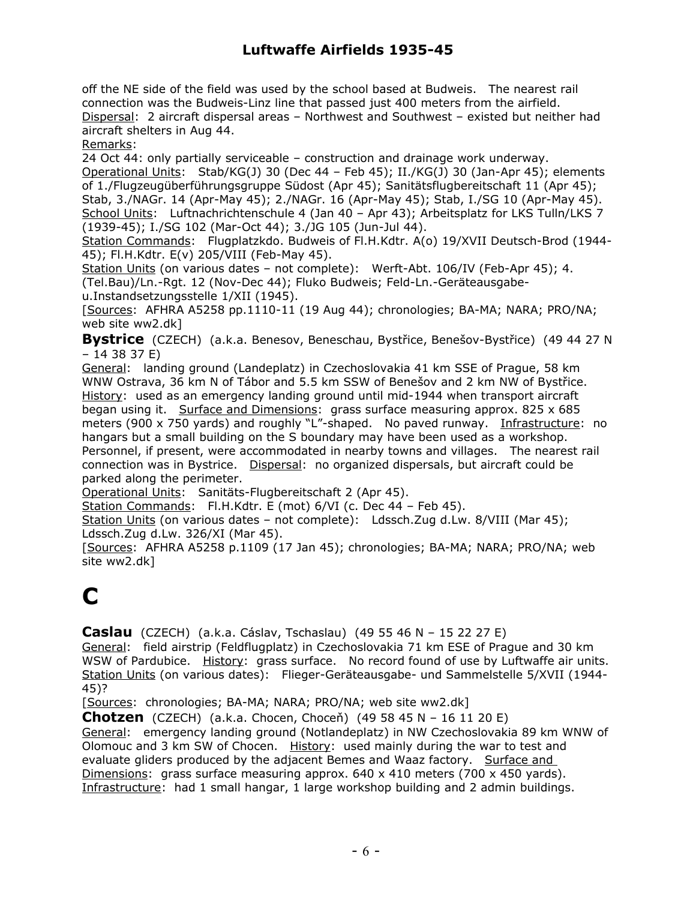off the NE side of the field was used by the school based at Budweis. The nearest rail connection was the Budweis-Linz line that passed just 400 meters from the airfield. Dispersal: 2 aircraft dispersal areas – Northwest and Southwest – existed but neither had aircraft shelters in Aug 44.

Remarks:

24 Oct 44: only partially serviceable – construction and drainage work underway. Operational Units: Stab/KG(J) 30 (Dec 44 – Feb 45); II./KG(J) 30 (Jan-Apr 45); elements of 1./Flugzeugüberführungsgruppe Südost (Apr 45); Sanitätsflugbereitschaft 11 (Apr 45); Stab, 3./NAGr. 14 (Apr-May 45); 2./NAGr. 16 (Apr-May 45); Stab, I./SG 10 (Apr-May 45). School Units: Luftnachrichtenschule 4 (Jan 40 – Apr 43); Arbeitsplatz for LKS Tulln/LKS 7 (1939-45); I./SG 102 (Mar-Oct 44); 3./JG 105 (Jun-Jul 44).

Station Commands: Flugplatzkdo. Budweis of Fl.H.Kdtr. A(o) 19/XVII Deutsch-Brod (1944-45); Fl.H.Kdtr. E(v) 205/VIII (Feb-May 45).

Station Units (on various dates – not complete): Werft-Abt. 106/IV (Feb-Apr 45); 4. (Tel.Bau)/Ln.-Rgt. 12 (Nov-Dec 44); Fluko Budweis; Feld-Ln.-Geräteausgabeu.Instandsetzungsstelle 1/XII (1945).

[Sources: AFHRA A5258 pp.1110-11 (19 Aug 44); chronologies; BA-MA; NARA; PRO/NA; web site ww2.dk]

**Bystrice** (CZECH) (a.k.a. Benesov, Beneschau, Bystřice, Benešov-Bystřice) (49 44 27 N – 14 38 37 E)

General: landing ground (Landeplatz) in Czechoslovakia 41 km SSE of Prague, 58 km WNW Ostrava, 36 km N of Tábor and 5.5 km SSW of Benešov and 2 km NW of Bystřice. History: used as an emergency landing ground until mid-1944 when transport aircraft began using it. Surface and Dimensions: grass surface measuring approx. 825 x 685 meters (900 x 750 yards) and roughly "L"-shaped. No paved runway. Infrastructure: no hangars but a small building on the S boundary may have been used as a workshop. Personnel, if present, were accommodated in nearby towns and villages. The nearest rail connection was in Bystrice. Dispersal: no organized dispersals, but aircraft could be parked along the perimeter.

Operational Units: Sanitäts-Flugbereitschaft 2 (Apr 45).

Station Commands: Fl.H.Kdtr. E (mot) 6/VI (c. Dec 44 - Feb 45).

Station Units (on various dates – not complete): Ldssch.Zug d.Lw. 8/VIII (Mar 45); Ldssch.Zug d.Lw. 326/XI (Mar 45).

[Sources: AFHRA A5258 p.1109 (17 Jan 45); chronologies; BA-MA; NARA; PRO/NA; web site ww2.dk]

# **C**

**Caslau** (CZECH) (a.k.a. Cáslav, Tschaslau) (49 55 46 N – 15 22 27 E)

General: field airstrip (Feldflugplatz) in Czechoslovakia 71 km ESE of Prague and 30 km WSW of Pardubice. History: grass surface. No record found of use by Luftwaffe air units. Station Units (on various dates): Flieger-Geräteausgabe- und Sammelstelle 5/XVII (1944- 45)?

[Sources: chronologies; BA-MA; NARA; PRO/NA; web site ww2.dk]

**Chotzen** (CZECH) (a.k.a. Chocen, Choceň) (49 58 45 N – 16 11 20 E)

General: emergency landing ground (Notlandeplatz) in NW Czechoslovakia 89 km WNW of Olomouc and 3 km SW of Chocen. History: used mainly during the war to test and evaluate gliders produced by the adjacent Bemes and Waaz factory. Surface and Dimensions: grass surface measuring approx.  $640 \times 410$  meters (700 x 450 yards). Infrastructure: had 1 small hangar, 1 large workshop building and 2 admin buildings.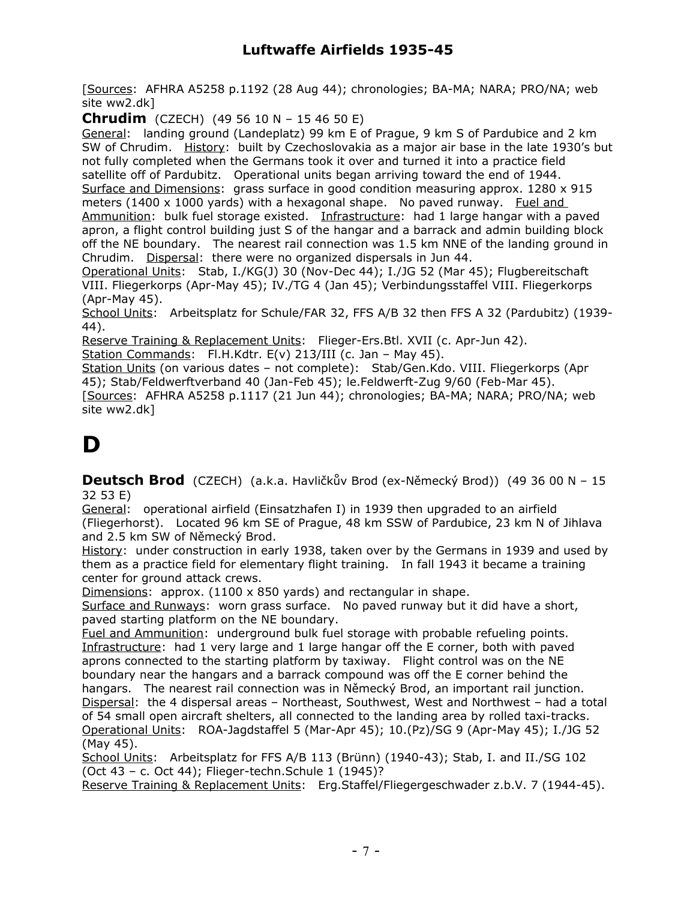[Sources: AFHRA A5258 p.1192 (28 Aug 44); chronologies; BA-MA; NARA; PRO/NA; web site ww2.dk]

**Chrudim** (CZECH) (49 56 10 N – 15 46 50 E)

General: landing ground (Landeplatz) 99 km E of Prague, 9 km S of Pardubice and 2 km SW of Chrudim. History: built by Czechoslovakia as a major air base in the late 1930's but not fully completed when the Germans took it over and turned it into a practice field satellite off of Pardubitz. Operational units began arriving toward the end of 1944. Surface and Dimensions: grass surface in good condition measuring approx. 1280 x 915 meters (1400 x 1000 yards) with a hexagonal shape. No paved runway. Fuel and Ammunition: bulk fuel storage existed. Infrastructure: had 1 large hangar with a paved apron, a flight control building just S of the hangar and a barrack and admin building block off the NE boundary. The nearest rail connection was 1.5 km NNE of the landing ground in Chrudim. Dispersal: there were no organized dispersals in Jun 44.

Operational Units: Stab, I./KG(J) 30 (Nov-Dec 44); I./JG 52 (Mar 45); Flugbereitschaft VIII. Fliegerkorps (Apr-May 45); IV./TG 4 (Jan 45); Verbindungsstaffel VIII. Fliegerkorps (Apr-May 45).

School Units: Arbeitsplatz for Schule/FAR 32, FFS A/B 32 then FFS A 32 (Pardubitz) (1939-44).

Reserve Training & Replacement Units: Flieger-Ers.Btl. XVII (c. Apr-Jun 42).

Station Commands: Fl.H.Kdtr. E(v) 213/III (c. Jan - May 45).

Station Units (on various dates – not complete): Stab/Gen.Kdo. VIII. Fliegerkorps (Apr 45); Stab/Feldwerftverband 40 (Jan-Feb 45); le.Feldwerft-Zug 9/60 (Feb-Mar 45). [Sources: AFHRA A5258 p.1117 (21 Jun 44); chronologies; BA-MA; NARA; PRO/NA; web site ww2.dk]

## **D**

**Deutsch Brod** (CZECH) (a.k.a. Havličkův Brod (ex-Německý Brod)) (49 36 00 N – 15 32 53 E)

General: operational airfield (Einsatzhafen I) in 1939 then upgraded to an airfield (Fliegerhorst). Located 96 km SE of Prague, 48 km SSW of Pardubice, 23 km N of Jihlava and 2.5 km SW of Německý Brod.

History: under construction in early 1938, taken over by the Germans in 1939 and used by them as a practice field for elementary flight training. In fall 1943 it became a training center for ground attack crews.

Dimensions: approx. (1100 x 850 yards) and rectangular in shape.

Surface and Runways: worn grass surface. No paved runway but it did have a short, paved starting platform on the NE boundary.

Fuel and Ammunition: underground bulk fuel storage with probable refueling points. Infrastructure: had 1 very large and 1 large hangar off the E corner, both with paved aprons connected to the starting platform by taxiway. Flight control was on the NE boundary near the hangars and a barrack compound was off the E corner behind the hangars. The nearest rail connection was in Německý Brod, an important rail junction. Dispersal: the 4 dispersal areas – Northeast, Southwest, West and Northwest – had a total of 54 small open aircraft shelters, all connected to the landing area by rolled taxi-tracks. Operational Units: ROA-Jagdstaffel 5 (Mar-Apr 45); 10.(Pz)/SG 9 (Apr-May 45); I./JG 52 (May 45).

School Units: Arbeitsplatz for FFS A/B 113 (Brünn) (1940-43); Stab, I. and II./SG 102 (Oct 43 – c. Oct 44); Flieger-techn.Schule 1 (1945)?

Reserve Training & Replacement Units: Erg.Staffel/Fliegergeschwader z.b.V. 7 (1944-45).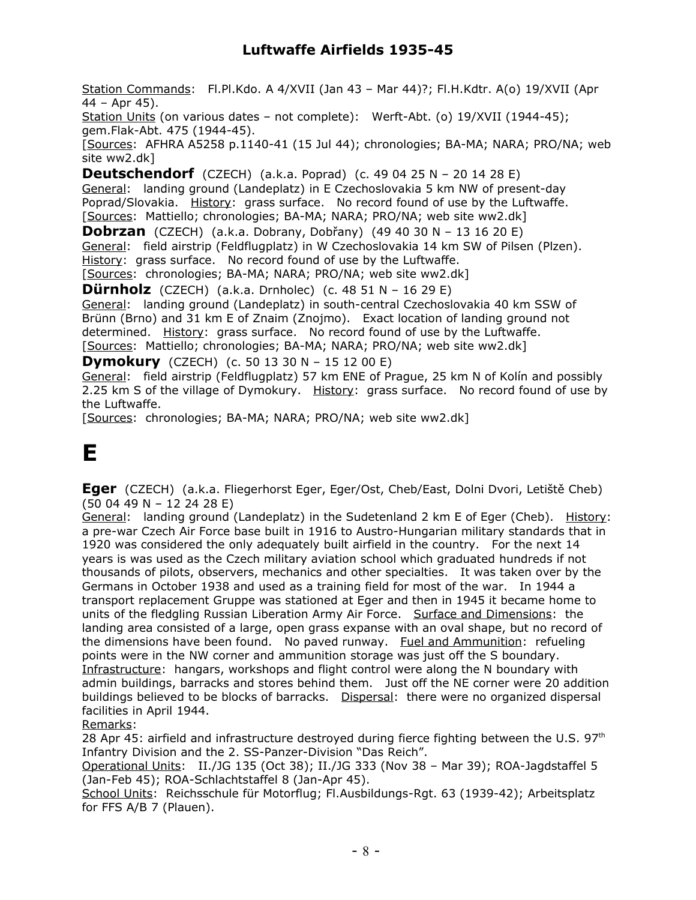Station Commands: Fl.Pl.Kdo. A 4/XVII (Jan 43 – Mar 44)?; Fl.H.Kdtr. A(o) 19/XVII (Apr 44 – Apr 45).

Station Units (on various dates – not complete): Werft-Abt. (o) 19/XVII (1944-45); gem.Flak-Abt. 475 (1944-45).

[Sources: AFHRA A5258 p.1140-41 (15 Jul 44); chronologies; BA-MA; NARA; PRO/NA; web site ww2.dk]

**Deutschendorf** (CZECH) (a.k.a. Poprad) (c. 49 04 25 N – 20 14 28 E) General: landing ground (Landeplatz) in E Czechoslovakia 5 km NW of present-day Poprad/Slovakia. History: grass surface. No record found of use by the Luftwaffe. [Sources: Mattiello; chronologies; BA-MA; NARA; PRO/NA; web site ww2.dk]

**Dobrzan** (CZECH) (a.k.a. Dobrany, Dobřany) (49 40 30 N – 13 16 20 E) General: field airstrip (Feldflugplatz) in W Czechoslovakia 14 km SW of Pilsen (Plzen). History: grass surface. No record found of use by the Luftwaffe.

[Sources: chronologies; BA-MA; NARA; PRO/NA; web site ww2.dk]

**Dürnholz** (CZECH) (a.k.a. Drnholec) (c. 48 51 N – 16 29 E)

General: landing ground (Landeplatz) in south-central Czechoslovakia 40 km SSW of Brünn (Brno) and 31 km E of Znaim (Znojmo). Exact location of landing ground not determined. History: grass surface. No record found of use by the Luftwaffe. [Sources: Mattiello; chronologies; BA-MA; NARA; PRO/NA; web site ww2.dk]

**Dymokury** (CZECH) (c. 50 13 30 N – 15 12 00 E)

General: field airstrip (Feldflugplatz) 57 km ENE of Prague, 25 km N of Kolín and possibly 2.25 km S of the village of Dymokury. History: grass surface. No record found of use by the Luftwaffe.

[Sources: chronologies; BA-MA; NARA; PRO/NA; web site ww2.dk]

# **E**

**Eger** (CZECH) (a.k.a. Fliegerhorst Eger, Eger/Ost, Cheb/East, Dolni Dvori, Letiště Cheb) (50 04 49 N – 12 24 28 E)

General: landing ground (Landeplatz) in the Sudetenland 2 km E of Eger (Cheb). History: a pre-war Czech Air Force base built in 1916 to Austro-Hungarian military standards that in 1920 was considered the only adequately built airfield in the country. For the next 14 years is was used as the Czech military aviation school which graduated hundreds if not thousands of pilots, observers, mechanics and other specialties. It was taken over by the Germans in October 1938 and used as a training field for most of the war. In 1944 a transport replacement Gruppe was stationed at Eger and then in 1945 it became home to units of the fledgling Russian Liberation Army Air Force. Surface and Dimensions: the landing area consisted of a large, open grass expanse with an oval shape, but no record of the dimensions have been found. No paved runway. Fuel and Ammunition: refueling points were in the NW corner and ammunition storage was just off the S boundary. Infrastructure: hangars, workshops and flight control were along the N boundary with admin buildings, barracks and stores behind them. Just off the NE corner were 20 addition buildings believed to be blocks of barracks. Dispersal: there were no organized dispersal facilities in April 1944.

Remarks:

28 Apr 45: airfield and infrastructure destroyed during fierce fighting between the U.S.  $97<sup>th</sup>$ Infantry Division and the 2. SS-Panzer-Division "Das Reich".

Operational Units: II./JG 135 (Oct 38); II./JG 333 (Nov 38 – Mar 39); ROA-Jagdstaffel 5 (Jan-Feb 45); ROA-Schlachtstaffel 8 (Jan-Apr 45).

School Units: Reichsschule für Motorflug; Fl.Ausbildungs-Rgt. 63 (1939-42); Arbeitsplatz for FFS A/B 7 (Plauen).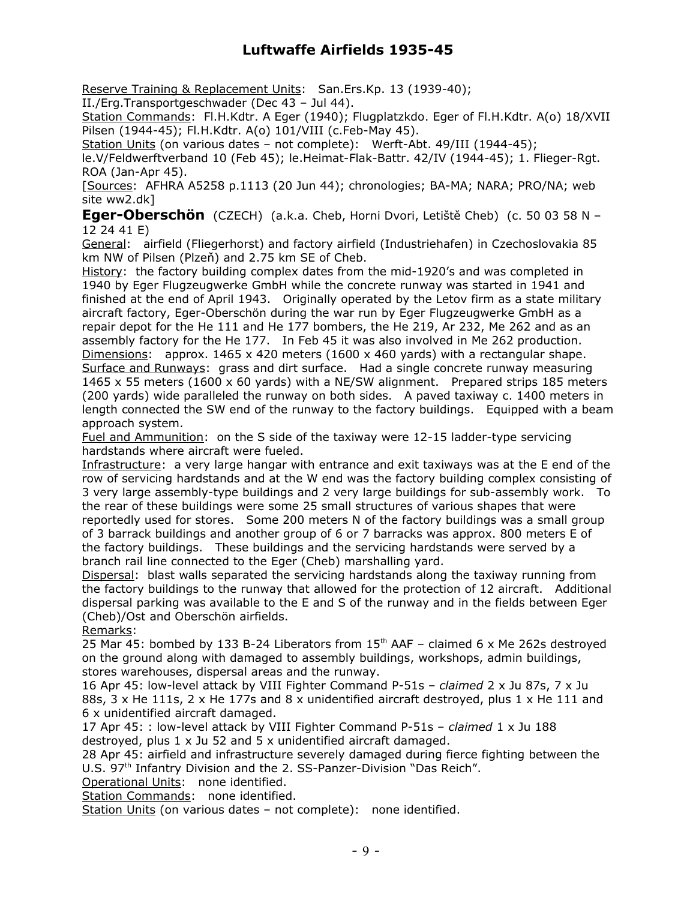Reserve Training & Replacement Units: San.Ers.Kp. 13 (1939-40);

II./Erg.Transportgeschwader (Dec 43 – Jul 44).

Station Commands: Fl.H.Kdtr. A Eger (1940); Flugplatzkdo. Eger of Fl.H.Kdtr. A(o) 18/XVII Pilsen (1944-45); Fl.H.Kdtr. A(o) 101/VIII (c.Feb-May 45).

Station Units (on various dates – not complete): Werft-Abt. 49/III (1944-45);

le.V/Feldwerftverband 10 (Feb 45); le.Heimat-Flak-Battr. 42/IV (1944-45); 1. Flieger-Rgt. ROA (Jan-Apr 45).

[Sources: AFHRA A5258 p.1113 (20 Jun 44); chronologies; BA-MA; NARA; PRO/NA; web site ww2.dk]

**Eger-Oberschön** (CZECH) (a.k.a. Cheb, Horni Dvori, Letiště Cheb) (c. 50 03 58 N – 12 24 41 E)

General: airfield (Fliegerhorst) and factory airfield (Industriehafen) in Czechoslovakia 85 km NW of Pilsen (Plzeň) and 2.75 km SE of Cheb.

History: the factory building complex dates from the mid-1920's and was completed in 1940 by Eger Flugzeugwerke GmbH while the concrete runway was started in 1941 and finished at the end of April 1943. Originally operated by the Letov firm as a state military aircraft factory, Eger-Oberschön during the war run by Eger Flugzeugwerke GmbH as a repair depot for the He 111 and He 177 bombers, the He 219, Ar 232, Me 262 and as an assembly factory for the He 177. In Feb 45 it was also involved in Me 262 production. Dimensions: approx. 1465 x 420 meters (1600 x 460 yards) with a rectangular shape. Surface and Runways: grass and dirt surface. Had a single concrete runway measuring 1465 x 55 meters (1600 x 60 yards) with a NE/SW alignment. Prepared strips 185 meters (200 yards) wide paralleled the runway on both sides. A paved taxiway c. 1400 meters in length connected the SW end of the runway to the factory buildings. Equipped with a beam approach system.

Fuel and Ammunition: on the S side of the taxiway were 12-15 ladder-type servicing hardstands where aircraft were fueled.

Infrastructure: a very large hangar with entrance and exit taxiways was at the E end of the row of servicing hardstands and at the W end was the factory building complex consisting of 3 very large assembly-type buildings and 2 very large buildings for sub-assembly work. To the rear of these buildings were some 25 small structures of various shapes that were reportedly used for stores. Some 200 meters N of the factory buildings was a small group of 3 barrack buildings and another group of 6 or 7 barracks was approx. 800 meters E of the factory buildings. These buildings and the servicing hardstands were served by a branch rail line connected to the Eger (Cheb) marshalling yard.

Dispersal: blast walls separated the servicing hardstands along the taxiway running from the factory buildings to the runway that allowed for the protection of 12 aircraft. Additional dispersal parking was available to the E and S of the runway and in the fields between Eger (Cheb)/Ost and Oberschön airfields.

Remarks:

25 Mar 45: bombed by 133 B-24 Liberators from  $15<sup>th</sup>$  AAF – claimed 6 x Me 262s destroyed on the ground along with damaged to assembly buildings, workshops, admin buildings, stores warehouses, dispersal areas and the runway.

16 Apr 45: low-level attack by VIII Fighter Command P-51s – *claimed* 2 x Ju 87s, 7 x Ju 88s, 3 x He 111s, 2 x He 177s and 8 x unidentified aircraft destroyed, plus 1 x He 111 and 6 x unidentified aircraft damaged.

17 Apr 45: : low-level attack by VIII Fighter Command P-51s – *claimed* 1 x Ju 188 destroyed, plus 1 x Ju 52 and 5 x unidentified aircraft damaged.

28 Apr 45: airfield and infrastructure severely damaged during fierce fighting between the U.S. 97<sup>th</sup> Infantry Division and the 2. SS-Panzer-Division "Das Reich".

Operational Units: none identified.

Station Commands: none identified.

Station Units (on various dates - not complete): none identified.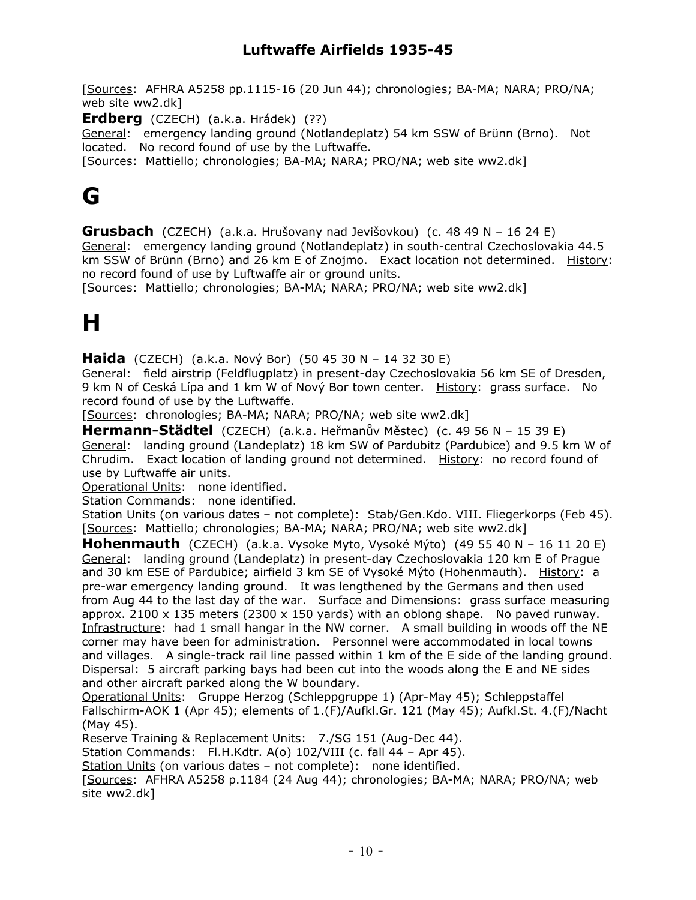[Sources: AFHRA A5258 pp.1115-16 (20 Jun 44); chronologies; BA-MA; NARA; PRO/NA; web site ww2.dk]

**Erdberg** (CZECH) (a.k.a. Hrádek) (??)

General: emergency landing ground (Notlandeplatz) 54 km SSW of Brünn (Brno). Not located. No record found of use by the Luftwaffe.

[Sources: Mattiello; chronologies; BA-MA; NARA; PRO/NA; web site ww2.dk]

## **G**

**Grusbach** (CZECH) (a.k.a. Hrušovany nad Jevišovkou) (c. 48 49 N – 16 24 E) General: emergency landing ground (Notlandeplatz) in south-central Czechoslovakia 44.5 km SSW of Brünn (Brno) and 26 km E of Znojmo. Exact location not determined. History: no record found of use by Luftwaffe air or ground units.

[Sources: Mattiello; chronologies; BA-MA; NARA; PRO/NA; web site ww2.dk]

# **H**

**Haida** (CZECH) (a.k.a. Nový Bor) (50 45 30 N – 14 32 30 E)

General: field airstrip (Feldflugplatz) in present-day Czechoslovakia 56 km SE of Dresden, 9 km N of Ceská Lípa and 1 km W of Nový Bor town center. History: grass surface. No record found of use by the Luftwaffe.

[Sources: chronologies; BA-MA; NARA; PRO/NA; web site ww2.dk]

**Hermann-Städtel** (CZECH) (a.k.a. Heřmanův Městec) (c. 49 56 N – 15 39 E) General: landing ground (Landeplatz) 18 km SW of Pardubitz (Pardubice) and 9.5 km W of Chrudim. Exact location of landing ground not determined. History: no record found of use by Luftwaffe air units.

Operational Units: none identified.

Station Commands: none identified.

Station Units (on various dates – not complete): Stab/Gen.Kdo. VIII. Fliegerkorps (Feb 45). [Sources: Mattiello; chronologies; BA-MA; NARA; PRO/NA; web site ww2.dk]

**Hohenmauth** (CZECH) (a.k.a. Vysoke Myto, Vysoké Mýto) (49 55 40 N – 16 11 20 E) General: landing ground (Landeplatz) in present-day Czechoslovakia 120 km E of Prague and 30 km ESE of Pardubice; airfield 3 km SE of Vysoké Mýto (Hohenmauth). History: a pre-war emergency landing ground. It was lengthened by the Germans and then used from Aug 44 to the last day of the war. Surface and Dimensions: grass surface measuring approx. 2100  $\times$  135 meters (2300  $\times$  150 yards) with an oblong shape. No paved runway. Infrastructure: had 1 small hangar in the NW corner. A small building in woods off the NE corner may have been for administration. Personnel were accommodated in local towns and villages. A single-track rail line passed within 1 km of the E side of the landing ground. Dispersal: 5 aircraft parking bays had been cut into the woods along the E and NE sides and other aircraft parked along the W boundary.

Operational Units: Gruppe Herzog (Schleppgruppe 1) (Apr-May 45); Schleppstaffel Fallschirm-AOK 1 (Apr 45); elements of 1.(F)/Aufkl.Gr. 121 (May 45); Aufkl.St. 4.(F)/Nacht (May 45).

Reserve Training & Replacement Units: 7./SG 151 (Aug-Dec 44).

Station Commands: Fl.H.Kdtr. A(o) 102/VIII (c. fall 44 – Apr 45).

Station Units (on various dates - not complete): none identified.

[Sources: AFHRA A5258 p.1184 (24 Aug 44); chronologies; BA-MA; NARA; PRO/NA; web site ww2.dk]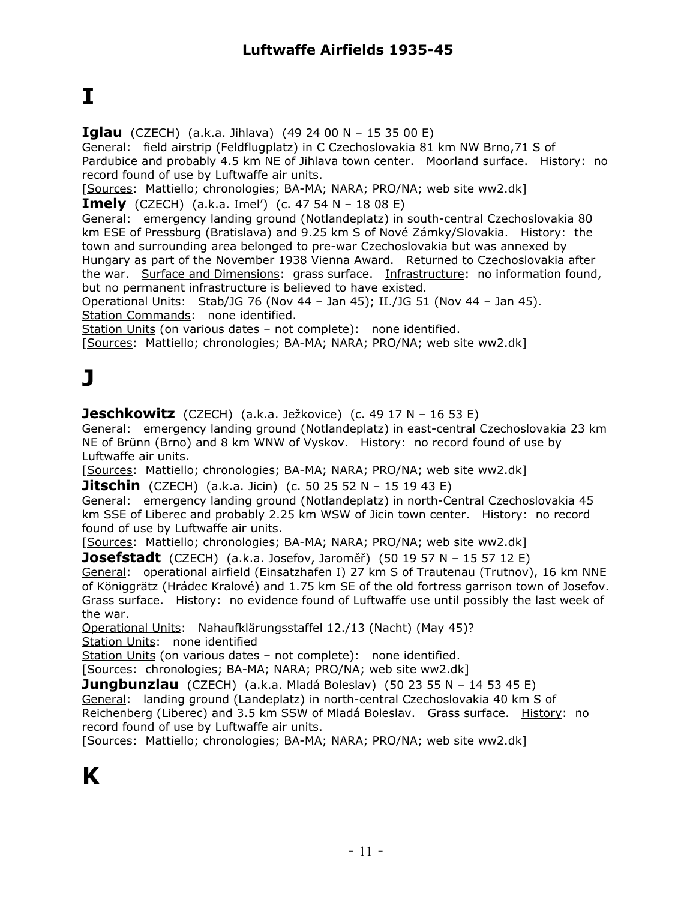# **I**

**Iglau** (CZECH) (a.k.a. Jihlava) (49 24 00 N – 15 35 00 E)

General: field airstrip (Feldflugplatz) in C Czechoslovakia 81 km NW Brno,71 S of Pardubice and probably 4.5 km NE of Jihlava town center. Moorland surface. History: no record found of use by Luftwaffe air units.

[Sources: Mattiello; chronologies; BA-MA; NARA; PRO/NA; web site ww2.dk]

**Imely** (CZECH) (a.k.a. Imel') (c. 47 54 N – 18 08 E)

General: emergency landing ground (Notlandeplatz) in south-central Czechoslovakia 80 km ESE of Pressburg (Bratislava) and 9.25 km S of Nové Zámky/Slovakia. History: the town and surrounding area belonged to pre-war Czechoslovakia but was annexed by Hungary as part of the November 1938 Vienna Award. Returned to Czechoslovakia after the war. Surface and Dimensions: grass surface. Infrastructure: no information found, but no permanent infrastructure is believed to have existed.

Operational Units: Stab/JG 76 (Nov 44 – Jan 45); II./JG 51 (Nov 44 – Jan 45). Station Commands: none identified.

Station Units (on various dates – not complete): none identified.

[Sources: Mattiello; chronologies; BA-MA; NARA; PRO/NA; web site ww2.dk]

# **J**

**Jeschkowitz** (CZECH) (a.k.a. Ježkovice) (c. 49 17 N – 16 53 E)

General: emergency landing ground (Notlandeplatz) in east-central Czechoslovakia 23 km NE of Brünn (Brno) and 8 km WNW of Vyskov. History: no record found of use by Luftwaffe air units.

[Sources: Mattiello; chronologies; BA-MA; NARA; PRO/NA; web site ww2.dk]

**Jitschin** (CZECH) (a.k.a. Jicin) (c. 50 25 52 N – 15 19 43 E)

General: emergency landing ground (Notlandeplatz) in north-Central Czechoslovakia 45 km SSE of Liberec and probably 2.25 km WSW of Jicin town center. History: no record found of use by Luftwaffe air units.

[Sources: Mattiello; chronologies; BA-MA; NARA; PRO/NA; web site ww2.dk]

**Josefstadt** (CZECH) (a.k.a. Josefov, Jaroměř) (50 19 57 N – 15 57 12 E)

General: operational airfield (Einsatzhafen I) 27 km S of Trautenau (Trutnov), 16 km NNE of Königgrätz (Hrádec Kralové) and 1.75 km SE of the old fortress garrison town of Josefov. Grass surface. History: no evidence found of Luftwaffe use until possibly the last week of the war.

Operational Units: Nahaufklärungsstaffel 12./13 (Nacht) (May 45)?

Station Units: none identified

Station Units (on various dates - not complete): none identified.

[Sources: chronologies; BA-MA; NARA; PRO/NA; web site ww2.dk]

**Jungbunzlau** (CZECH) (a.k.a. Mladá Boleslav) (50 23 55 N – 14 53 45 E)

General: landing ground (Landeplatz) in north-central Czechoslovakia 40 km S of Reichenberg (Liberec) and 3.5 km SSW of Mladá Boleslav. Grass surface. History: no record found of use by Luftwaffe air units.

[Sources: Mattiello; chronologies; BA-MA; NARA; PRO/NA; web site ww2.dk]

# **K**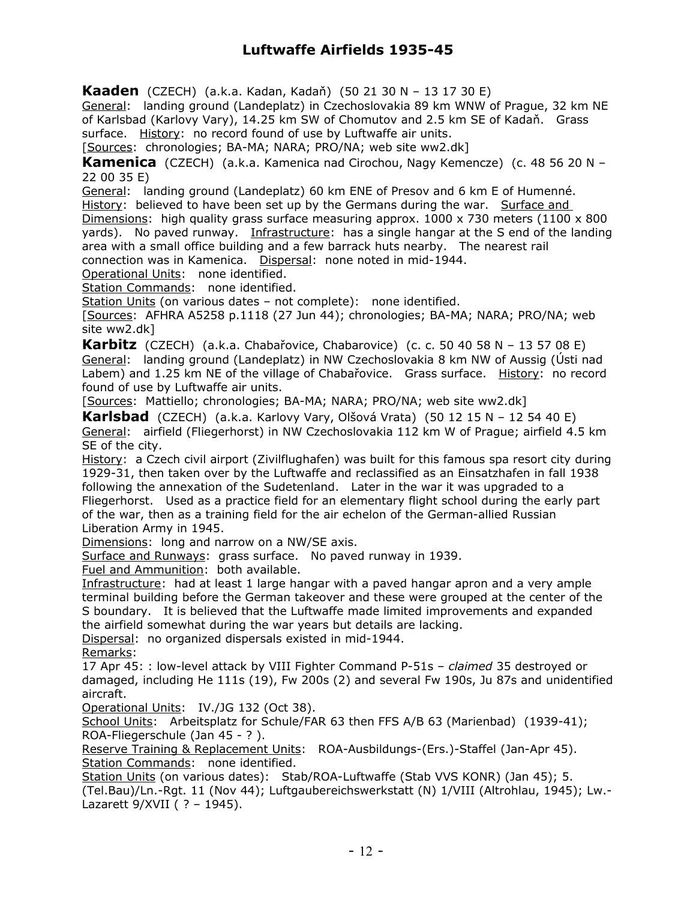**Kaaden** (CZECH) (a.k.a. Kadan, Kadaň) (50 21 30 N – 13 17 30 E)

General: landing ground (Landeplatz) in Czechoslovakia 89 km WNW of Prague, 32 km NE of Karlsbad (Karlovy Vary), 14.25 km SW of Chomutov and 2.5 km SE of Kadaň. Grass surface. History: no record found of use by Luftwaffe air units.

[Sources: chronologies; BA-MA; NARA; PRO/NA; web site ww2.dk]

**Kamenica** (CZECH) (a.k.a. Kamenica nad Cirochou, Nagy Kemencze) (c. 48 56 20 N – 22 00 35 E)

General: landing ground (Landeplatz) 60 km ENE of Presov and 6 km E of Humenné.

History: believed to have been set up by the Germans during the war. Surface and

Dimensions: high quality grass surface measuring approx.  $1000 \times 730$  meters (1100  $\times$  800 yards). No paved runway. Infrastructure: has a single hangar at the S end of the landing area with a small office building and a few barrack huts nearby. The nearest rail connection was in Kamenica. Dispersal: none noted in mid-1944.

Operational Units: none identified.

Station Commands: none identified.

Station Units (on various dates – not complete): none identified.

[Sources: AFHRA A5258 p.1118 (27 Jun 44); chronologies; BA-MA; NARA; PRO/NA; web site ww2.dk]

**Karbitz** (CZECH) (a.k.a. Chabařovice, Chabarovice) (c. c. 50 40 58 N – 13 57 08 E) General: landing ground (Landeplatz) in NW Czechoslovakia 8 km NW of Aussig (Ústi nad Labem) and 1.25 km NE of the village of Chabařovice. Grass surface. History: no record found of use by Luftwaffe air units.

[Sources: Mattiello; chronologies; BA-MA; NARA; PRO/NA; web site ww2.dk]

**Karlsbad** (CZECH) (a.k.a. Karlovy Vary, Olšová Vrata) (50 12 15 N – 12 54 40 E) General: airfield (Fliegerhorst) in NW Czechoslovakia 112 km W of Prague; airfield 4.5 km SE of the city.

History: a Czech civil airport (Zivilflughafen) was built for this famous spa resort city during 1929-31, then taken over by the Luftwaffe and reclassified as an Einsatzhafen in fall 1938 following the annexation of the Sudetenland. Later in the war it was upgraded to a Fliegerhorst. Used as a practice field for an elementary flight school during the early part of the war, then as a training field for the air echelon of the German-allied Russian Liberation Army in 1945.

Dimensions: long and narrow on a NW/SE axis.

Surface and Runways: grass surface. No paved runway in 1939.

Fuel and Ammunition: both available.

Infrastructure: had at least 1 large hangar with a paved hangar apron and a very ample terminal building before the German takeover and these were grouped at the center of the S boundary. It is believed that the Luftwaffe made limited improvements and expanded the airfield somewhat during the war years but details are lacking.

Dispersal: no organized dispersals existed in mid-1944.

Remarks:

17 Apr 45: : low-level attack by VIII Fighter Command P-51s – *claimed* 35 destroyed or damaged, including He 111s (19), Fw 200s (2) and several Fw 190s, Ju 87s and unidentified aircraft.

Operational Units: IV./JG 132 (Oct 38).

School Units: Arbeitsplatz for Schule/FAR 63 then FFS A/B 63 (Marienbad) (1939-41); ROA-Fliegerschule (Jan 45 - ? ).

Reserve Training & Replacement Units: ROA-Ausbildungs-(Ers.)-Staffel (Jan-Apr 45). Station Commands: none identified.

Station Units (on various dates): Stab/ROA-Luftwaffe (Stab VVS KONR) (Jan 45); 5. (Tel.Bau)/Ln.-Rgt. 11 (Nov 44); Luftgaubereichswerkstatt (N) 1/VIII (Altrohlau, 1945); Lw.- Lazarett 9/XVII ( ? – 1945).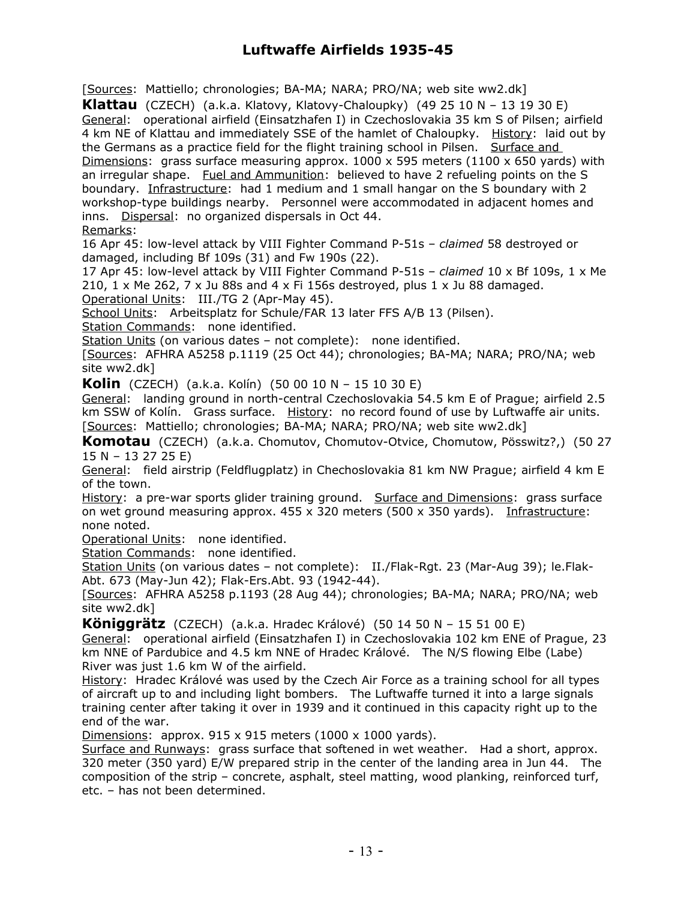[Sources: Mattiello; chronologies; BA-MA; NARA; PRO/NA; web site ww2.dk]

**Klattau** (CZECH) (a.k.a. Klatovy, Klatovy-Chaloupky) (49 25 10 N – 13 19 30 E) General: operational airfield (Einsatzhafen I) in Czechoslovakia 35 km S of Pilsen; airfield 4 km NE of Klattau and immediately SSE of the hamlet of Chaloupky. History: laid out by the Germans as a practice field for the flight training school in Pilsen. Surface and Dimensions: grass surface measuring approx.  $1000 \times 595$  meters (1100 x 650 yards) with an irregular shape. Fuel and Ammunition: believed to have 2 refueling points on the S boundary. Infrastructure: had 1 medium and 1 small hangar on the S boundary with 2 workshop-type buildings nearby. Personnel were accommodated in adjacent homes and inns. Dispersal: no organized dispersals in Oct 44.

Remarks:

16 Apr 45: low-level attack by VIII Fighter Command P-51s – *claimed* 58 destroyed or damaged, including Bf 109s (31) and Fw 190s (22).

17 Apr 45: low-level attack by VIII Fighter Command P-51s – *claimed* 10 x Bf 109s, 1 x Me 210,  $1 \times$  Me 262,  $7 \times$  Ju 88s and  $4 \times$  Fi 156s destroyed, plus  $1 \times$  Ju 88 damaged.

Operational Units: III./TG 2 (Apr-May 45).

School Units: Arbeitsplatz for Schule/FAR 13 later FFS A/B 13 (Pilsen).

Station Commands: none identified.

Station Units (on various dates - not complete): none identified.

[Sources: AFHRA A5258 p.1119 (25 Oct 44); chronologies; BA-MA; NARA; PRO/NA; web site ww2.dk]

**Kolin** (CZECH) (a.k.a. Kolín) (50 00 10 N – 15 10 30 E)

General: landing ground in north-central Czechoslovakia 54.5 km E of Prague; airfield 2.5 km SSW of Kolín. Grass surface. History: no record found of use by Luftwaffe air units. [Sources: Mattiello; chronologies; BA-MA; NARA; PRO/NA; web site ww2.dk]

**Komotau** (CZECH) (a.k.a. Chomutov, Chomutov-Otvice, Chomutow, Pösswitz?,) (50 27 15 N – 13 27 25 E)

General: field airstrip (Feldflugplatz) in Chechoslovakia 81 km NW Prague; airfield 4 km E of the town.

History: a pre-war sports glider training ground. Surface and Dimensions: grass surface on wet ground measuring approx.  $455 \times 320$  meters (500 x 350 yards). Infrastructure: none noted.

Operational Units: none identified.

Station Commands: none identified.

Station Units (on various dates – not complete): II./Flak-Rgt. 23 (Mar-Aug 39); le.Flak-Abt. 673 (May-Jun 42); Flak-Ers.Abt. 93 (1942-44).

[Sources: AFHRA A5258 p.1193 (28 Aug 44); chronologies; BA-MA; NARA; PRO/NA; web site ww2.dk]

**Königgrätz** (CZECH) (a.k.a. Hradec Králové) (50 14 50 N – 15 51 00 E) General: operational airfield (Einsatzhafen I) in Czechoslovakia 102 km ENE of Prague, 23 km NNE of Pardubice and 4.5 km NNE of Hradec Králové. The N/S flowing Elbe (Labe) River was just 1.6 km W of the airfield.

History: Hradec Králové was used by the Czech Air Force as a training school for all types of aircraft up to and including light bombers. The Luftwaffe turned it into a large signals training center after taking it over in 1939 and it continued in this capacity right up to the end of the war.

Dimensions: approx.  $915 \times 915$  meters (1000 x 1000 yards).

Surface and Runways: grass surface that softened in wet weather. Had a short, approx. 320 meter (350 yard) E/W prepared strip in the center of the landing area in Jun 44. The composition of the strip – concrete, asphalt, steel matting, wood planking, reinforced turf, etc. – has not been determined.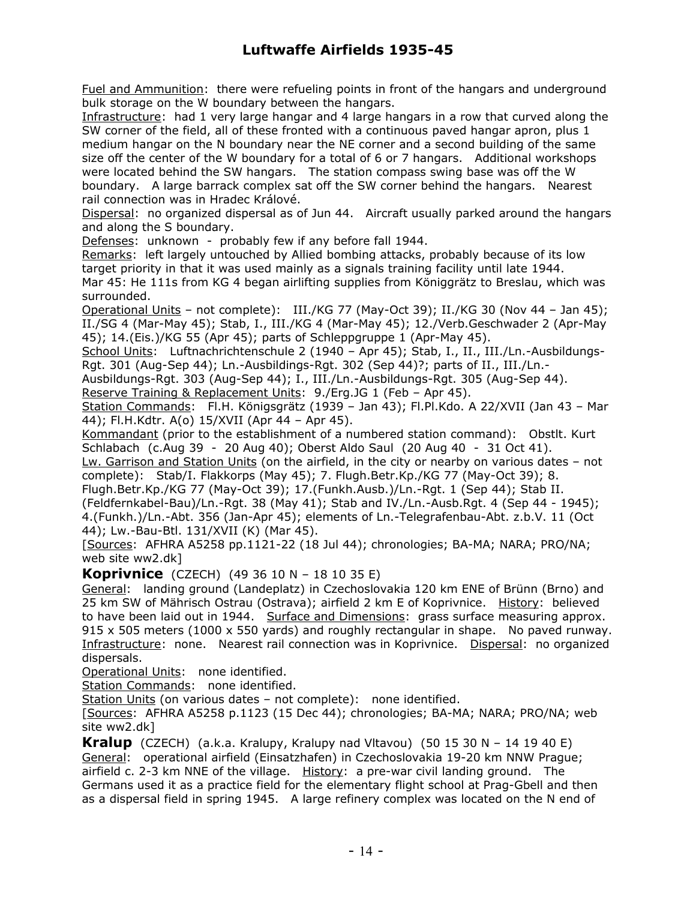Fuel and Ammunition: there were refueling points in front of the hangars and underground bulk storage on the W boundary between the hangars.

Infrastructure: had 1 very large hangar and 4 large hangars in a row that curved along the SW corner of the field, all of these fronted with a continuous paved hangar apron, plus 1 medium hangar on the N boundary near the NE corner and a second building of the same size off the center of the W boundary for a total of 6 or 7 hangars. Additional workshops were located behind the SW hangars. The station compass swing base was off the W boundary. A large barrack complex sat off the SW corner behind the hangars. Nearest rail connection was in Hradec Králové.

Dispersal: no organized dispersal as of Jun 44. Aircraft usually parked around the hangars and along the S boundary.

Defenses: unknown - probably few if any before fall 1944.

Remarks: left largely untouched by Allied bombing attacks, probably because of its low target priority in that it was used mainly as a signals training facility until late 1944. Mar 45: He 111s from KG 4 began airlifting supplies from Königgrätz to Breslau, which was surrounded.

Operational Units – not complete): III./KG 77 (May-Oct 39); II./KG 30 (Nov 44 – Jan 45); II./SG 4 (Mar-May 45); Stab, I., III./KG 4 (Mar-May 45); 12./Verb.Geschwader 2 (Apr-May 45); 14.(Eis.)/KG 55 (Apr 45); parts of Schleppgruppe 1 (Apr-May 45).

School Units: Luftnachrichtenschule 2 (1940 – Apr 45); Stab, I., II., III./Ln.-Ausbildungs-Rgt. 301 (Aug-Sep 44); Ln.-Ausbildings-Rgt. 302 (Sep 44)?; parts of II., III./Ln.-

Ausbildungs-Rgt. 303 (Aug-Sep 44); I., III./Ln.-Ausbildungs-Rgt. 305 (Aug-Sep 44).

Reserve Training & Replacement Units: 9./Erg.JG 1 (Feb – Apr 45).

Station Commands: Fl.H. Königsgrätz (1939 - Jan 43); Fl.Pl.Kdo. A 22/XVII (Jan 43 - Mar 44); Fl.H.Kdtr. A(o) 15/XVII (Apr 44 – Apr 45).

Kommandant (prior to the establishment of a numbered station command): Obstlt. Kurt Schlabach (c.Aug 39 - 20 Aug 40); Oberst Aldo Saul (20 Aug 40 - 31 Oct 41).

Lw. Garrison and Station Units (on the airfield, in the city or nearby on various dates – not complete): Stab/I. Flakkorps (May 45); 7. Flugh.Betr.Kp./KG 77 (May-Oct 39); 8.

Flugh.Betr.Kp./KG 77 (May-Oct 39); 17.(Funkh.Ausb.)/Ln.-Rgt. 1 (Sep 44); Stab II.

(Feldfernkabel-Bau)/Ln.-Rgt. 38 (May 41); Stab and IV./Ln.-Ausb.Rgt. 4 (Sep 44 - 1945); 4.(Funkh.)/Ln.-Abt. 356 (Jan-Apr 45); elements of Ln.-Telegrafenbau-Abt. z.b.V. 11 (Oct 44); Lw.-Bau-Btl. 131/XVII (K) (Mar 45).

[Sources: AFHRA A5258 pp.1121-22 (18 Jul 44); chronologies; BA-MA; NARA; PRO/NA; web site ww2.dk]

**Koprivnice** (CZECH) (49 36 10 N – 18 10 35 E)

General: landing ground (Landeplatz) in Czechoslovakia 120 km ENE of Brünn (Brno) and 25 km SW of Mährisch Ostrau (Ostrava); airfield 2 km E of Koprivnice. History: believed to have been laid out in 1944. Surface and Dimensions: grass surface measuring approx. 915 x 505 meters (1000 x 550 yards) and roughly rectangular in shape. No paved runway. Infrastructure: none. Nearest rail connection was in Koprivnice. Dispersal: no organized dispersals.

Operational Units: none identified.

Station Commands: none identified.

Station Units (on various dates - not complete): none identified.

[Sources: AFHRA A5258 p.1123 (15 Dec 44); chronologies; BA-MA; NARA; PRO/NA; web site ww2.dk]

**Kralup** (CZECH) (a.k.a. Kralupy, Kralupy nad Vltavou) (50 15 30 N – 14 19 40 E) General: operational airfield (Einsatzhafen) in Czechoslovakia 19-20 km NNW Prague; airfield c. 2-3 km NNE of the village. History: a pre-war civil landing ground. The Germans used it as a practice field for the elementary flight school at Prag-Gbell and then as a dispersal field in spring 1945. A large refinery complex was located on the N end of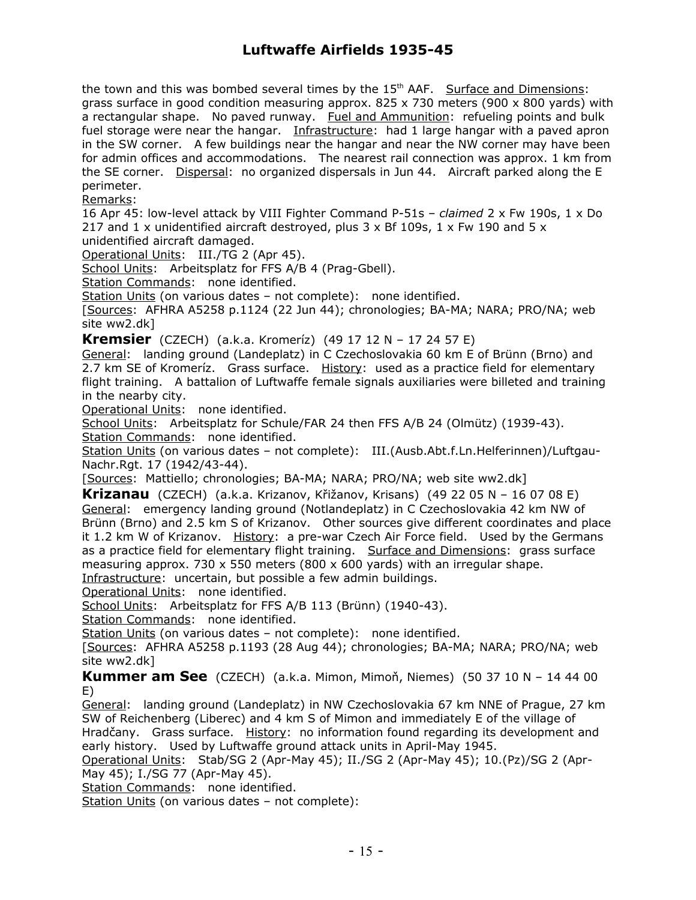the town and this was bombed several times by the  $15<sup>th</sup>$  AAF. Surface and Dimensions: grass surface in good condition measuring approx. 825  $\times$  730 meters (900  $\times$  800 yards) with a rectangular shape. No paved runway. Fuel and Ammunition: refueling points and bulk fuel storage were near the hangar. Infrastructure: had 1 large hangar with a paved apron in the SW corner. A few buildings near the hangar and near the NW corner may have been for admin offices and accommodations. The nearest rail connection was approx. 1 km from the SE corner. Dispersal: no organized dispersals in Jun 44. Aircraft parked along the E perimeter.

Remarks:

16 Apr 45: low-level attack by VIII Fighter Command P-51s – *claimed* 2 x Fw 190s, 1 x Do 217 and 1 x unidentified aircraft destroyed, plus  $3 \times$  Bf 109s, 1  $\times$  Fw 190 and 5  $\times$ unidentified aircraft damaged.

Operational Units: III./TG 2 (Apr 45).

School Units: Arbeitsplatz for FFS A/B 4 (Prag-Gbell).

Station Commands: none identified.

Station Units (on various dates – not complete): none identified.

[Sources: AFHRA A5258 p.1124 (22 Jun 44); chronologies; BA-MA; NARA; PRO/NA; web site ww2.dk]

**Kremsier** (CZECH) (a.k.a. Kromeríz) (49 17 12 N – 17 24 57 E)

General: landing ground (Landeplatz) in C Czechoslovakia 60 km E of Brünn (Brno) and 2.7 km SE of Kromeríz. Grass surface. History: used as a practice field for elementary flight training. A battalion of Luftwaffe female signals auxiliaries were billeted and training in the nearby city.

Operational Units: none identified.

School Units: Arbeitsplatz for Schule/FAR 24 then FFS A/B 24 (Olmütz) (1939-43). Station Commands: none identified.

Station Units (on various dates – not complete): III.(Ausb.Abt.f.Ln.Helferinnen)/Luftgau-Nachr.Rgt. 17 (1942/43-44).

[Sources: Mattiello; chronologies; BA-MA; NARA; PRO/NA; web site ww2.dk]

**Krizanau** (CZECH) (a.k.a. Krizanov, Křižanov, Krisans) (49 22 05 N – 16 07 08 E) General: emergency landing ground (Notlandeplatz) in C Czechoslovakia 42 km NW of Brünn (Brno) and 2.5 km S of Krizanov. Other sources give different coordinates and place it 1.2 km W of Krizanov. History: a pre-war Czech Air Force field. Used by the Germans as a practice field for elementary flight training. Surface and Dimensions: grass surface measuring approx. 730 x 550 meters (800 x 600 yards) with an irregular shape. Infrastructure: uncertain, but possible a few admin buildings.

Operational Units: none identified.

School Units: Arbeitsplatz for FFS A/B 113 (Brünn) (1940-43).

Station Commands: none identified.

Station Units (on various dates – not complete): none identified.

[Sources: AFHRA A5258 p.1193 (28 Aug 44); chronologies; BA-MA; NARA; PRO/NA; web site ww2.dk]

**Kummer am See** (CZECH) (a.k.a. Mimon, Mimoň, Niemes) (50 37 10 N – 14 44 00 E)

General: landing ground (Landeplatz) in NW Czechoslovakia 67 km NNE of Prague, 27 km SW of Reichenberg (Liberec) and 4 km S of Mimon and immediately E of the village of Hradčany. Grass surface. History: no information found regarding its development and early history. Used by Luftwaffe ground attack units in April-May 1945.

Operational Units: Stab/SG 2 (Apr-May 45); II./SG 2 (Apr-May 45); 10.(Pz)/SG 2 (Apr-May 45); I./SG 77 (Apr-May 45).

Station Commands: none identified.

Station Units (on various dates – not complete):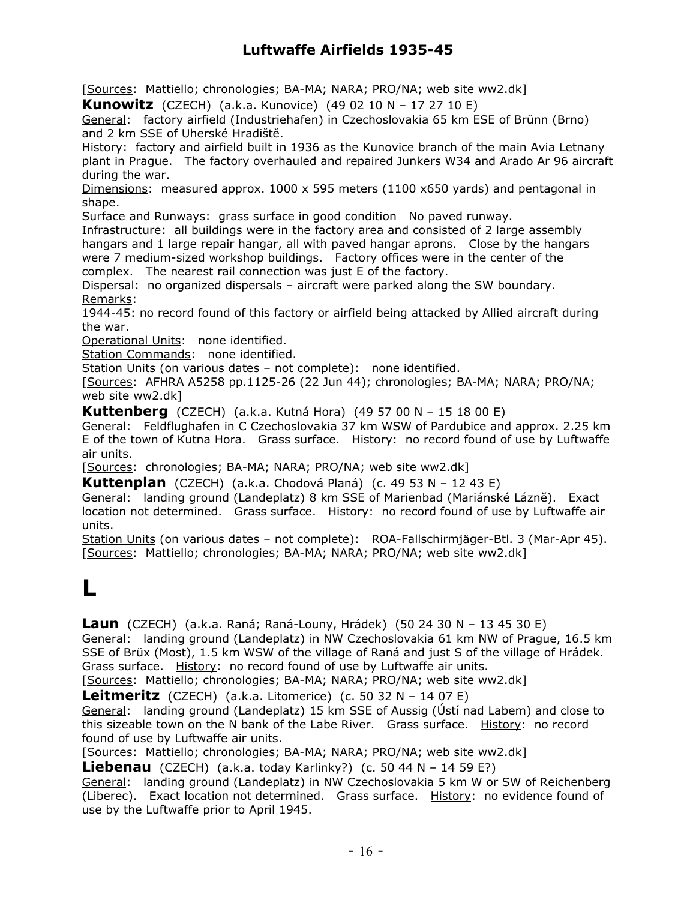[Sources: Mattiello; chronologies; BA-MA; NARA; PRO/NA; web site ww2.dk]

**Kunowitz** (CZECH) (a.k.a. Kunovice) (49 02 10 N – 17 27 10 E)

General: factory airfield (Industriehafen) in Czechoslovakia 65 km ESE of Brünn (Brno) and 2 km SSE of Uherské Hradiště.

History: factory and airfield built in 1936 as the Kunovice branch of the main Avia Letnany plant in Prague. The factory overhauled and repaired Junkers W34 and Arado Ar 96 aircraft during the war.

Dimensions: measured approx. 1000 x 595 meters (1100 x650 yards) and pentagonal in shape.

Surface and Runways: grass surface in good condition No paved runway.

Infrastructure: all buildings were in the factory area and consisted of 2 large assembly hangars and 1 large repair hangar, all with paved hangar aprons. Close by the hangars were 7 medium-sized workshop buildings. Factory offices were in the center of the complex. The nearest rail connection was just E of the factory.

Dispersal: no organized dispersals – aircraft were parked along the SW boundary. Remarks:

1944-45: no record found of this factory or airfield being attacked by Allied aircraft during the war.

Operational Units: none identified.

Station Commands: none identified.

Station Units (on various dates - not complete): none identified.

[Sources: AFHRA A5258 pp.1125-26 (22 Jun 44); chronologies; BA-MA; NARA; PRO/NA; web site ww2.dk]

**Kuttenberg** (CZECH) (a.k.a. Kutná Hora) (49 57 00 N – 15 18 00 E)

General: Feldflughafen in C Czechoslovakia 37 km WSW of Pardubice and approx. 2.25 km E of the town of Kutna Hora. Grass surface. History: no record found of use by Luftwaffe air units.

[Sources: chronologies; BA-MA; NARA; PRO/NA; web site ww2.dk]

**Kuttenplan** (CZECH) (a.k.a. Chodová Planá) (c. 49 53 N – 12 43 E)

General: landing ground (Landeplatz) 8 km SSE of Marienbad (Mariánské Lázně). Exact location not determined. Grass surface. History: no record found of use by Luftwaffe air units.

Station Units (on various dates - not complete): ROA-Fallschirmjäger-Btl. 3 (Mar-Apr 45). [Sources: Mattiello; chronologies; BA-MA; NARA; PRO/NA; web site ww2.dk]

# **L**

**Laun** (CZECH) (a.k.a. Raná; Raná-Louny, Hrádek) (50 24 30 N – 13 45 30 E) General: landing ground (Landeplatz) in NW Czechoslovakia 61 km NW of Prague, 16.5 km SSE of Brüx (Most), 1.5 km WSW of the village of Raná and just S of the village of Hrádek. Grass surface. History: no record found of use by Luftwaffe air units.

[Sources: Mattiello; chronologies; BA-MA; NARA; PRO/NA; web site ww2.dk]

**Leitmeritz** (CZECH) (a.k.a. Litomerice) (c. 50 32 N – 14 07 E)

General: landing ground (Landeplatz) 15 km SSE of Aussig (Ústí nad Labem) and close to this sizeable town on the N bank of the Labe River. Grass surface. History: no record found of use by Luftwaffe air units.

[Sources: Mattiello; chronologies; BA-MA; NARA; PRO/NA; web site ww2.dk]

**Liebenau** (CZECH) (a.k.a. today Karlinky?) (c. 50 44 N – 14 59 E?)

General: landing ground (Landeplatz) in NW Czechoslovakia 5 km W or SW of Reichenberg (Liberec). Exact location not determined. Grass surface. History: no evidence found of use by the Luftwaffe prior to April 1945.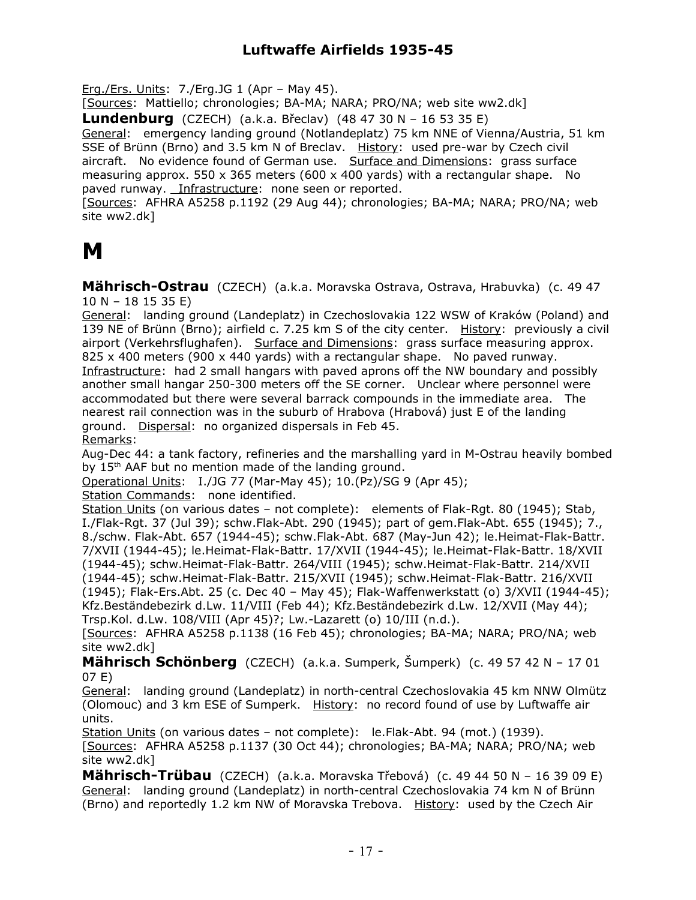Erg./Ers. Units: 7./Erg.JG 1 (Apr – May 45).

[Sources: Mattiello; chronologies; BA-MA; NARA; PRO/NA; web site ww2.dk]

**Lundenburg** (CZECH) (a.k.a. Břeclav) (48 47 30 N – 16 53 35 E)

General: emergency landing ground (Notlandeplatz) 75 km NNE of Vienna/Austria, 51 km SSE of Brünn (Brno) and 3.5 km N of Breclav. History: used pre-war by Czech civil aircraft. No evidence found of German use. Surface and Dimensions: grass surface measuring approx. 550 x 365 meters (600 x 400 yards) with a rectangular shape. No paved runway. Infrastructure: none seen or reported.

[Sources: AFHRA A5258 p.1192 (29 Aug 44); chronologies; BA-MA; NARA; PRO/NA; web site ww2.dk]

### **M**

**Mährisch-Ostrau** (CZECH) (a.k.a. Moravska Ostrava, Ostrava, Hrabuvka) (c. 49 47 10 N – 18 15 35 E)

General: landing ground (Landeplatz) in Czechoslovakia 122 WSW of Kraków (Poland) and 139 NE of Brünn (Brno); airfield c. 7.25 km S of the city center. History: previously a civil airport (Verkehrsflughafen). Surface and Dimensions: grass surface measuring approx. 825 x 400 meters (900 x 440 yards) with a rectangular shape. No paved runway. Infrastructure: had 2 small hangars with paved aprons off the NW boundary and possibly another small hangar 250-300 meters off the SE corner. Unclear where personnel were accommodated but there were several barrack compounds in the immediate area. The nearest rail connection was in the suburb of Hrabova (Hrabová) just E of the landing ground. Dispersal: no organized dispersals in Feb 45.

Remarks:

Aug-Dec 44: a tank factory, refineries and the marshalling yard in M-Ostrau heavily bombed by 15<sup>th</sup> AAF but no mention made of the landing ground.

Operational Units: I./JG 77 (Mar-May 45); 10.(Pz)/SG 9 (Apr 45);

Station Commands: none identified.

Station Units (on various dates – not complete): elements of Flak-Rgt. 80 (1945); Stab, I./Flak-Rgt. 37 (Jul 39); schw.Flak-Abt. 290 (1945); part of gem.Flak-Abt. 655 (1945); 7., 8./schw. Flak-Abt. 657 (1944-45); schw.Flak-Abt. 687 (May-Jun 42); le.Heimat-Flak-Battr. 7/XVII (1944-45); le.Heimat-Flak-Battr. 17/XVII (1944-45); le.Heimat-Flak-Battr. 18/XVII (1944-45); schw.Heimat-Flak-Battr. 264/VIII (1945); schw.Heimat-Flak-Battr. 214/XVII (1944-45); schw.Heimat-Flak-Battr. 215/XVII (1945); schw.Heimat-Flak-Battr. 216/XVII (1945); Flak-Ers.Abt. 25 (c. Dec 40 – May 45); Flak-Waffenwerkstatt (o) 3/XVII (1944-45); Kfz.Beständebezirk d.Lw. 11/VIII (Feb 44); Kfz.Beständebezirk d.Lw. 12/XVII (May 44); Trsp.Kol. d.Lw. 108/VIII (Apr 45)?; Lw.-Lazarett (o) 10/III (n.d.).

[Sources: AFHRA A5258 p.1138 (16 Feb 45); chronologies; BA-MA; NARA; PRO/NA; web site ww2.dk]

**Mährisch Schönberg** (CZECH) (a.k.a. Sumperk, Šumperk) (c. 49 57 42 N – 17 01 07 E)

General: landing ground (Landeplatz) in north-central Czechoslovakia 45 km NNW Olmütz (Olomouc) and 3 km ESE of Sumperk. History: no record found of use by Luftwaffe air units.

Station Units (on various dates - not complete): le.Flak-Abt. 94 (mot.) (1939). [Sources: AFHRA A5258 p.1137 (30 Oct 44); chronologies; BA-MA; NARA; PRO/NA; web site ww2.dk]

**Mährisch-Trübau** (CZECH) (a.k.a. Moravska Třebová) (c. 49 44 50 N – 16 39 09 E) General: landing ground (Landeplatz) in north-central Czechoslovakia 74 km N of Brünn (Brno) and reportedly 1.2 km NW of Moravska Trebova. History: used by the Czech Air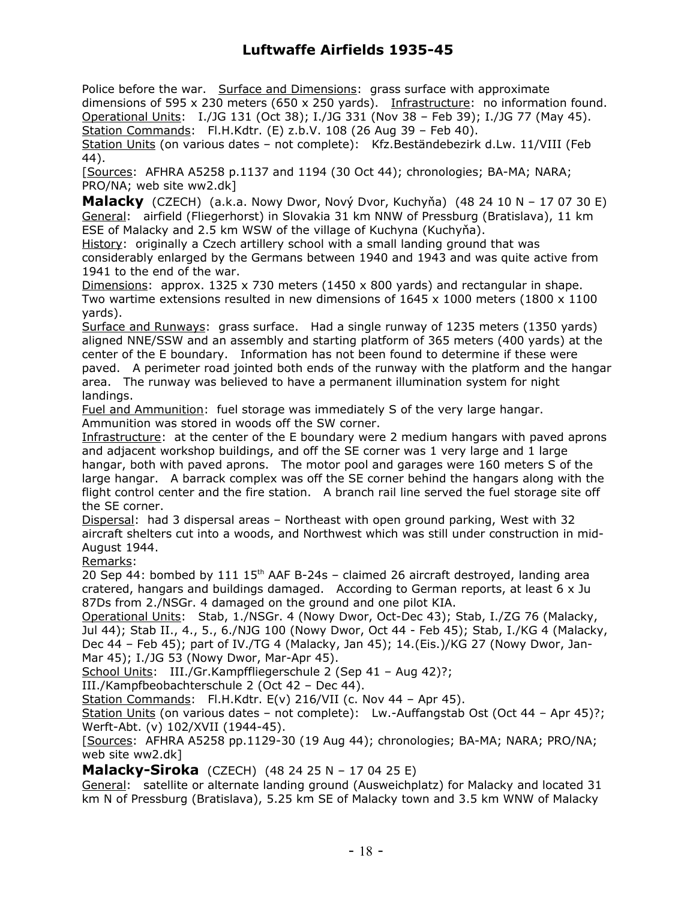Police before the war. Surface and Dimensions: grass surface with approximate dimensions of 595 x 230 meters (650 x 250 yards). Infrastructure: no information found. Operational Units: I./JG 131 (Oct 38); I./JG 331 (Nov 38 – Feb 39); I./JG 77 (May 45). Station Commands: Fl.H.Kdtr. (E) z.b.V. 108 (26 Aug 39 – Feb 40). Station Units (on various dates – not complete): Kfz.Beständebezirk d.Lw. 11/VIII (Feb 44).

[Sources: AFHRA A5258 p.1137 and 1194 (30 Oct 44); chronologies; BA-MA; NARA; PRO/NA; web site ww2.dk]

**Malacky** (CZECH) (a.k.a. Nowy Dwor, Nový Dvor, Kuchyňa) (48 24 10 N – 17 07 30 E) General: airfield (Fliegerhorst) in Slovakia 31 km NNW of Pressburg (Bratislava), 11 km ESE of Malacky and 2.5 km WSW of the village of Kuchyna (Kuchyňa).

History: originally a Czech artillery school with a small landing ground that was considerably enlarged by the Germans between 1940 and 1943 and was quite active from 1941 to the end of the war.

Dimensions: approx. 1325 x 730 meters (1450 x 800 yards) and rectangular in shape. Two wartime extensions resulted in new dimensions of  $1645 \times 1000$  meters ( $1800 \times 1100$ ) yards).

Surface and Runways: grass surface. Had a single runway of 1235 meters (1350 yards) aligned NNE/SSW and an assembly and starting platform of 365 meters (400 yards) at the center of the E boundary. Information has not been found to determine if these were paved. A perimeter road jointed both ends of the runway with the platform and the hangar area. The runway was believed to have a permanent illumination system for night landings.

Fuel and Ammunition: fuel storage was immediately S of the very large hangar. Ammunition was stored in woods off the SW corner.

Infrastructure: at the center of the E boundary were 2 medium hangars with paved aprons and adjacent workshop buildings, and off the SE corner was 1 very large and 1 large hangar, both with paved aprons. The motor pool and garages were 160 meters S of the large hangar. A barrack complex was off the SE corner behind the hangars along with the flight control center and the fire station. A branch rail line served the fuel storage site off the SE corner.

Dispersal: had 3 dispersal areas – Northeast with open ground parking, West with 32 aircraft shelters cut into a woods, and Northwest which was still under construction in mid-August 1944.

Remarks:

20 Sep 44: bombed by 111 15<sup>th</sup> AAF B-24s - claimed 26 aircraft destroyed, landing area cratered, hangars and buildings damaged. According to German reports, at least 6 x Ju 87Ds from 2./NSGr. 4 damaged on the ground and one pilot KIA.

Operational Units: Stab, 1./NSGr. 4 (Nowy Dwor, Oct-Dec 43); Stab, I./ZG 76 (Malacky, Jul 44); Stab II., 4., 5., 6./NJG 100 (Nowy Dwor, Oct 44 - Feb 45); Stab, I./KG 4 (Malacky, Dec 44 – Feb 45); part of IV./TG 4 (Malacky, Jan 45); 14.(Eis.)/KG 27 (Nowy Dwor, Jan-Mar 45); I./JG 53 (Nowy Dwor, Mar-Apr 45).

School Units: III./Gr.Kampffliegerschule 2 (Sep 41 - Aug 42)?;

III./Kampfbeobachterschule 2 (Oct 42 – Dec 44).

Station Commands: Fl.H.Kdtr. E(v) 216/VII (c. Nov 44 - Apr 45).

Station Units (on various dates – not complete): Lw.-Auffangstab Ost (Oct 44 – Apr 45)?; Werft-Abt. (v) 102/XVII (1944-45).

[Sources: AFHRA A5258 pp.1129-30 (19 Aug 44); chronologies; BA-MA; NARA; PRO/NA; web site ww2.dk]

**Malacky-Siroka** (CZECH) (48 24 25 N – 17 04 25 E)

General: satellite or alternate landing ground (Ausweichplatz) for Malacky and located 31 km N of Pressburg (Bratislava), 5.25 km SE of Malacky town and 3.5 km WNW of Malacky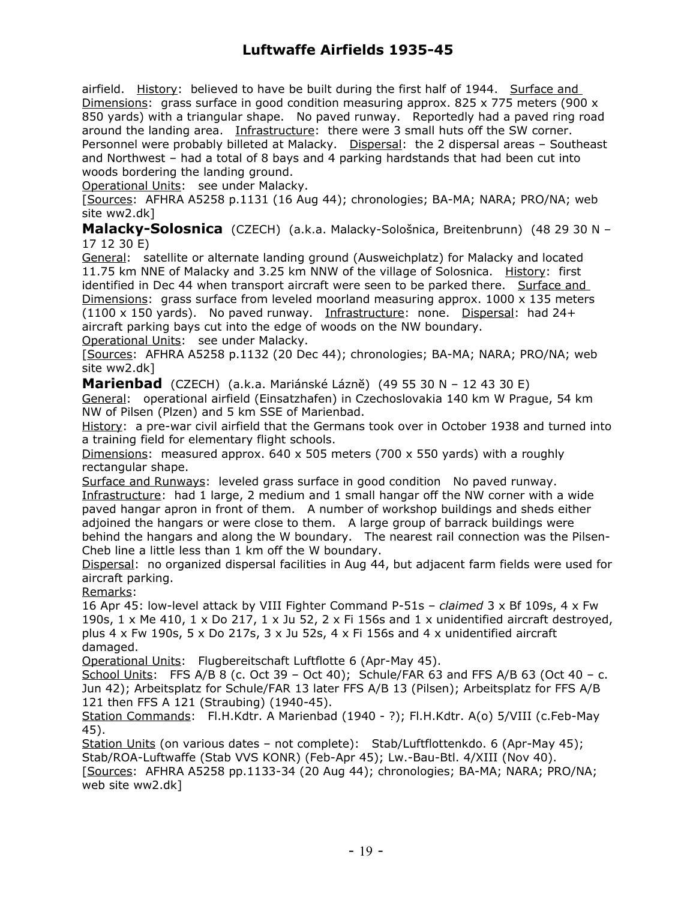airfield. History: believed to have be built during the first half of 1944. Surface and Dimensions: grass surface in good condition measuring approx. 825 x 775 meters (900 x 850 yards) with a triangular shape. No paved runway. Reportedly had a paved ring road around the landing area. Infrastructure: there were 3 small huts off the SW corner. Personnel were probably billeted at Malacky. Dispersal: the 2 dispersal areas - Southeast and Northwest – had a total of 8 bays and 4 parking hardstands that had been cut into woods bordering the landing ground.

Operational Units: see under Malacky.

[Sources: AFHRA A5258 p.1131 (16 Aug 44); chronologies; BA-MA; NARA; PRO/NA; web site ww2.dk]

**Malacky-Solosnica** (CZECH) (a.k.a. Malacky-Sološnica, Breitenbrunn) (48 29 30 N – 17 12 30 E)

General: satellite or alternate landing ground (Ausweichplatz) for Malacky and located 11.75 km NNE of Malacky and 3.25 km NNW of the village of Solosnica. History: first identified in Dec 44 when transport aircraft were seen to be parked there. Surface and Dimensions: grass surface from leveled moorland measuring approx.  $1000 \times 135$  meters (1100 x 150 yards). No paved runway. Infrastructure: none. Dispersal: had 24+ aircraft parking bays cut into the edge of woods on the NW boundary.

Operational Units: see under Malacky.

[Sources: AFHRA A5258 p.1132 (20 Dec 44); chronologies; BA-MA; NARA; PRO/NA; web site ww2.dk]

**Marienbad** (CZECH) (a.k.a. Mariánské Láznĕ) (49 55 30 N – 12 43 30 E) General: operational airfield (Einsatzhafen) in Czechoslovakia 140 km W Prague, 54 km NW of Pilsen (Plzen) and 5 km SSE of Marienbad.

History: a pre-war civil airfield that the Germans took over in October 1938 and turned into a training field for elementary flight schools.

Dimensions: measured approx.  $640 \times 505$  meters (700 x 550 yards) with a roughly rectangular shape.

Surface and Runways: leveled grass surface in good condition No paved runway. Infrastructure: had 1 large, 2 medium and 1 small hangar off the NW corner with a wide paved hangar apron in front of them. A number of workshop buildings and sheds either adjoined the hangars or were close to them. A large group of barrack buildings were behind the hangars and along the W boundary. The nearest rail connection was the Pilsen-Cheb line a little less than 1 km off the W boundary.

Dispersal: no organized dispersal facilities in Aug 44, but adjacent farm fields were used for aircraft parking.

Remarks:

16 Apr 45: low-level attack by VIII Fighter Command P-51s – *claimed* 3 x Bf 109s, 4 x Fw 190s,  $1 \times$  Me 410,  $1 \times$  Do 217,  $1 \times$  Ju 52,  $2 \times$  Fi 156s and  $1 \times$  unidentified aircraft destroyed, plus 4 x Fw 190s, 5 x Do 217s, 3 x Ju 52s, 4 x Fi 156s and 4 x unidentified aircraft damaged.

Operational Units: Flugbereitschaft Luftflotte 6 (Apr-May 45).

School Units: FFS A/B 8 (c. Oct 39 – Oct 40); Schule/FAR 63 and FFS A/B 63 (Oct 40 – c. Jun 42); Arbeitsplatz for Schule/FAR 13 later FFS A/B 13 (Pilsen); Arbeitsplatz for FFS A/B 121 then FFS A 121 (Straubing) (1940-45).

Station Commands: Fl.H.Kdtr. A Marienbad (1940 - ?); Fl.H.Kdtr. A(o) 5/VIII (c.Feb-May 45).

Station Units (on various dates - not complete): Stab/Luftflottenkdo. 6 (Apr-May 45); Stab/ROA-Luftwaffe (Stab VVS KONR) (Feb-Apr 45); Lw.-Bau-Btl. 4/XIII (Nov 40). [Sources: AFHRA A5258 pp.1133-34 (20 Aug 44); chronologies; BA-MA; NARA; PRO/NA; web site ww2.dk]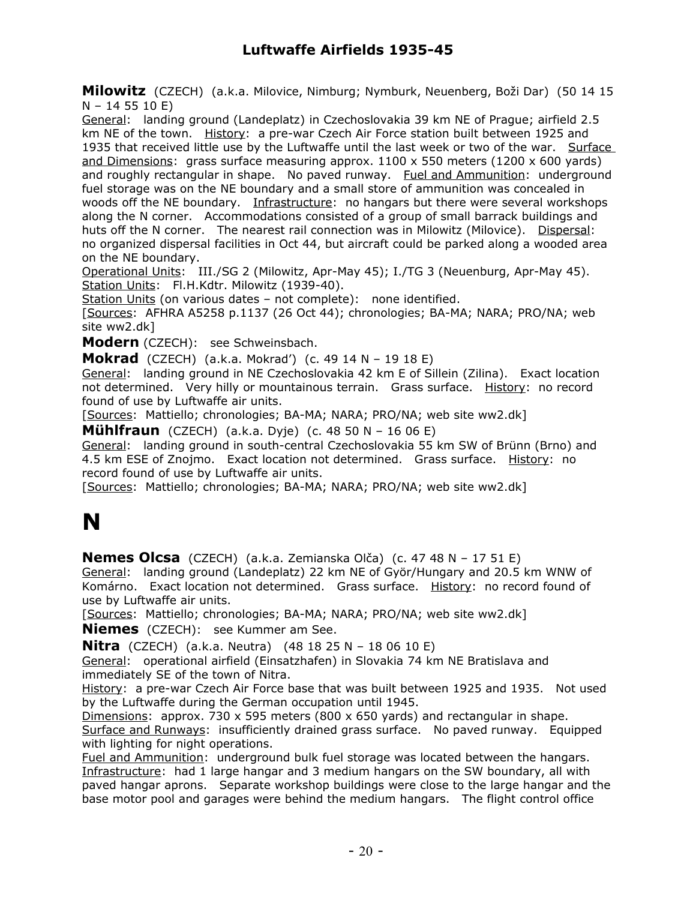**Milowitz** (CZECH) (a.k.a. Milovice, Nimburg; Nymburk, Neuenberg, Boži Dar) (50 14 15 N – 14 55 10 E)

General: landing ground (Landeplatz) in Czechoslovakia 39 km NE of Prague; airfield 2.5 km NE of the town. History: a pre-war Czech Air Force station built between 1925 and 1935 that received little use by the Luftwaffe until the last week or two of the war. Surface and Dimensions: grass surface measuring approx. 1100 x 550 meters (1200 x 600 yards) and roughly rectangular in shape. No paved runway. Fuel and Ammunition: underground fuel storage was on the NE boundary and a small store of ammunition was concealed in woods off the NE boundary. Infrastructure: no hangars but there were several workshops along the N corner. Accommodations consisted of a group of small barrack buildings and huts off the N corner. The nearest rail connection was in Milowitz (Milovice). Dispersal: no organized dispersal facilities in Oct 44, but aircraft could be parked along a wooded area on the NE boundary.

Operational Units: III./SG 2 (Milowitz, Apr-May 45); I./TG 3 (Neuenburg, Apr-May 45). Station Units: Fl.H.Kdtr. Milowitz (1939-40).

Station Units (on various dates - not complete): none identified.

[Sources: AFHRA A5258 p.1137 (26 Oct 44); chronologies; BA-MA; NARA; PRO/NA; web site ww2.dk]

**Modern** (CZECH): see Schweinsbach.

**Mokrad** (CZECH) (a.k.a. Mokrad') (c. 49 14 N – 19 18 E)

General: landing ground in NE Czechoslovakia 42 km E of Sillein (Zilina). Exact location not determined. Very hilly or mountainous terrain. Grass surface. History: no record found of use by Luftwaffe air units.

[Sources: Mattiello; chronologies; BA-MA; NARA; PRO/NA; web site ww2.dk]

**Mühlfraun** (CZECH) (a.k.a. Dyje) (c. 48 50 N – 16 06 E)

General: landing ground in south-central Czechoslovakia 55 km SW of Brünn (Brno) and 4.5 km ESE of Znojmo. Exact location not determined. Grass surface. History: no record found of use by Luftwaffe air units.

[Sources: Mattiello; chronologies; BA-MA; NARA; PRO/NA; web site ww2.dk]

## **N**

**Nemes Olcsa** (CZECH) (a.k.a. Zemianska Olča) (c. 47 48 N – 17 51 E)

General: landing ground (Landeplatz) 22 km NE of Györ/Hungary and 20.5 km WNW of Komárno. Exact location not determined. Grass surface. History: no record found of use by Luftwaffe air units.

[Sources: Mattiello; chronologies; BA-MA; NARA; PRO/NA; web site ww2.dk]

**Niemes** (CZECH): see Kummer am See.

**Nitra** (CZECH) (a.k.a. Neutra) (48 18 25 N – 18 06 10 E)

General: operational airfield (Einsatzhafen) in Slovakia 74 km NE Bratislava and immediately SE of the town of Nitra.

History: a pre-war Czech Air Force base that was built between 1925 and 1935. Not used by the Luftwaffe during the German occupation until 1945.

Dimensions: approx. 730  $\times$  595 meters (800  $\times$  650 yards) and rectangular in shape. Surface and Runways: insufficiently drained grass surface. No paved runway. Equipped with lighting for night operations.

Fuel and Ammunition: underground bulk fuel storage was located between the hangars. Infrastructure: had 1 large hangar and 3 medium hangars on the SW boundary, all with paved hangar aprons. Separate workshop buildings were close to the large hangar and the base motor pool and garages were behind the medium hangars. The flight control office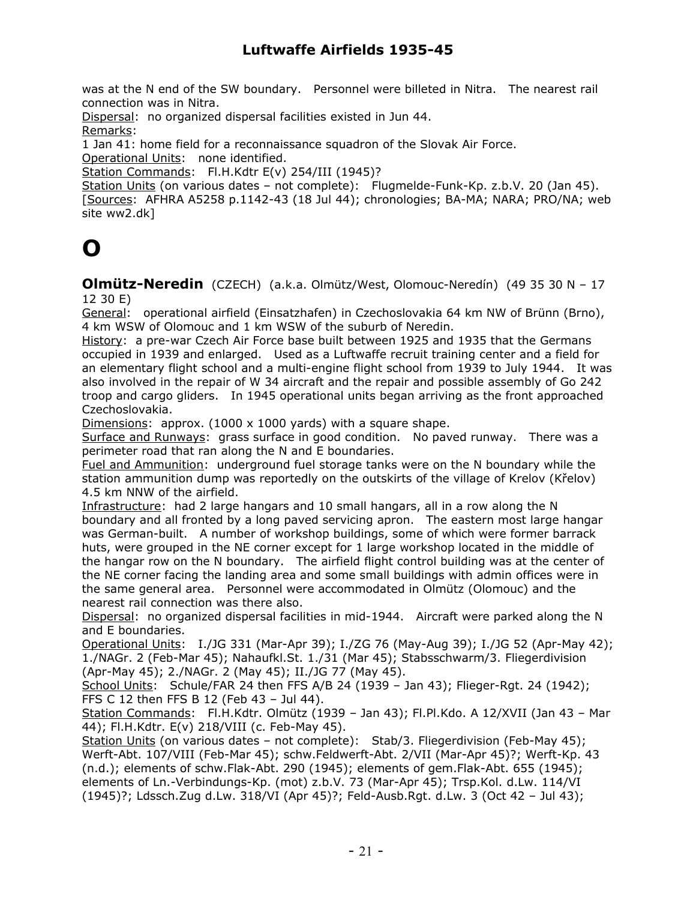was at the N end of the SW boundary. Personnel were billeted in Nitra. The nearest rail connection was in Nitra.

Dispersal: no organized dispersal facilities existed in Jun 44. Remarks:

1 Jan 41: home field for a reconnaissance squadron of the Slovak Air Force.

Operational Units: none identified.

Station Commands: Fl.H.Kdtr E(v) 254/III (1945)?

Station Units (on various dates - not complete): Flugmelde-Funk-Kp. z.b.V. 20 (Jan 45). [Sources: AFHRA A5258 p.1142-43 (18 Jul 44); chronologies; BA-MA; NARA; PRO/NA; web site ww2.dk]

## **O**

**Olmütz-Neredin** (CZECH) (a.k.a. Olmütz/West, Olomouc-Neredín) (49 35 30 N – 17 12 30 E)

General: operational airfield (Einsatzhafen) in Czechoslovakia 64 km NW of Brünn (Brno), 4 km WSW of Olomouc and 1 km WSW of the suburb of Neredin.

History: a pre-war Czech Air Force base built between 1925 and 1935 that the Germans occupied in 1939 and enlarged. Used as a Luftwaffe recruit training center and a field for an elementary flight school and a multi-engine flight school from 1939 to July 1944. It was also involved in the repair of W 34 aircraft and the repair and possible assembly of Go 242 troop and cargo gliders. In 1945 operational units began arriving as the front approached Czechoslovakia.

Dimensions: approx.  $(1000 \times 1000 \text{ yards})$  with a square shape.

Surface and Runways: grass surface in good condition. No paved runway. There was a perimeter road that ran along the N and E boundaries.

Fuel and Ammunition: underground fuel storage tanks were on the N boundary while the station ammunition dump was reportedly on the outskirts of the village of Krelov (Křelov) 4.5 km NNW of the airfield.

Infrastructure: had 2 large hangars and 10 small hangars, all in a row along the N boundary and all fronted by a long paved servicing apron. The eastern most large hangar was German-built. A number of workshop buildings, some of which were former barrack huts, were grouped in the NE corner except for 1 large workshop located in the middle of the hangar row on the N boundary. The airfield flight control building was at the center of the NE corner facing the landing area and some small buildings with admin offices were in the same general area. Personnel were accommodated in Olmütz (Olomouc) and the nearest rail connection was there also.

Dispersal: no organized dispersal facilities in mid-1944. Aircraft were parked along the N and E boundaries.

Operational Units: I./JG 331 (Mar-Apr 39); I./ZG 76 (May-Aug 39); I./JG 52 (Apr-May 42); 1./NAGr. 2 (Feb-Mar 45); Nahaufkl.St. 1./31 (Mar 45); Stabsschwarm/3. Fliegerdivision (Apr-May 45); 2./NAGr. 2 (May 45); II./JG 77 (May 45).

School Units: Schule/FAR 24 then FFS A/B 24 (1939 – Jan 43); Flieger-Rgt. 24 (1942); FFS C 12 then FFS B 12 (Feb 43 – Jul 44).

Station Commands: Fl.H.Kdtr. Olmütz (1939 – Jan 43); Fl.Pl.Kdo. A 12/XVII (Jan 43 – Mar 44); Fl.H.Kdtr. E(v) 218/VIII (c. Feb-May 45).

Station Units (on various dates – not complete): Stab/3. Fliegerdivision (Feb-May 45); Werft-Abt. 107/VIII (Feb-Mar 45); schw.Feldwerft-Abt. 2/VII (Mar-Apr 45)?; Werft-Kp. 43 (n.d.); elements of schw.Flak-Abt. 290 (1945); elements of gem.Flak-Abt. 655 (1945); elements of Ln.-Verbindungs-Kp. (mot) z.b.V. 73 (Mar-Apr 45); Trsp.Kol. d.Lw. 114/VI (1945)?; Ldssch.Zug d.Lw. 318/VI (Apr 45)?; Feld-Ausb.Rgt. d.Lw. 3 (Oct 42 – Jul 43);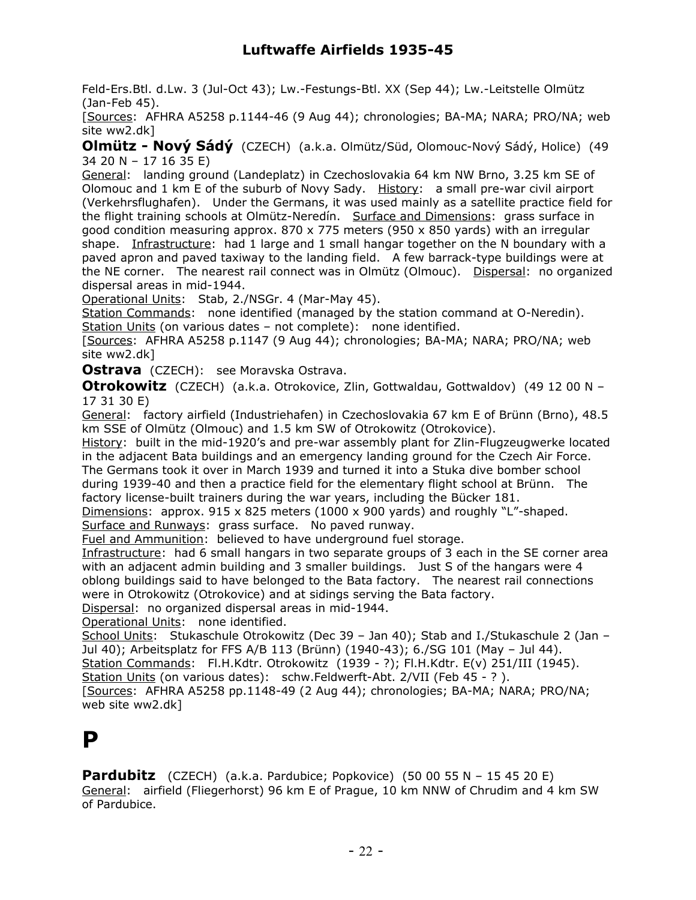Feld-Ers.Btl. d.Lw. 3 (Jul-Oct 43); Lw.-Festungs-Btl. XX (Sep 44); Lw.-Leitstelle Olmütz (Jan-Feb 45).

[Sources: AFHRA A5258 p.1144-46 (9 Aug 44); chronologies; BA-MA; NARA; PRO/NA; web site ww2.dk]

**Olmütz - Nový Sádý** (CZECH) (a.k.a. Olmütz/Süd, Olomouc-Nový Sádý, Holice) (49 34 20 N – 17 16 35 E)

General: landing ground (Landeplatz) in Czechoslovakia 64 km NW Brno, 3.25 km SE of Olomouc and 1 km E of the suburb of Novy Sady. History: a small pre-war civil airport (Verkehrsflughafen). Under the Germans, it was used mainly as a satellite practice field for the flight training schools at Olmütz-Neredín. Surface and Dimensions: grass surface in good condition measuring approx.  $870 \times 775$  meters (950 x 850 yards) with an irregular shape. Infrastructure: had 1 large and 1 small hangar together on the N boundary with a paved apron and paved taxiway to the landing field. A few barrack-type buildings were at the NE corner. The nearest rail connect was in Olmütz (Olmouc). Dispersal: no organized dispersal areas in mid-1944.

Operational Units: Stab, 2./NSGr. 4 (Mar-May 45).

Station Commands: none identified (managed by the station command at O-Neredin). Station Units (on various dates – not complete): none identified.

[Sources: AFHRA A5258 p.1147 (9 Aug 44); chronologies; BA-MA; NARA; PRO/NA; web site ww2.dk]

**Ostrava** (CZECH): see Moravska Ostrava.

**Otrokowitz** (CZECH) (a.k.a. Otrokovice, Zlin, Gottwaldau, Gottwaldov) (49 12 00 N – 17 31 30 E)

General: factory airfield (Industriehafen) in Czechoslovakia 67 km E of Brünn (Brno), 48.5 km SSE of Olmütz (Olmouc) and 1.5 km SW of Otrokowitz (Otrokovice).

History: built in the mid-1920's and pre-war assembly plant for Zlin-Flugzeugwerke located in the adjacent Bata buildings and an emergency landing ground for the Czech Air Force. The Germans took it over in March 1939 and turned it into a Stuka dive bomber school during 1939-40 and then a practice field for the elementary flight school at Brünn. The

factory license-built trainers during the war years, including the Bücker 181.

Dimensions: approx.  $915 \times 825$  meters (1000 x 900 yards) and roughly "L"-shaped. Surface and Runways: grass surface. No paved runway.

Fuel and Ammunition: believed to have underground fuel storage.

Infrastructure: had 6 small hangars in two separate groups of 3 each in the SE corner area with an adjacent admin building and 3 smaller buildings. Just S of the hangars were 4 oblong buildings said to have belonged to the Bata factory. The nearest rail connections were in Otrokowitz (Otrokovice) and at sidings serving the Bata factory.

Dispersal: no organized dispersal areas in mid-1944.

Operational Units: none identified.

School Units: Stukaschule Otrokowitz (Dec 39 - Jan 40); Stab and I./Stukaschule 2 (Jan -Jul 40); Arbeitsplatz for FFS A/B 113 (Brünn) (1940-43); 6./SG 101 (May – Jul 44). Station Commands: Fl.H.Kdtr. Otrokowitz (1939 - ?); Fl.H.Kdtr. E(v) 251/III (1945). Station Units (on various dates): schw.Feldwerft-Abt. 2/VII (Feb 45 - ?). [Sources: AFHRA A5258 pp.1148-49 (2 Aug 44); chronologies; BA-MA; NARA; PRO/NA; web site ww2.dk]

### **P**

**Pardubitz** (CZECH) (a.k.a. Pardubice; Popkovice) (50 00 55 N – 15 45 20 E) General: airfield (Fliegerhorst) 96 km E of Prague, 10 km NNW of Chrudim and 4 km SW of Pardubice.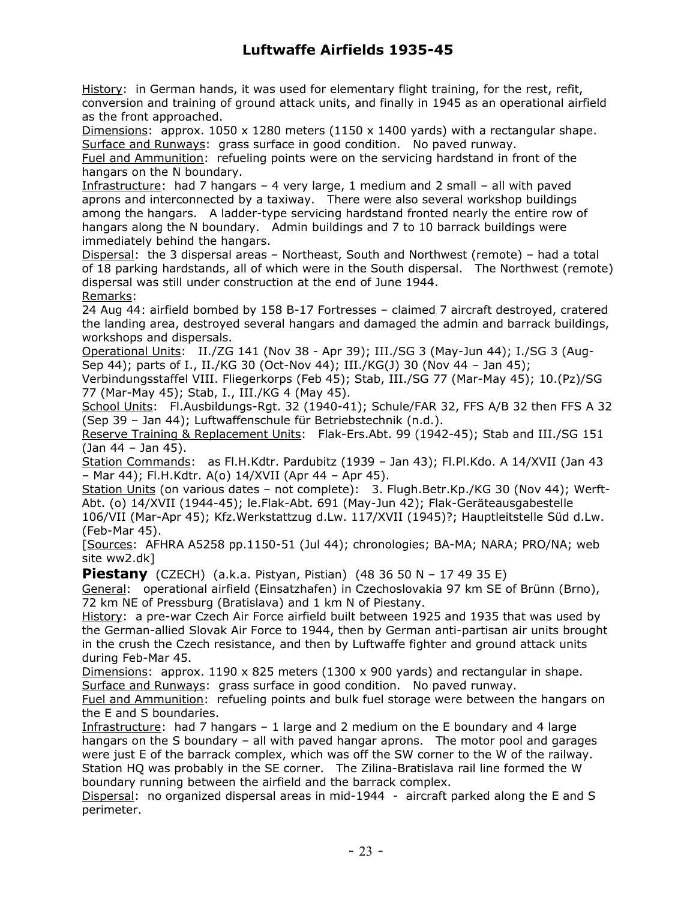History: in German hands, it was used for elementary flight training, for the rest, refit, conversion and training of ground attack units, and finally in 1945 as an operational airfield as the front approached.

Dimensions: approx.  $1050 \times 1280$  meters ( $1150 \times 1400$  yards) with a rectangular shape. Surface and Runways: grass surface in good condition. No paved runway.

Fuel and Ammunition: refueling points were on the servicing hardstand in front of the hangars on the N boundary.

Infrastructure: had 7 hangars – 4 very large, 1 medium and 2 small – all with paved aprons and interconnected by a taxiway. There were also several workshop buildings among the hangars. A ladder-type servicing hardstand fronted nearly the entire row of hangars along the N boundary. Admin buildings and 7 to 10 barrack buildings were immediately behind the hangars.

Dispersal: the 3 dispersal areas – Northeast, South and Northwest (remote) – had a total of 18 parking hardstands, all of which were in the South dispersal. The Northwest (remote) dispersal was still under construction at the end of June 1944. Remarks:

24 Aug 44: airfield bombed by 158 B-17 Fortresses – claimed 7 aircraft destroyed, cratered the landing area, destroyed several hangars and damaged the admin and barrack buildings, workshops and dispersals.

Operational Units: II./ZG 141 (Nov 38 - Apr 39); III./SG 3 (May-Jun 44); I./SG 3 (Aug-Sep 44); parts of I., II./KG 30 (Oct-Nov 44); III./KG(J) 30 (Nov 44 – Jan 45);

Verbindungsstaffel VIII. Fliegerkorps (Feb 45); Stab, III./SG 77 (Mar-May 45); 10.(Pz)/SG 77 (Mar-May 45); Stab, I., III./KG 4 (May 45).

School Units: Fl.Ausbildungs-Rgt. 32 (1940-41); Schule/FAR 32, FFS A/B 32 then FFS A 32 (Sep 39 – Jan 44); Luftwaffenschule für Betriebstechnik (n.d.).

Reserve Training & Replacement Units: Flak-Ers.Abt. 99 (1942-45); Stab and III./SG 151 (Jan 44 – Jan 45).

Station Commands: as Fl.H.Kdtr. Pardubitz (1939 - Jan 43); Fl.Pl.Kdo. A 14/XVII (Jan 43 – Mar 44); Fl.H.Kdtr. A(o) 14/XVII (Apr 44 – Apr 45).

Station Units (on various dates - not complete): 3. Flugh.Betr.Kp./KG 30 (Nov 44); Werft-Abt. (o) 14/XVII (1944-45); le.Flak-Abt. 691 (May-Jun 42); Flak-Geräteausgabestelle

106/VII (Mar-Apr 45); Kfz.Werkstattzug d.Lw. 117/XVII (1945)?; Hauptleitstelle Süd d.Lw. (Feb-Mar 45).

[Sources: AFHRA A5258 pp.1150-51 (Jul 44); chronologies; BA-MA; NARA; PRO/NA; web site ww2.dk]

**Piestany** (CZECH) (a.k.a. Pistyan, Pistian) (48 36 50 N – 17 49 35 E)

General: operational airfield (Einsatzhafen) in Czechoslovakia 97 km SE of Brünn (Brno), 72 km NE of Pressburg (Bratislava) and 1 km N of Piestany.

History: a pre-war Czech Air Force airfield built between 1925 and 1935 that was used by the German-allied Slovak Air Force to 1944, then by German anti-partisan air units brought in the crush the Czech resistance, and then by Luftwaffe fighter and ground attack units during Feb-Mar 45.

Dimensions: approx. 1190 x 825 meters (1300 x 900 yards) and rectangular in shape. Surface and Runways: grass surface in good condition. No paved runway.

Fuel and Ammunition: refueling points and bulk fuel storage were between the hangars on the E and S boundaries.

Infrastructure: had 7 hangars – 1 large and 2 medium on the E boundary and 4 large hangars on the S boundary – all with paved hangar aprons. The motor pool and garages were just E of the barrack complex, which was off the SW corner to the W of the railway. Station HQ was probably in the SE corner. The Zilina-Bratislava rail line formed the W boundary running between the airfield and the barrack complex.

Dispersal: no organized dispersal areas in mid-1944 - aircraft parked along the E and S perimeter.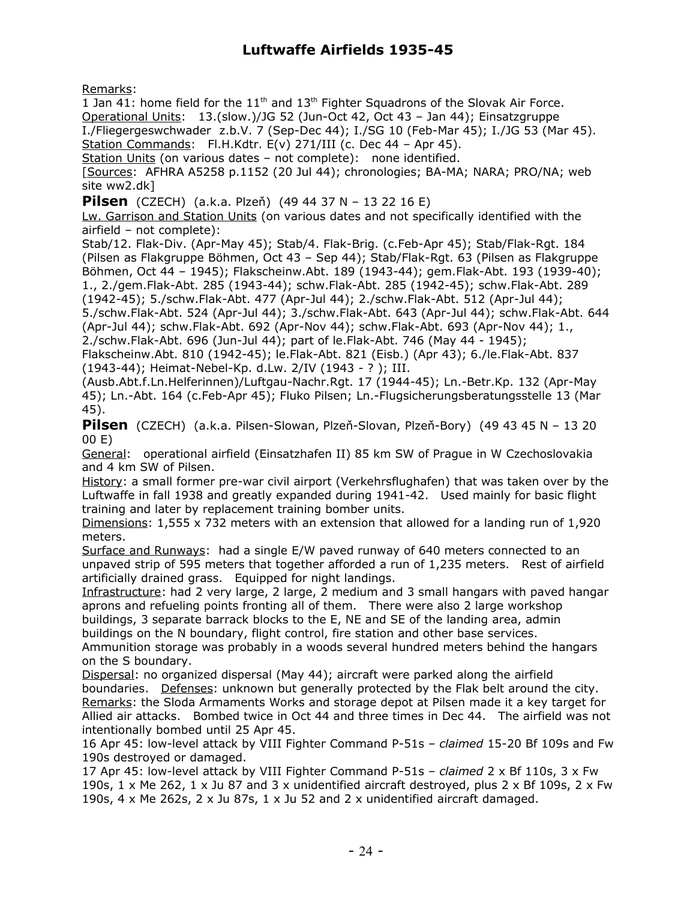Remarks:

1 Jan 41: home field for the  $11<sup>th</sup>$  and  $13<sup>th</sup>$  Fighter Squadrons of the Slovak Air Force. Operational Units: 13.(slow.)/JG 52 (Jun-Oct 42, Oct 43 – Jan 44); Einsatzgruppe I./Fliegergeswchwader z.b.V. 7 (Sep-Dec 44); I./SG 10 (Feb-Mar 45); I./JG 53 (Mar 45). Station Commands: Fl.H.Kdtr. E(v) 271/III (c. Dec 44 – Apr 45).

Station Units (on various dates – not complete): none identified.

[Sources: AFHRA A5258 p.1152 (20 Jul 44); chronologies; BA-MA; NARA; PRO/NA; web site ww2.dk]

**Pilsen** (CZECH) (a.k.a. Plzeň) (49 44 37 N – 13 22 16 E)

Lw. Garrison and Station Units (on various dates and not specifically identified with the airfield – not complete):

Stab/12. Flak-Div. (Apr-May 45); Stab/4. Flak-Brig. (c.Feb-Apr 45); Stab/Flak-Rgt. 184 (Pilsen as Flakgruppe Böhmen, Oct 43 – Sep 44); Stab/Flak-Rgt. 63 (Pilsen as Flakgruppe Böhmen, Oct 44 – 1945); Flakscheinw.Abt. 189 (1943-44); gem.Flak-Abt. 193 (1939-40); 1., 2./gem.Flak-Abt. 285 (1943-44); schw.Flak-Abt. 285 (1942-45); schw.Flak-Abt. 289

(1942-45); 5./schw.Flak-Abt. 477 (Apr-Jul 44); 2./schw.Flak-Abt. 512 (Apr-Jul 44); 5./schw.Flak-Abt. 524 (Apr-Jul 44); 3./schw.Flak-Abt. 643 (Apr-Jul 44); schw.Flak-Abt. 644 (Apr-Jul 44); schw.Flak-Abt. 692 (Apr-Nov 44); schw.Flak-Abt. 693 (Apr-Nov 44); 1., 2./schw.Flak-Abt. 696 (Jun-Jul 44); part of le.Flak-Abt. 746 (May 44 - 1945);

Flakscheinw.Abt. 810 (1942-45); le.Flak-Abt. 821 (Eisb.) (Apr 43); 6./le.Flak-Abt. 837 (1943-44); Heimat-Nebel-Kp. d.Lw. 2/IV (1943 - ? ); III.

(Ausb.Abt.f.Ln.Helferinnen)/Luftgau-Nachr.Rgt. 17 (1944-45); Ln.-Betr.Kp. 132 (Apr-May 45); Ln.-Abt. 164 (c.Feb-Apr 45); Fluko Pilsen; Ln.-Flugsicherungsberatungsstelle 13 (Mar 45).

**Pilsen** (CZECH) (a.k.a. Pilsen-Slowan, Plzeň-Slovan, Plzeň-Bory) (49 43 45 N – 13 20 00 E)

General: operational airfield (Einsatzhafen II) 85 km SW of Prague in W Czechoslovakia and 4 km SW of Pilsen.

History: a small former pre-war civil airport (Verkehrsflughafen) that was taken over by the Luftwaffe in fall 1938 and greatly expanded during 1941-42. Used mainly for basic flight training and later by replacement training bomber units.

Dimensions: 1,555 x 732 meters with an extension that allowed for a landing run of 1,920 meters.

Surface and Runways: had a single E/W paved runway of 640 meters connected to an unpaved strip of 595 meters that together afforded a run of 1,235 meters. Rest of airfield artificially drained grass. Equipped for night landings.

Infrastructure: had 2 very large, 2 large, 2 medium and 3 small hangars with paved hangar aprons and refueling points fronting all of them. There were also 2 large workshop buildings, 3 separate barrack blocks to the E, NE and SE of the landing area, admin buildings on the N boundary, flight control, fire station and other base services.

Ammunition storage was probably in a woods several hundred meters behind the hangars on the S boundary.

Dispersal: no organized dispersal (May 44); aircraft were parked along the airfield boundaries. Defenses: unknown but generally protected by the Flak belt around the city. Remarks: the Sloda Armaments Works and storage depot at Pilsen made it a key target for Allied air attacks. Bombed twice in Oct 44 and three times in Dec 44. The airfield was not intentionally bombed until 25 Apr 45.

16 Apr 45: low-level attack by VIII Fighter Command P-51s – *claimed* 15-20 Bf 109s and Fw 190s destroyed or damaged.

17 Apr 45: low-level attack by VIII Fighter Command P-51s – *claimed* 2 x Bf 110s, 3 x Fw 190s,  $1 \times$  Me 262,  $1 \times$  Ju 87 and 3 x unidentified aircraft destroyed, plus  $2 \times$  Bf 109s,  $2 \times$  Fw 190s, 4 x Me 262s, 2 x Ju 87s, 1 x Ju 52 and 2 x unidentified aircraft damaged.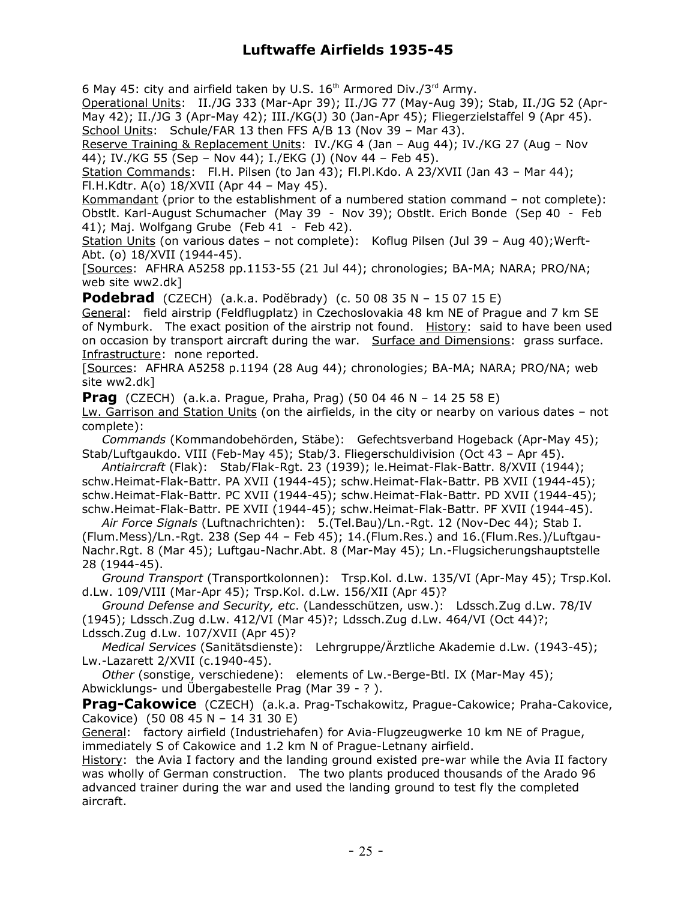6 May 45: city and airfield taken by U.S.  $16<sup>th</sup>$  Armored Div./3<sup>rd</sup> Army.

Operational Units: II./JG 333 (Mar-Apr 39); II./JG 77 (May-Aug 39); Stab, II./JG 52 (Apr-May 42); II./JG 3 (Apr-May 42); III./KG(J) 30 (Jan-Apr 45); Fliegerzielstaffel 9 (Apr 45). School Units: Schule/FAR 13 then FFS A/B 13 (Nov 39 - Mar 43).

Reserve Training & Replacement Units: IV./KG 4 (Jan – Aug 44); IV./KG 27 (Aug – Nov 44); IV./KG 55 (Sep – Nov 44); I./EKG (J) (Nov 44 – Feb 45).

Station Commands: Fl.H. Pilsen (to Jan 43); Fl.Pl.Kdo. A 23/XVII (Jan 43 - Mar 44); Fl.H.Kdtr. A(o) 18/XVII (Apr 44 – May 45).

Kommandant (prior to the establishment of a numbered station command – not complete): Obstlt. Karl-August Schumacher (May 39 - Nov 39); Obstlt. Erich Bonde (Sep 40 - Feb 41); Maj. Wolfgang Grube (Feb 41 - Feb 42).

Station Units (on various dates – not complete): Koflug Pilsen (Jul 39 – Aug 40);Werft-Abt. (o) 18/XVII (1944-45).

[Sources: AFHRA A5258 pp.1153-55 (21 Jul 44); chronologies; BA-MA; NARA; PRO/NA; web site ww2.dk]

**Podebrad** (CZECH) (a.k.a. Podĕbrady) (c. 50 08 35 N – 15 07 15 E)

General: field airstrip (Feldflugplatz) in Czechoslovakia 48 km NE of Prague and 7 km SE of Nymburk. The exact position of the airstrip not found. History: said to have been used on occasion by transport aircraft during the war. Surface and Dimensions: grass surface. Infrastructure: none reported.

[Sources: AFHRA A5258 p.1194 (28 Aug 44); chronologies; BA-MA; NARA; PRO/NA; web site ww2.dk]

**Prag** (CZECH) (a.k.a. Prague, Praha, Prag) (50 04 46 N – 14 25 58 E)

Lw. Garrison and Station Units (on the airfields, in the city or nearby on various dates – not complete):

 *Commands* (Kommandobehörden, Stäbe): Gefechtsverband Hogeback (Apr-May 45); Stab/Luftgaukdo. VIII (Feb-May 45); Stab/3. Fliegerschuldivision (Oct 43 – Apr 45).

 *Antiaircraft* (Flak): Stab/Flak-Rgt. 23 (1939); le.Heimat-Flak-Battr. 8/XVII (1944); schw.Heimat-Flak-Battr. PA XVII (1944-45); schw.Heimat-Flak-Battr. PB XVII (1944-45); schw.Heimat-Flak-Battr. PC XVII (1944-45); schw.Heimat-Flak-Battr. PD XVII (1944-45); schw.Heimat-Flak-Battr. PE XVII (1944-45); schw.Heimat-Flak-Battr. PF XVII (1944-45).

 *Air Force Signals* (Luftnachrichten): 5.(Tel.Bau)/Ln.-Rgt. 12 (Nov-Dec 44); Stab I. (Flum.Mess)/Ln.-Rgt. 238 (Sep 44 – Feb 45); 14.(Flum.Res.) and 16.(Flum.Res.)/Luftgau-Nachr.Rgt. 8 (Mar 45); Luftgau-Nachr.Abt. 8 (Mar-May 45); Ln.-Flugsicherungshauptstelle 28 (1944-45).

 *Ground Transport* (Transportkolonnen): Trsp.Kol. d.Lw. 135/VI (Apr-May 45); Trsp.Kol. d.Lw. 109/VIII (Mar-Apr 45); Trsp.Kol. d.Lw. 156/XII (Apr 45)?

 *Ground Defense and Security, etc*. (Landesschützen, usw.): Ldssch.Zug d.Lw. 78/IV (1945); Ldssch.Zug d.Lw. 412/VI (Mar 45)?; Ldssch.Zug d.Lw. 464/VI (Oct 44)?; Ldssch.Zug d.Lw. 107/XVII (Apr 45)?

 *Medical Services* (Sanitätsdienste): Lehrgruppe/Ärztliche Akademie d.Lw. (1943-45); Lw.-Lazarett 2/XVII (c.1940-45).

 *Other* (sonstige, verschiedene): elements of Lw.-Berge-Btl. IX (Mar-May 45); Abwicklungs- und Übergabestelle Prag (Mar 39 - ? ).

**Prag-Cakowice** (CZECH) (a.k.a. Prag-Tschakowitz, Prague-Cakowice; Praha-Cakovice, Cakovice) (50 08 45 N – 14 31 30 E)

General: factory airfield (Industriehafen) for Avia-Flugzeugwerke 10 km NE of Prague, immediately S of Cakowice and 1.2 km N of Prague-Letnany airfield.

History: the Avia I factory and the landing ground existed pre-war while the Avia II factory was wholly of German construction. The two plants produced thousands of the Arado 96 advanced trainer during the war and used the landing ground to test fly the completed aircraft.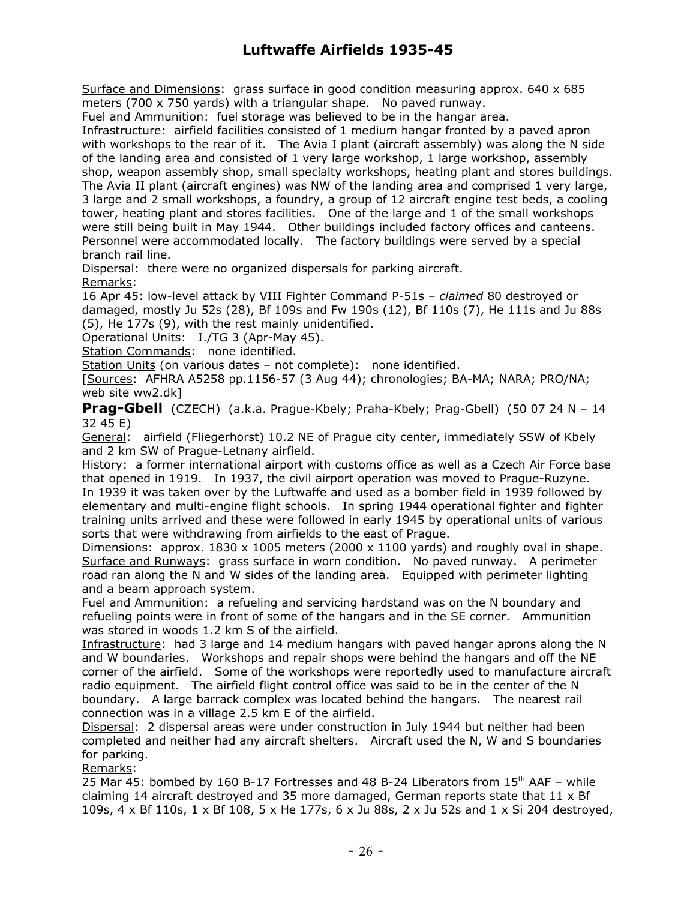Surface and Dimensions: grass surface in good condition measuring approx. 640 x 685 meters (700 x 750 yards) with a triangular shape. No paved runway.

Fuel and Ammunition: fuel storage was believed to be in the hangar area.

Infrastructure: airfield facilities consisted of 1 medium hangar fronted by a paved apron with workshops to the rear of it. The Avia I plant (aircraft assembly) was along the N side of the landing area and consisted of 1 very large workshop, 1 large workshop, assembly shop, weapon assembly shop, small specialty workshops, heating plant and stores buildings. The Avia II plant (aircraft engines) was NW of the landing area and comprised 1 very large, 3 large and 2 small workshops, a foundry, a group of 12 aircraft engine test beds, a cooling tower, heating plant and stores facilities. One of the large and 1 of the small workshops were still being built in May 1944. Other buildings included factory offices and canteens. Personnel were accommodated locally. The factory buildings were served by a special branch rail line.

Dispersal: there were no organized dispersals for parking aircraft. Remarks:

16 Apr 45: low-level attack by VIII Fighter Command P-51s – *claimed* 80 destroyed or damaged, mostly Ju 52s (28), Bf 109s and Fw 190s (12), Bf 110s (7), He 111s and Ju 88s (5), He 177s (9), with the rest mainly unidentified.

Operational Units: I./TG 3 (Apr-May 45).

Station Commands: none identified.

Station Units (on various dates – not complete): none identified.

[Sources: AFHRA A5258 pp.1156-57 (3 Aug 44); chronologies; BA-MA; NARA; PRO/NA; web site ww2.dk]

**Prag-Gbell** (CZECH) (a.k.a. Prague-Kbely; Praha-Kbely; Prag-Gbell) (50 07 24 N – 14 32 45 E)

General: airfield (Fliegerhorst) 10.2 NE of Prague city center, immediately SSW of Kbely and 2 km SW of Prague-Letnany airfield.

History: a former international airport with customs office as well as a Czech Air Force base that opened in 1919. In 1937, the civil airport operation was moved to Prague-Ruzyne.

In 1939 it was taken over by the Luftwaffe and used as a bomber field in 1939 followed by elementary and multi-engine flight schools. In spring 1944 operational fighter and fighter training units arrived and these were followed in early 1945 by operational units of various sorts that were withdrawing from airfields to the east of Prague.

Dimensions: approx.  $1830 \times 1005$  meters (2000 x 1100 yards) and roughly oval in shape. Surface and Runways: grass surface in worn condition. No paved runway. A perimeter road ran along the N and W sides of the landing area. Equipped with perimeter lighting and a beam approach system.

Fuel and Ammunition: a refueling and servicing hardstand was on the N boundary and refueling points were in front of some of the hangars and in the SE corner. Ammunition was stored in woods 1.2 km S of the airfield.

Infrastructure: had 3 large and 14 medium hangars with paved hangar aprons along the N and W boundaries. Workshops and repair shops were behind the hangars and off the NE corner of the airfield. Some of the workshops were reportedly used to manufacture aircraft radio equipment. The airfield flight control office was said to be in the center of the N boundary. A large barrack complex was located behind the hangars. The nearest rail connection was in a village 2.5 km E of the airfield.

Dispersal: 2 dispersal areas were under construction in July 1944 but neither had been completed and neither had any aircraft shelters. Aircraft used the N, W and S boundaries for parking.

Remarks:

25 Mar 45: bombed by 160 B-17 Fortresses and 48 B-24 Liberators from  $15<sup>th</sup>$  AAF – while claiming 14 aircraft destroyed and 35 more damaged, German reports state that  $11 \times Bf$ 109s, 4 x Bf 110s, 1 x Bf 108, 5 x He 177s, 6 x Ju 88s, 2 x Ju 52s and 1 x Si 204 destroyed,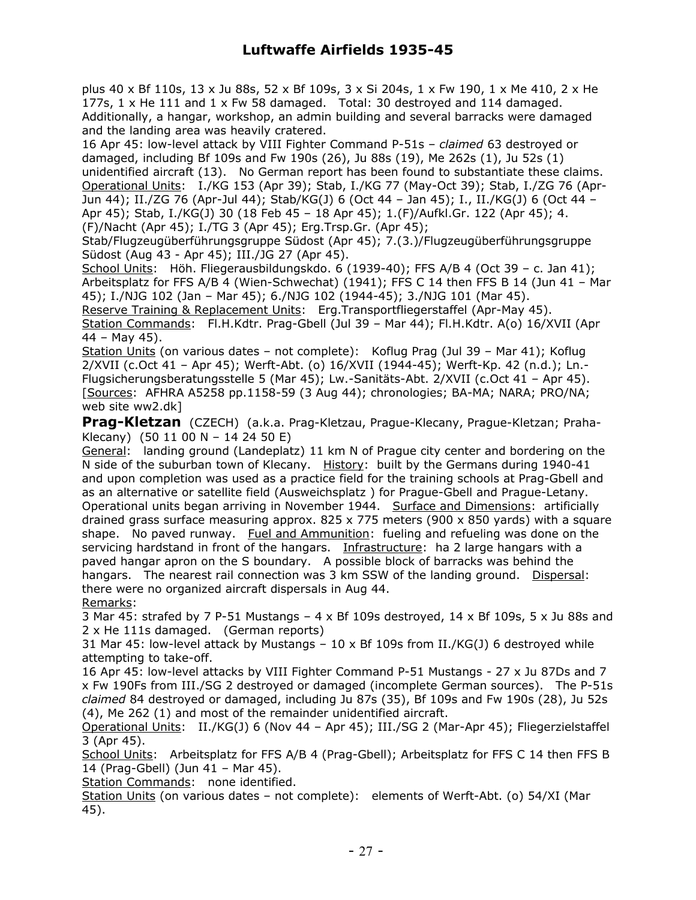plus 40 x Bf 110s, 13 x Ju 88s, 52 x Bf 109s, 3 x Si 204s, 1 x Fw 190, 1 x Me 410, 2 x He 177s, 1 x He 111 and 1 x Fw 58 damaged. Total: 30 destroyed and 114 damaged. Additionally, a hangar, workshop, an admin building and several barracks were damaged and the landing area was heavily cratered.

16 Apr 45: low-level attack by VIII Fighter Command P-51s – *claimed* 63 destroyed or damaged, including Bf 109s and Fw 190s (26), Ju 88s (19), Me 262s (1), Ju 52s (1) unidentified aircraft (13). No German report has been found to substantiate these claims. Operational Units: I./KG 153 (Apr 39); Stab, I./KG 77 (May-Oct 39); Stab, I./ZG 76 (Apr-Jun 44); II./ZG 76 (Apr-Jul 44); Stab/KG(J) 6 (Oct 44 – Jan 45); I., II./KG(J) 6 (Oct 44 – Apr 45); Stab, I./KG(J) 30 (18 Feb 45 – 18 Apr 45); 1.(F)/Aufkl.Gr. 122 (Apr 45); 4. (F)/Nacht (Apr 45); I./TG 3 (Apr 45); Erg.Trsp.Gr. (Apr 45);

Stab/Flugzeugüberführungsgruppe Südost (Apr 45); 7.(3.)/Flugzeugüberführungsgruppe Südost (Aug 43 - Apr 45); III./JG 27 (Apr 45).

School Units: Höh. Fliegerausbildungskdo. 6 (1939-40); FFS A/B 4 (Oct 39 – c. Jan 41); Arbeitsplatz for FFS A/B 4 (Wien-Schwechat) (1941); FFS C 14 then FFS B 14 (Jun 41 – Mar 45); I./NJG 102 (Jan – Mar 45); 6./NJG 102 (1944-45); 3./NJG 101 (Mar 45).

Reserve Training & Replacement Units: Erg.Transportfliegerstaffel (Apr-May 45). Station Commands: Fl.H.Kdtr. Prag-Gbell (Jul 39 - Mar 44); Fl.H.Kdtr. A(o) 16/XVII (Apr 44 – May 45).

Station Units (on various dates – not complete): Koflug Prag (Jul 39 – Mar 41); Koflug 2/XVII (c.Oct 41 – Apr 45); Werft-Abt. (o) 16/XVII (1944-45); Werft-Kp. 42 (n.d.); Ln.- Flugsicherungsberatungsstelle 5 (Mar 45); Lw.-Sanitäts-Abt. 2/XVII (c.Oct 41 – Apr 45). [Sources: AFHRA A5258 pp.1158-59 (3 Aug 44); chronologies; BA-MA; NARA; PRO/NA; web site ww2.dk]

**Prag-Kletzan** (CZECH) (a.k.a. Prag-Kletzau, Prague-Klecany, Prague-Kletzan; Praha-Klecany) (50 11 00 N – 14 24 50 E)

General: landing ground (Landeplatz) 11 km N of Prague city center and bordering on the N side of the suburban town of Klecany. History: built by the Germans during 1940-41 and upon completion was used as a practice field for the training schools at Prag-Gbell and as an alternative or satellite field (Ausweichsplatz ) for Prague-Gbell and Prague-Letany. Operational units began arriving in November 1944. Surface and Dimensions: artificially drained grass surface measuring approx.  $825 \times 775$  meters (900  $\times$  850 yards) with a square shape. No paved runway. Fuel and Ammunition: fueling and refueling was done on the servicing hardstand in front of the hangars. Infrastructure: ha 2 large hangars with a paved hangar apron on the S boundary. A possible block of barracks was behind the hangars. The nearest rail connection was 3 km SSW of the landing ground. Dispersal: there were no organized aircraft dispersals in Aug 44. Remarks:

3 Mar 45: strafed by 7 P-51 Mustangs – 4 x Bf 109s destroyed,  $14$  x Bf 109s, 5 x Ju 88s and 2 x He 111s damaged. (German reports)

31 Mar 45: low-level attack by Mustangs  $-10 \times Bf$  109s from II./KG(J) 6 destroyed while attempting to take-off.

16 Apr 45: low-level attacks by VIII Fighter Command P-51 Mustangs - 27 x Ju 87Ds and 7 x Fw 190Fs from III./SG 2 destroyed or damaged (incomplete German sources). The P-51s *claimed* 84 destroyed or damaged, including Ju 87s (35), Bf 109s and Fw 190s (28), Ju 52s (4), Me 262 (1) and most of the remainder unidentified aircraft.

Operational Units: II./KG(J) 6 (Nov 44 – Apr 45); III./SG 2 (Mar-Apr 45); Fliegerzielstaffel 3 (Apr 45).

School Units: Arbeitsplatz for FFS A/B 4 (Prag-Gbell); Arbeitsplatz for FFS C 14 then FFS B 14 (Prag-Gbell) (Jun 41 – Mar 45).

Station Commands: none identified.

Station Units (on various dates – not complete): elements of Werft-Abt. (o) 54/XI (Mar 45).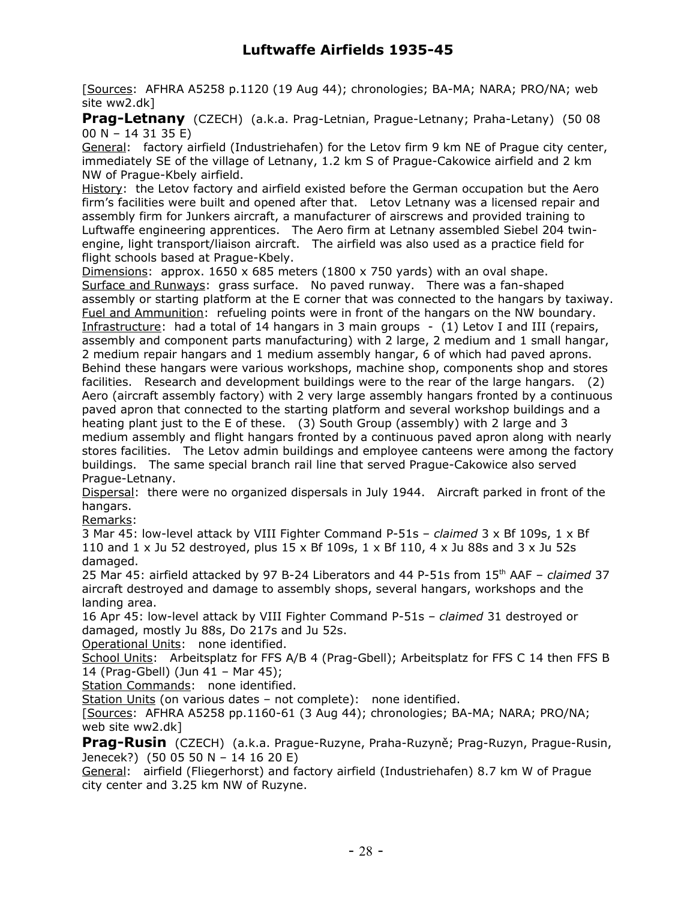[Sources: AFHRA A5258 p.1120 (19 Aug 44); chronologies; BA-MA; NARA; PRO/NA; web site ww2.dk]

**Prag-Letnany** (CZECH) (a.k.a. Prag-Letnian, Prague-Letnany; Praha-Letany) (50 08 00 N – 14 31 35 E)

General: factory airfield (Industriehafen) for the Letov firm 9 km NE of Prague city center, immediately SE of the village of Letnany, 1.2 km S of Prague-Cakowice airfield and 2 km NW of Prague-Kbely airfield.

History: the Letov factory and airfield existed before the German occupation but the Aero firm's facilities were built and opened after that. Letov Letnany was a licensed repair and assembly firm for Junkers aircraft, a manufacturer of airscrews and provided training to Luftwaffe engineering apprentices. The Aero firm at Letnany assembled Siebel 204 twinengine, light transport/liaison aircraft. The airfield was also used as a practice field for flight schools based at Prague-Kbely.

Dimensions: approx.  $1650 \times 685$  meters (1800 x 750 yards) with an oval shape. Surface and Runways: grass surface. No paved runway. There was a fan-shaped assembly or starting platform at the E corner that was connected to the hangars by taxiway. Fuel and Ammunition: refueling points were in front of the hangars on the NW boundary. Infrastructure: had a total of 14 hangars in 3 main groups - (1) Letov I and III (repairs, assembly and component parts manufacturing) with 2 large, 2 medium and 1 small hangar, 2 medium repair hangars and 1 medium assembly hangar, 6 of which had paved aprons. Behind these hangars were various workshops, machine shop, components shop and stores facilities. Research and development buildings were to the rear of the large hangars. (2) Aero (aircraft assembly factory) with 2 very large assembly hangars fronted by a continuous paved apron that connected to the starting platform and several workshop buildings and a heating plant just to the E of these. (3) South Group (assembly) with 2 large and 3 medium assembly and flight hangars fronted by a continuous paved apron along with nearly stores facilities. The Letov admin buildings and employee canteens were among the factory buildings. The same special branch rail line that served Prague-Cakowice also served Prague-Letnany.

Dispersal: there were no organized dispersals in July 1944. Aircraft parked in front of the hangars.

Remarks:

3 Mar 45: low-level attack by VIII Fighter Command P-51s – *claimed* 3 x Bf 109s, 1 x Bf 110 and  $1 \times$  Ju 52 destroyed, plus 15 x Bf 109s,  $1 \times$  Bf 110, 4 x Ju 88s and  $3 \times$  Ju 52s damaged.

25 Mar 45: airfield attacked by 97 B-24 Liberators and 44 P-51s from 15th AAF – *claimed* 37 aircraft destroyed and damage to assembly shops, several hangars, workshops and the landing area.

16 Apr 45: low-level attack by VIII Fighter Command P-51s – *claimed* 31 destroyed or damaged, mostly Ju 88s, Do 217s and Ju 52s.

Operational Units: none identified.

School Units: Arbeitsplatz for FFS A/B 4 (Prag-Gbell); Arbeitsplatz for FFS C 14 then FFS B 14 (Prag-Gbell) (Jun 41 – Mar 45);

Station Commands: none identified.

Station Units (on various dates - not complete): none identified.

[Sources: AFHRA A5258 pp.1160-61 (3 Aug 44); chronologies; BA-MA; NARA; PRO/NA; web site ww2.dk]

**Prag-Rusin** (CZECH) (a.k.a. Prague-Ruzyne, Praha-Ruzyně; Prag-Ruzyn, Prague-Rusin, Jenecek?) (50 05 50 N – 14 16 20 E)

General: airfield (Fliegerhorst) and factory airfield (Industriehafen) 8.7 km W of Prague city center and 3.25 km NW of Ruzyne.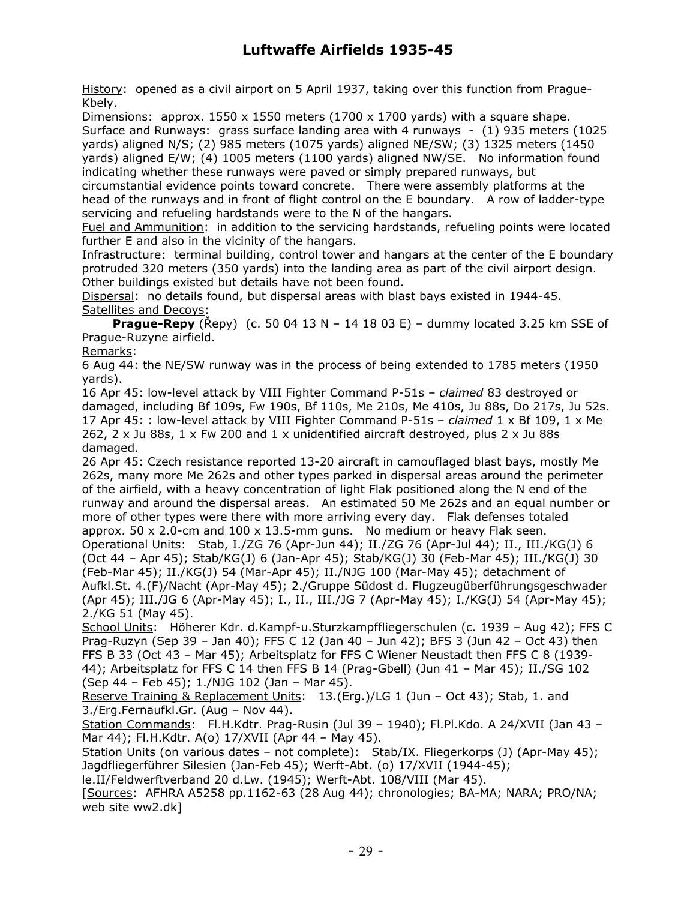History: opened as a civil airport on 5 April 1937, taking over this function from Prague-Kbely.

Dimensions: approx. 1550 x 1550 meters  $(1700 \times 1700 \text{ yards})$  with a square shape. Surface and Runways: grass surface landing area with 4 runways - (1) 935 meters (1025 yards) aligned N/S; (2) 985 meters (1075 yards) aligned NE/SW; (3) 1325 meters (1450 yards) aligned E/W; (4) 1005 meters (1100 yards) aligned NW/SE. No information found indicating whether these runways were paved or simply prepared runways, but

circumstantial evidence points toward concrete. There were assembly platforms at the head of the runways and in front of flight control on the E boundary. A row of ladder-type servicing and refueling hardstands were to the N of the hangars.

Fuel and Ammunition: in addition to the servicing hardstands, refueling points were located further E and also in the vicinity of the hangars.

Infrastructure: terminal building, control tower and hangars at the center of the E boundary protruded 320 meters (350 yards) into the landing area as part of the civil airport design. Other buildings existed but details have not been found.

Dispersal: no details found, but dispersal areas with blast bays existed in 1944-45. Satellites and Decoys:

**Prague-Repy** (Řepy) (c. 50 04 13 N – 14 18 03 E) – dummy located 3.25 km SSE of Prague-Ruzyne airfield.

Remarks:

6 Aug 44: the NE/SW runway was in the process of being extended to 1785 meters (1950 yards).

16 Apr 45: low-level attack by VIII Fighter Command P-51s – *claimed* 83 destroyed or damaged, including Bf 109s, Fw 190s, Bf 110s, Me 210s, Me 410s, Ju 88s, Do 217s, Ju 52s. 17 Apr 45: : low-level attack by VIII Fighter Command P-51s – *claimed* 1 x Bf 109, 1 x Me 262, 2 x Ju 88s, 1 x Fw 200 and 1 x unidentified aircraft destroyed, plus 2 x Ju 88s damaged.

26 Apr 45: Czech resistance reported 13-20 aircraft in camouflaged blast bays, mostly Me 262s, many more Me 262s and other types parked in dispersal areas around the perimeter of the airfield, with a heavy concentration of light Flak positioned along the N end of the runway and around the dispersal areas. An estimated 50 Me 262s and an equal number or more of other types were there with more arriving every day. Flak defenses totaled approx.  $50 \times 2.0$ -cm and  $100 \times 13.5$ -mm guns. No medium or heavy Flak seen.

Operational Units: Stab, I./ZG 76 (Apr-Jun 44); II./ZG 76 (Apr-Jul 44); II., III./KG(J) 6 (Oct 44 – Apr 45); Stab/KG(J) 6 (Jan-Apr 45); Stab/KG(J) 30 (Feb-Mar 45); III./KG(J) 30 (Feb-Mar 45); II./KG(J) 54 (Mar-Apr 45); II./NJG 100 (Mar-May 45); detachment of Aufkl.St. 4.(F)/Nacht (Apr-May 45); 2./Gruppe Südost d. Flugzeugüberführungsgeschwader (Apr 45); III./JG 6 (Apr-May 45); I., II., III./JG 7 (Apr-May 45); I./KG(J) 54 (Apr-May 45); 2./KG 51 (May 45).

School Units: Höherer Kdr. d.Kampf-u.Sturzkampffliegerschulen (c. 1939 – Aug 42); FFS C Prag-Ruzyn (Sep 39 – Jan 40); FFS C 12 (Jan 40 – Jun 42); BFS 3 (Jun 42 – Oct 43) then FFS B 33 (Oct 43 – Mar 45); Arbeitsplatz for FFS C Wiener Neustadt then FFS C 8 (1939- 44); Arbeitsplatz for FFS C 14 then FFS B 14 (Prag-Gbell) (Jun 41 – Mar 45); II./SG 102 (Sep 44 – Feb 45); 1./NJG 102 (Jan – Mar 45).

Reserve Training & Replacement Units: 13.(Erg.)/LG 1 (Jun – Oct 43); Stab, 1. and 3./Erg.Fernaufkl.Gr. (Aug – Nov 44).

Station Commands: Fl.H.Kdtr. Prag-Rusin (Jul 39 – 1940); Fl.Pl.Kdo. A 24/XVII (Jan 43 – Mar 44); Fl.H.Kdtr. A(o) 17/XVII (Apr 44 – May 45).

Station Units (on various dates – not complete): Stab/IX. Fliegerkorps (J) (Apr-May 45); Jagdfliegerführer Silesien (Jan-Feb 45); Werft-Abt. (o) 17/XVII (1944-45);

le.II/Feldwerftverband 20 d.Lw. (1945); Werft-Abt. 108/VIII (Mar 45).

[Sources: AFHRA A5258 pp.1162-63 (28 Aug 44); chronologies; BA-MA; NARA; PRO/NA; web site ww2.dk]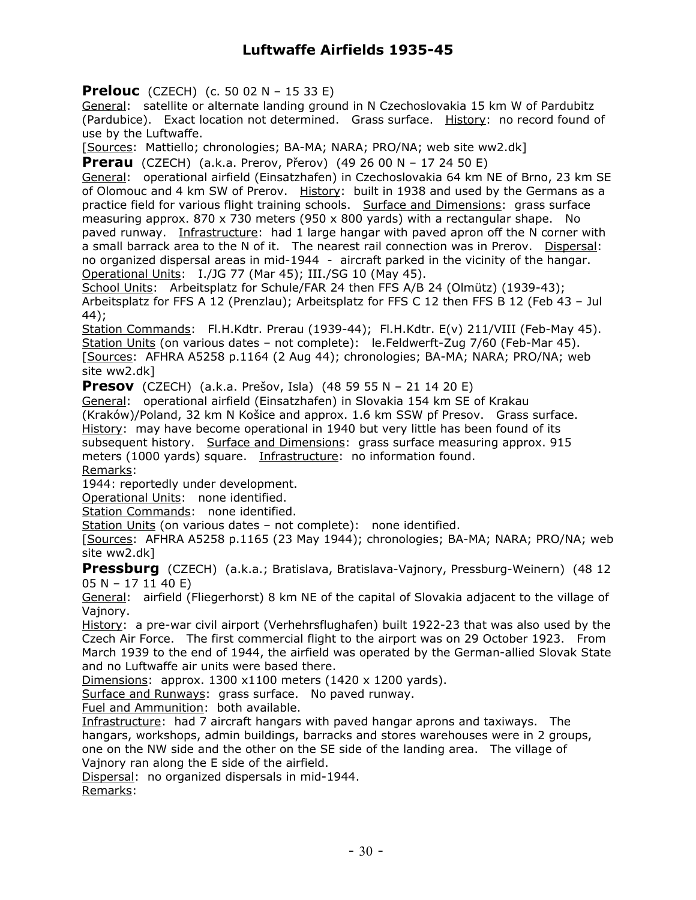**Prelouc** (CZECH) (c. 50 02 N – 15 33 E)

General: satellite or alternate landing ground in N Czechoslovakia 15 km W of Pardubitz (Pardubice). Exact location not determined. Grass surface. History: no record found of use by the Luftwaffe.

[Sources: Mattiello; chronologies; BA-MA; NARA; PRO/NA; web site ww2.dk]

**Prerau** (CZECH) (a.k.a. Prerov, Přerov) (49 26 00 N – 17 24 50 E)

General: operational airfield (Einsatzhafen) in Czechoslovakia 64 km NE of Brno, 23 km SE of Olomouc and 4 km SW of Prerov. History: built in 1938 and used by the Germans as a practice field for various flight training schools. Surface and Dimensions: grass surface measuring approx. 870 x 730 meters (950 x 800 yards) with a rectangular shape. No paved runway. Infrastructure: had 1 large hangar with paved apron off the N corner with a small barrack area to the N of it. The nearest rail connection was in Prerov. Dispersal: no organized dispersal areas in mid-1944 - aircraft parked in the vicinity of the hangar. Operational Units: I./JG 77 (Mar 45); III./SG 10 (May 45).

School Units: Arbeitsplatz for Schule/FAR 24 then FFS A/B 24 (Olmütz) (1939-43); Arbeitsplatz for FFS A 12 (Prenzlau); Arbeitsplatz for FFS C 12 then FFS B 12 (Feb 43 – Jul 44);

Station Commands: Fl.H.Kdtr. Prerau (1939-44); Fl.H.Kdtr. E(v) 211/VIII (Feb-May 45). Station Units (on various dates - not complete): le.Feldwerft-Zug 7/60 (Feb-Mar 45). [Sources: AFHRA A5258 p.1164 (2 Aug 44); chronologies; BA-MA; NARA; PRO/NA; web site ww2.dk]

**Presov** (CZECH) (a.k.a. Prešov, Isla) (48 59 55 N – 21 14 20 E)

General: operational airfield (Einsatzhafen) in Slovakia 154 km SE of Krakau (Kraków)/Poland, 32 km N Košice and approx. 1.6 km SSW pf Presov. Grass surface. History: may have become operational in 1940 but very little has been found of its subsequent history. Surface and Dimensions: grass surface measuring approx. 915 meters (1000 yards) square. Infrastructure: no information found. Remarks:

1944: reportedly under development.

Operational Units: none identified.

Station Commands: none identified.

Station Units (on various dates - not complete): none identified.

[Sources: AFHRA A5258 p.1165 (23 May 1944); chronologies; BA-MA; NARA; PRO/NA; web site ww2.dk]

**Pressburg** (CZECH) (a.k.a.; Bratislava, Bratislava-Vajnory, Pressburg-Weinern) (48 12 05 N – 17 11 40 E)

General: airfield (Fliegerhorst) 8 km NE of the capital of Slovakia adjacent to the village of Vajnory.

History: a pre-war civil airport (Verhehrsflughafen) built 1922-23 that was also used by the Czech Air Force. The first commercial flight to the airport was on 29 October 1923. From March 1939 to the end of 1944, the airfield was operated by the German-allied Slovak State and no Luftwaffe air units were based there.

Dimensions: approx. 1300 x1100 meters (1420 x 1200 yards).

Surface and Runways: grass surface. No paved runway.

Fuel and Ammunition: both available.

Infrastructure: had 7 aircraft hangars with paved hangar aprons and taxiways. The hangars, workshops, admin buildings, barracks and stores warehouses were in 2 groups, one on the NW side and the other on the SE side of the landing area. The village of Vajnory ran along the E side of the airfield.

Dispersal: no organized dispersals in mid-1944.

Remarks: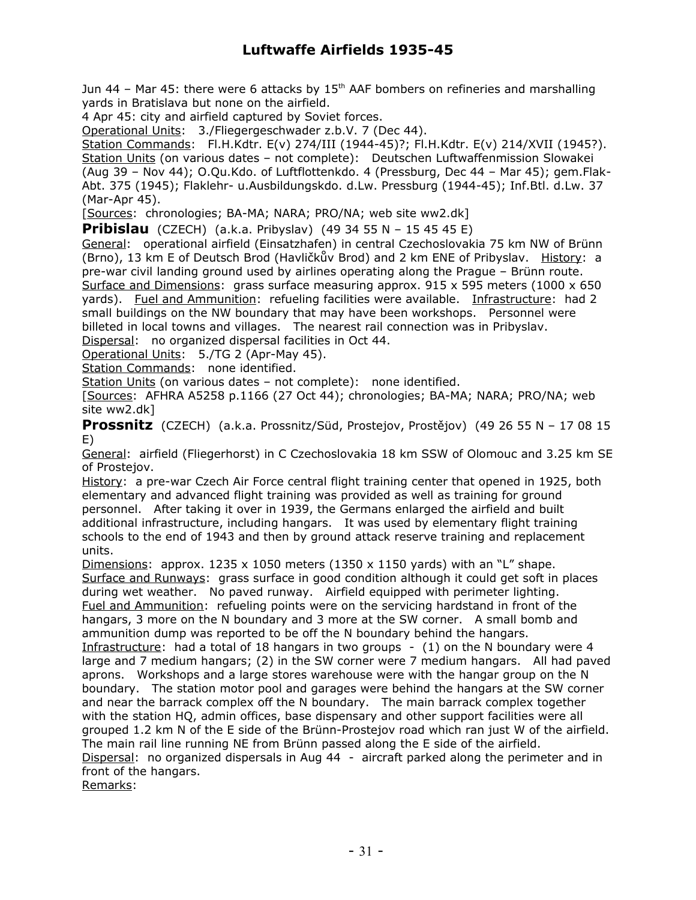Jun 44 – Mar 45: there were 6 attacks by  $15<sup>th</sup>$  AAF bombers on refineries and marshalling yards in Bratislava but none on the airfield.

4 Apr 45: city and airfield captured by Soviet forces.

Operational Units: 3./Fliegergeschwader z.b.V. 7 (Dec 44).

Station Commands: Fl.H.Kdtr. E(v) 274/III (1944-45)?; Fl.H.Kdtr. E(v) 214/XVII (1945?). Station Units (on various dates – not complete): Deutschen Luftwaffenmission Slowakei (Aug 39 – Nov 44); O.Qu.Kdo. of Luftflottenkdo. 4 (Pressburg, Dec 44 – Mar 45); gem.Flak-Abt. 375 (1945); Flaklehr- u.Ausbildungskdo. d.Lw. Pressburg (1944-45); Inf.Btl. d.Lw. 37 (Mar-Apr 45).

[Sources: chronologies; BA-MA; NARA; PRO/NA; web site ww2.dk]

**Pribislau** (CZECH) (a.k.a. Pribyslav) (49 34 55 N – 15 45 45 E)

General: operational airfield (Einsatzhafen) in central Czechoslovakia 75 km NW of Brünn (Brno), 13 km E of Deutsch Brod (Havličkův Brod) and 2 km ENE of Pribyslav. History: a pre-war civil landing ground used by airlines operating along the Prague – Brünn route. Surface and Dimensions: grass surface measuring approx. 915 x 595 meters (1000 x 650 yards). Fuel and Ammunition: refueling facilities were available. Infrastructure: had 2 small buildings on the NW boundary that may have been workshops. Personnel were billeted in local towns and villages. The nearest rail connection was in Pribyslav.

Dispersal: no organized dispersal facilities in Oct 44.

Operational Units: 5./TG 2 (Apr-May 45).

Station Commands: none identified.

Station Units (on various dates – not complete): none identified.

[Sources: AFHRA A5258 p.1166 (27 Oct 44); chronologies; BA-MA; NARA; PRO/NA; web site ww2.dk]

**Prossnitz** (CZECH) (a.k.a. Prossnitz/Süd, Prostejov, Prostějov) (49 26 55 N – 17 08 15 E)

General: airfield (Fliegerhorst) in C Czechoslovakia 18 km SSW of Olomouc and 3.25 km SE of Prostejov.

History: a pre-war Czech Air Force central flight training center that opened in 1925, both elementary and advanced flight training was provided as well as training for ground personnel. After taking it over in 1939, the Germans enlarged the airfield and built additional infrastructure, including hangars. It was used by elementary flight training schools to the end of 1943 and then by ground attack reserve training and replacement units.

Dimensions: approx. 1235 x 1050 meters (1350 x 1150 yards) with an "L" shape. Surface and Runways: grass surface in good condition although it could get soft in places during wet weather. No paved runway. Airfield equipped with perimeter lighting. Fuel and Ammunition: refueling points were on the servicing hardstand in front of the hangars, 3 more on the N boundary and 3 more at the SW corner. A small bomb and ammunition dump was reported to be off the N boundary behind the hangars. Infrastructure: had a total of 18 hangars in two groups - (1) on the N boundary were 4 large and 7 medium hangars; (2) in the SW corner were 7 medium hangars. All had paved aprons. Workshops and a large stores warehouse were with the hangar group on the N boundary. The station motor pool and garages were behind the hangars at the SW corner and near the barrack complex off the N boundary. The main barrack complex together with the station HQ, admin offices, base dispensary and other support facilities were all grouped 1.2 km N of the E side of the Brünn-Prostejov road which ran just W of the airfield. The main rail line running NE from Brünn passed along the E side of the airfield.

Dispersal: no organized dispersals in Aug 44 - aircraft parked along the perimeter and in front of the hangars.

Remarks: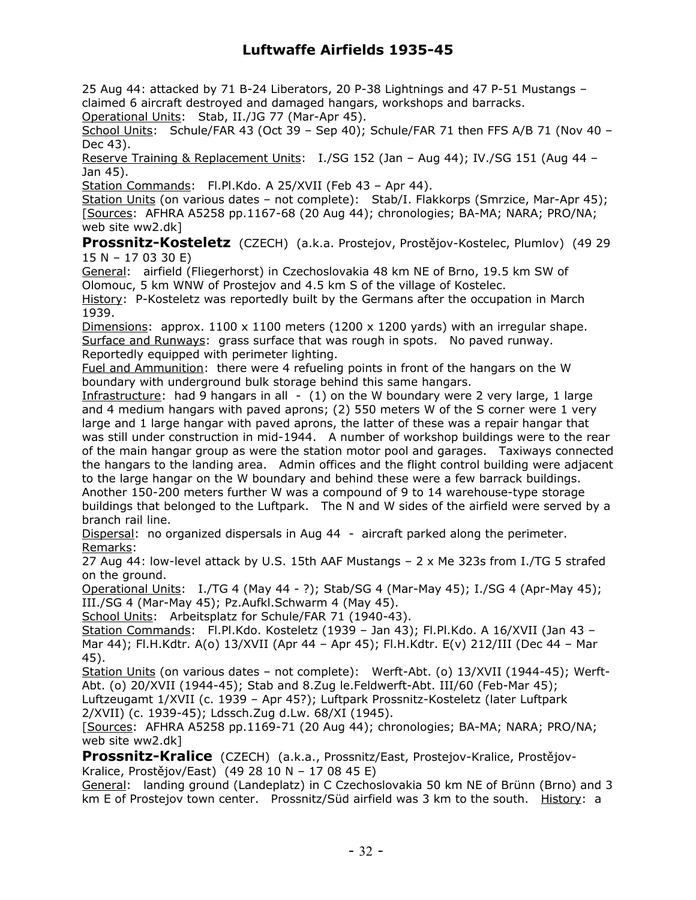25 Aug 44: attacked by 71 B-24 Liberators, 20 P-38 Lightnings and 47 P-51 Mustangs – claimed 6 aircraft destroyed and damaged hangars, workshops and barracks. Operational Units: Stab, II./JG 77 (Mar-Apr 45).

School Units: Schule/FAR 43 (Oct 39 - Sep 40); Schule/FAR 71 then FFS A/B 71 (Nov 40 -Dec 43).

Reserve Training & Replacement Units: I./SG 152 (Jan – Aug 44); IV./SG 151 (Aug 44 – Jan 45).

Station Commands: Fl.Pl.Kdo. A 25/XVII (Feb 43 - Apr 44).

Station Units (on various dates – not complete): Stab/I. Flakkorps (Smrzice, Mar-Apr 45); [Sources: AFHRA A5258 pp.1167-68 (20 Aug 44); chronologies; BA-MA; NARA; PRO/NA; web site ww2.dk]

**Prossnitz-Kosteletz** (CZECH) (a.k.a. Prostejov, Prostějov-Kostelec, Plumlov) (49 29 15 N – 17 03 30 E)

General: airfield (Fliegerhorst) in Czechoslovakia 48 km NE of Brno, 19.5 km SW of Olomouc, 5 km WNW of Prostejov and 4.5 km S of the village of Kostelec.

History: P-Kosteletz was reportedly built by the Germans after the occupation in March 1939.

Dimensions: approx.  $1100 \times 1100$  meters (1200 x 1200 vards) with an irregular shape. Surface and Runways: grass surface that was rough in spots. No paved runway. Reportedly equipped with perimeter lighting.

Fuel and Ammunition: there were 4 refueling points in front of the hangars on the W boundary with underground bulk storage behind this same hangars.

Infrastructure: had 9 hangars in all  $-$  (1) on the W boundary were 2 very large, 1 large and 4 medium hangars with paved aprons; (2) 550 meters W of the S corner were 1 very large and 1 large hangar with paved aprons, the latter of these was a repair hangar that was still under construction in mid-1944. A number of workshop buildings were to the rear of the main hangar group as were the station motor pool and garages. Taxiways connected the hangars to the landing area. Admin offices and the flight control building were adjacent to the large hangar on the W boundary and behind these were a few barrack buildings. Another 150-200 meters further W was a compound of 9 to 14 warehouse-type storage buildings that belonged to the Luftpark. The N and W sides of the airfield were served by a branch rail line.

Dispersal: no organized dispersals in Aug 44 - aircraft parked along the perimeter. Remarks:

27 Aug 44: low-level attack by U.S. 15th AAF Mustangs – 2 x Me 323s from I./TG 5 strafed on the ground.

Operational Units: I./TG 4 (May 44 - ?); Stab/SG 4 (Mar-May 45); I./SG 4 (Apr-May 45); III./SG 4 (Mar-May 45); Pz.Aufkl.Schwarm 4 (May 45).

School Units: Arbeitsplatz for Schule/FAR 71 (1940-43).

Station Commands: Fl.Pl.Kdo. Kosteletz (1939 - Jan 43); Fl.Pl.Kdo. A 16/XVII (Jan 43 -Mar 44); Fl.H.Kdtr. A(o) 13/XVII (Apr 44 – Apr 45); Fl.H.Kdtr. E(v) 212/III (Dec 44 – Mar 45).

Station Units (on various dates - not complete): Werft-Abt. (o) 13/XVII (1944-45); Werft-Abt. (o) 20/XVII (1944-45); Stab and 8.Zug le.Feldwerft-Abt. III/60 (Feb-Mar 45); Luftzeugamt 1/XVII (c. 1939 – Apr 45?); Luftpark Prossnitz-Kosteletz (later Luftpark 2/XVII) (c. 1939-45); Ldssch.Zug d.Lw. 68/XI (1945).

[Sources: AFHRA A5258 pp.1169-71 (20 Aug 44); chronologies; BA-MA; NARA; PRO/NA; web site ww2.dk]

**Prossnitz-Kralice** (CZECH) (a.k.a., Prossnitz/East, Prostejov-Kralice, Prostějov-Kralice, Prostějov/East) (49 28 10 N – 17 08 45 E)

General: landing ground (Landeplatz) in C Czechoslovakia 50 km NE of Brünn (Brno) and 3 km E of Prostejov town center. Prossnitz/Süd airfield was 3 km to the south. History: a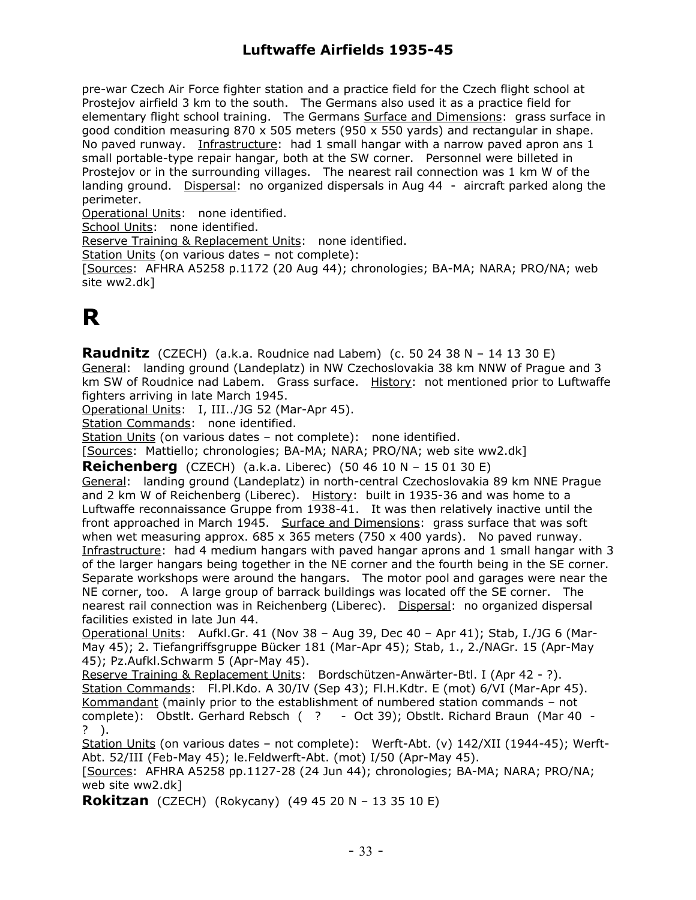pre-war Czech Air Force fighter station and a practice field for the Czech flight school at Prostejov airfield 3 km to the south. The Germans also used it as a practice field for elementary flight school training. The Germans Surface and Dimensions: grass surface in good condition measuring  $870 \times 505$  meters (950  $\times$  550 yards) and rectangular in shape. No paved runway. Infrastructure: had 1 small hangar with a narrow paved apron ans 1 small portable-type repair hangar, both at the SW corner. Personnel were billeted in Prostejov or in the surrounding villages. The nearest rail connection was 1 km W of the landing ground. Dispersal: no organized dispersals in Aug 44 - aircraft parked along the perimeter.

Operational Units: none identified.

School Units: none identified.

Reserve Training & Replacement Units: none identified.

Station Units (on various dates – not complete):

[Sources: AFHRA A5258 p.1172 (20 Aug 44); chronologies; BA-MA; NARA; PRO/NA; web site ww2.dk]

# **R**

**Raudnitz** (CZECH) (a.k.a. Roudnice nad Labem) (c. 50 24 38 N – 14 13 30 E) General: landing ground (Landeplatz) in NW Czechoslovakia 38 km NNW of Prague and 3 km SW of Roudnice nad Labem. Grass surface. History: not mentioned prior to Luftwaffe fighters arriving in late March 1945.

Operational Units: I, III../JG 52 (Mar-Apr 45).

Station Commands: none identified.

Station Units (on various dates - not complete): none identified.

[Sources: Mattiello; chronologies; BA-MA; NARA; PRO/NA; web site ww2.dk]

**Reichenberg** (CZECH) (a.k.a. Liberec) (50 46 10 N – 15 01 30 E)

General: landing ground (Landeplatz) in north-central Czechoslovakia 89 km NNE Prague and 2 km W of Reichenberg (Liberec). History: built in 1935-36 and was home to a Luftwaffe reconnaissance Gruppe from 1938-41. It was then relatively inactive until the front approached in March 1945. Surface and Dimensions: grass surface that was soft when wet measuring approx.  $685 \times 365$  meters (750  $\times$  400 yards). No paved runway. Infrastructure: had 4 medium hangars with paved hangar aprons and 1 small hangar with 3 of the larger hangars being together in the NE corner and the fourth being in the SE corner. Separate workshops were around the hangars. The motor pool and garages were near the NE corner, too. A large group of barrack buildings was located off the SE corner. The nearest rail connection was in Reichenberg (Liberec). Dispersal: no organized dispersal facilities existed in late Jun 44.

Operational Units: Aufkl.Gr. 41 (Nov 38 – Aug 39, Dec 40 – Apr 41); Stab, I./JG 6 (Mar-May 45); 2. Tiefangriffsgruppe Bücker 181 (Mar-Apr 45); Stab, 1., 2./NAGr. 15 (Apr-May 45); Pz.Aufkl.Schwarm 5 (Apr-May 45).

Reserve Training & Replacement Units: Bordschützen-Anwärter-Btl. I (Apr 42 - ?). Station Commands: Fl.Pl.Kdo. A 30/IV (Sep 43); Fl.H.Kdtr. E (mot) 6/VI (Mar-Apr 45). Kommandant (mainly prior to the establishment of numbered station commands – not complete): Obstlt. Gerhard Rebsch ( ? - Oct 39); Obstlt. Richard Braun (Mar 40 - ? ).

Station Units (on various dates - not complete): Werft-Abt. (v) 142/XII (1944-45); Werft-Abt. 52/III (Feb-May 45); le.Feldwerft-Abt. (mot) I/50 (Apr-May 45).

[Sources: AFHRA A5258 pp.1127-28 (24 Jun 44); chronologies; BA-MA; NARA; PRO/NA; web site ww2.dk]

**Rokitzan** (CZECH) (Rokycany) (49 45 20 N – 13 35 10 E)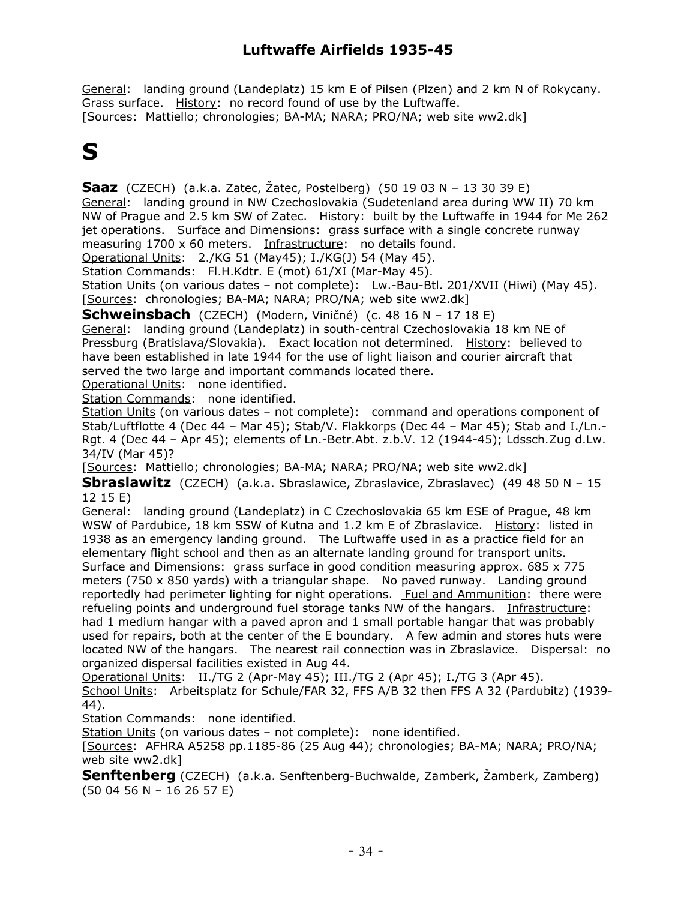General: landing ground (Landeplatz) 15 km E of Pilsen (Plzen) and 2 km N of Rokycany. Grass surface. History: no record found of use by the Luftwaffe. [Sources: Mattiello; chronologies; BA-MA; NARA; PRO/NA; web site ww2.dk]

# **S**

**Saaz** (CZECH) (a.k.a. Zatec, Žatec, Postelberg) (50 19 03 N – 13 30 39 E) General: landing ground in NW Czechoslovakia (Sudetenland area during WW II) 70 km NW of Prague and 2.5 km SW of Zatec. History: built by the Luftwaffe in 1944 for Me 262 jet operations. Surface and Dimensions: grass surface with a single concrete runway measuring 1700 x 60 meters. Infrastructure: no details found. Operational Units: 2./KG 51 (May45); I./KG(J) 54 (May 45).

Station Commands: Fl.H.Kdtr. E (mot) 61/XI (Mar-May 45).

Station Units (on various dates – not complete): Lw.-Bau-Btl. 201/XVII (Hiwi) (May 45). [Sources: chronologies; BA-MA; NARA; PRO/NA; web site ww2.dk]

**Schweinsbach** (CZECH) (Modern, Viničné) (c. 48 16 N – 17 18 E)

General: landing ground (Landeplatz) in south-central Czechoslovakia 18 km NE of Pressburg (Bratislava/Slovakia). Exact location not determined. History: believed to have been established in late 1944 for the use of light liaison and courier aircraft that served the two large and important commands located there.

Operational Units: none identified.

Station Commands: none identified.

Station Units (on various dates – not complete): command and operations component of Stab/Luftflotte 4 (Dec 44 – Mar 45); Stab/V. Flakkorps (Dec 44 – Mar 45); Stab and I./Ln.- Rgt. 4 (Dec 44 – Apr 45); elements of Ln.-Betr.Abt. z.b.V. 12 (1944-45); Ldssch.Zug d.Lw. 34/IV (Mar 45)?

[Sources: Mattiello; chronologies; BA-MA; NARA; PRO/NA; web site ww2.dk]

**Sbraslawitz** (CZECH) (a.k.a. Sbraslawice, Zbraslavice, Zbraslavec) (49 48 50 N – 15 12 15 E)

General: landing ground (Landeplatz) in C Czechoslovakia 65 km ESE of Prague, 48 km WSW of Pardubice, 18 km SSW of Kutna and 1.2 km E of Zbraslavice. History: listed in 1938 as an emergency landing ground. The Luftwaffe used in as a practice field for an elementary flight school and then as an alternate landing ground for transport units. Surface and Dimensions: grass surface in good condition measuring approx. 685 x 775 meters (750 x 850 yards) with a triangular shape. No paved runway. Landing ground reportedly had perimeter lighting for night operations. Fuel and Ammunition: there were refueling points and underground fuel storage tanks NW of the hangars. Infrastructure: had 1 medium hangar with a paved apron and 1 small portable hangar that was probably used for repairs, both at the center of the E boundary. A few admin and stores huts were located NW of the hangars. The nearest rail connection was in Zbraslavice. Dispersal: no organized dispersal facilities existed in Aug 44.

Operational Units: II./TG 2 (Apr-May 45); III./TG 2 (Apr 45); I./TG 3 (Apr 45).

School Units: Arbeitsplatz for Schule/FAR 32, FFS A/B 32 then FFS A 32 (Pardubitz) (1939- 44).

Station Commands: none identified.

Station Units (on various dates – not complete): none identified.

[Sources: AFHRA A5258 pp.1185-86 (25 Aug 44); chronologies; BA-MA; NARA; PRO/NA; web site ww2.dk]

**Senftenberg** (CZECH) (a.k.a. Senftenberg-Buchwalde, Zamberk, Žamberk, Zamberg) (50 04 56 N – 16 26 57 E)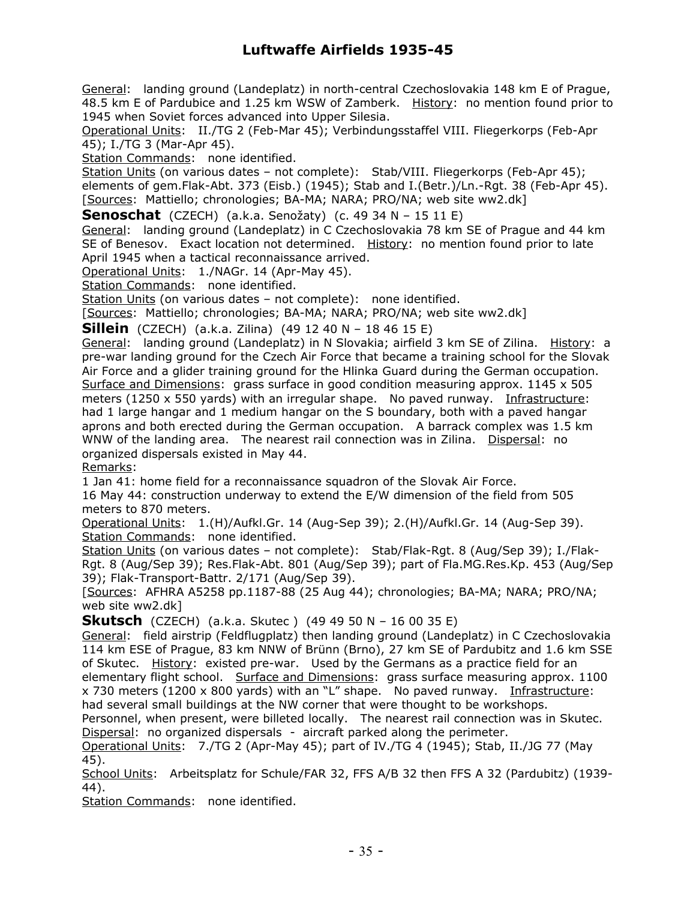General: landing ground (Landeplatz) in north-central Czechoslovakia 148 km E of Prague, 48.5 km E of Pardubice and 1.25 km WSW of Zamberk. History: no mention found prior to 1945 when Soviet forces advanced into Upper Silesia.

Operational Units: II./TG 2 (Feb-Mar 45); Verbindungsstaffel VIII. Fliegerkorps (Feb-Apr 45); I./TG 3 (Mar-Apr 45).

Station Commands: none identified.

Station Units (on various dates – not complete): Stab/VIII. Fliegerkorps (Feb-Apr 45); elements of gem.Flak-Abt. 373 (Eisb.) (1945); Stab and I.(Betr.)/Ln.-Rgt. 38 (Feb-Apr 45). [Sources: Mattiello; chronologies; BA-MA; NARA; PRO/NA; web site ww2.dk]

**Senoschat** (CZECH) (a.k.a. Senožaty) (c. 49 34 N – 15 11 E)

General: landing ground (Landeplatz) in C Czechoslovakia 78 km SE of Prague and 44 km SE of Benesov. Exact location not determined. History: no mention found prior to late April 1945 when a tactical reconnaissance arrived.

Operational Units: 1./NAGr. 14 (Apr-May 45).

Station Commands: none identified.

Station Units (on various dates - not complete): none identified.

[Sources: Mattiello; chronologies; BA-MA; NARA; PRO/NA; web site ww2.dk]

**Sillein** (CZECH) (a.k.a. Zilina) (49 12 40 N – 18 46 15 E)

General: landing ground (Landeplatz) in N Slovakia; airfield 3 km SE of Zilina. History: a pre-war landing ground for the Czech Air Force that became a training school for the Slovak Air Force and a glider training ground for the Hlinka Guard during the German occupation. Surface and Dimensions: grass surface in good condition measuring approx. 1145 x 505 meters (1250 x 550 yards) with an irregular shape. No paved runway. Infrastructure: had 1 large hangar and 1 medium hangar on the S boundary, both with a paved hangar aprons and both erected during the German occupation. A barrack complex was 1.5 km WNW of the landing area. The nearest rail connection was in Zilina. Dispersal: no organized dispersals existed in May 44.

Remarks:

1 Jan 41: home field for a reconnaissance squadron of the Slovak Air Force.

16 May 44: construction underway to extend the E/W dimension of the field from 505 meters to 870 meters.

Operational Units: 1.(H)/Aufkl.Gr. 14 (Aug-Sep 39); 2.(H)/Aufkl.Gr. 14 (Aug-Sep 39). Station Commands: none identified.

Station Units (on various dates – not complete): Stab/Flak-Rgt. 8 (Aug/Sep 39); I./Flak-Rgt. 8 (Aug/Sep 39); Res.Flak-Abt. 801 (Aug/Sep 39); part of Fla.MG.Res.Kp. 453 (Aug/Sep 39); Flak-Transport-Battr. 2/171 (Aug/Sep 39).

[Sources: AFHRA A5258 pp.1187-88 (25 Aug 44); chronologies; BA-MA; NARA; PRO/NA; web site ww2.dk]

**Skutsch** (CZECH) (a.k.a. Skutec ) (49 49 50 N – 16 00 35 E)

General: field airstrip (Feldflugplatz) then landing ground (Landeplatz) in C Czechoslovakia 114 km ESE of Prague, 83 km NNW of Brünn (Brno), 27 km SE of Pardubitz and 1.6 km SSE of Skutec. History: existed pre-war. Used by the Germans as a practice field for an elementary flight school. Surface and Dimensions: grass surface measuring approx. 1100 x 730 meters (1200 x 800 yards) with an "L" shape. No paved runway. Infrastructure: had several small buildings at the NW corner that were thought to be workshops.

Personnel, when present, were billeted locally. The nearest rail connection was in Skutec. Dispersal: no organized dispersals - aircraft parked along the perimeter.

Operational Units: 7./TG 2 (Apr-May 45); part of IV./TG 4 (1945); Stab, II./JG 77 (May 45).

School Units: Arbeitsplatz for Schule/FAR 32, FFS A/B 32 then FFS A 32 (Pardubitz) (1939- 44).

Station Commands: none identified.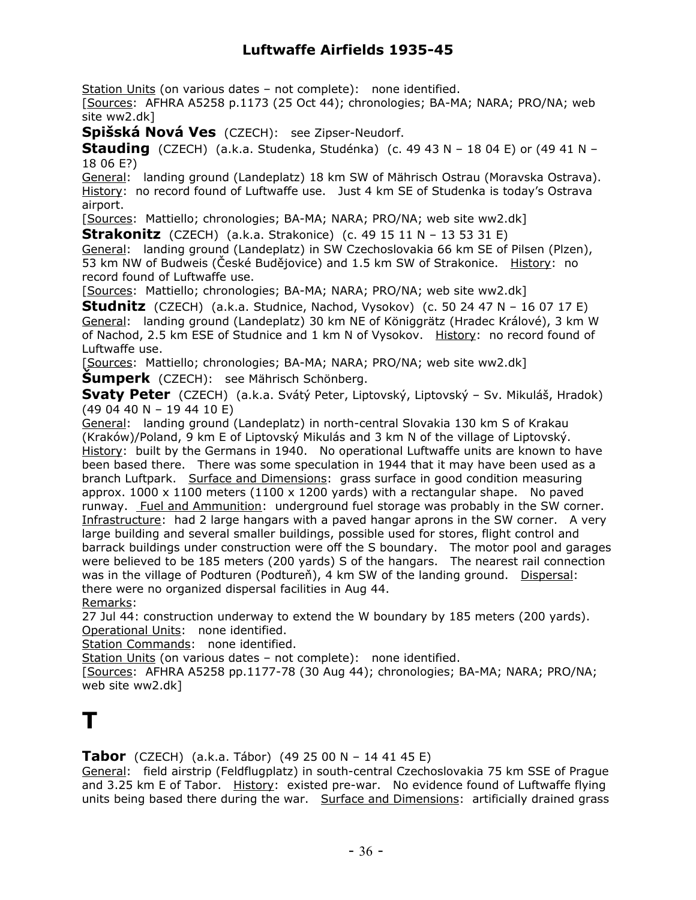Station Units (on various dates – not complete): none identified.

[Sources: AFHRA A5258 p.1173 (25 Oct 44); chronologies; BA-MA; NARA; PRO/NA; web site ww2.dk]

**Spišská Nová Ves** (CZECH): see Zipser-Neudorf.

**Stauding** (CZECH) (a.k.a. Studenka, Studénka) (c. 49 43 N – 18 04 E) or (49 41 N – 18 06 E?)

General: landing ground (Landeplatz) 18 km SW of Mährisch Ostrau (Moravska Ostrava). History: no record found of Luftwaffe use. Just 4 km SE of Studenka is today's Ostrava airport.

[Sources: Mattiello; chronologies; BA-MA; NARA; PRO/NA; web site ww2.dk]

**Strakonitz** (CZECH) (a.k.a. Strakonice) (c. 49 15 11 N - 13 53 31 E)

General: landing ground (Landeplatz) in SW Czechoslovakia 66 km SE of Pilsen (Plzen), 53 km NW of Budweis (České Budějovice) and 1.5 km SW of Strakonice. History: no record found of Luftwaffe use.

[Sources: Mattiello; chronologies; BA-MA; NARA; PRO/NA; web site ww2.dk]

**Studnitz** (CZECH) (a.k.a. Studnice, Nachod, Vysokov) (c. 50 24 47 N – 16 07 17 E) General: landing ground (Landeplatz) 30 km NE of Königgrätz (Hradec Králové), 3 km W of Nachod, 2.5 km ESE of Studnice and 1 km N of Vysokov. History: no record found of Luftwaffe use.

[Sources: Mattiello; chronologies; BA-MA; NARA; PRO/NA; web site ww2.dk]

**Šumperk** (CZECH): see Mährisch Schönberg.

**Svaty Peter** (CZECH) (a.k.a. Svátý Peter, Liptovský, Liptovský – Sv. Mikuláš, Hradok) (49 04 40 N – 19 44 10 E)

General: landing ground (Landeplatz) in north-central Slovakia 130 km S of Krakau (Kraków)/Poland, 9 km E of Liptovský Mikulás and 3 km N of the village of Liptovský. History: built by the Germans in 1940. No operational Luftwaffe units are known to have been based there. There was some speculation in 1944 that it may have been used as a branch Luftpark. Surface and Dimensions: grass surface in good condition measuring approx.  $1000 \times 1100$  meters (1100 x 1200 yards) with a rectangular shape. No paved runway. Fuel and Ammunition: underground fuel storage was probably in the SW corner. Infrastructure: had 2 large hangars with a paved hangar aprons in the SW corner. A very large building and several smaller buildings, possible used for stores, flight control and barrack buildings under construction were off the S boundary. The motor pool and garages were believed to be 185 meters (200 yards) S of the hangars. The nearest rail connection was in the village of Podturen (Podtureň), 4 km SW of the landing ground. Dispersal: there were no organized dispersal facilities in Aug 44. Remarks:

27 Jul 44: construction underway to extend the W boundary by 185 meters (200 yards). Operational Units: none identified.

Station Commands: none identified.

Station Units (on various dates – not complete): none identified.

[Sources: AFHRA A5258 pp.1177-78 (30 Aug 44); chronologies; BA-MA; NARA; PRO/NA; web site ww2.dk]

## **T**

**Tabor** (CZECH) (a.k.a. Tábor) (49 25 00 N – 14 41 45 E)

General: field airstrip (Feldflugplatz) in south-central Czechoslovakia 75 km SSE of Prague and 3.25 km E of Tabor. History: existed pre-war. No evidence found of Luftwaffe flying units being based there during the war. Surface and Dimensions: artificially drained grass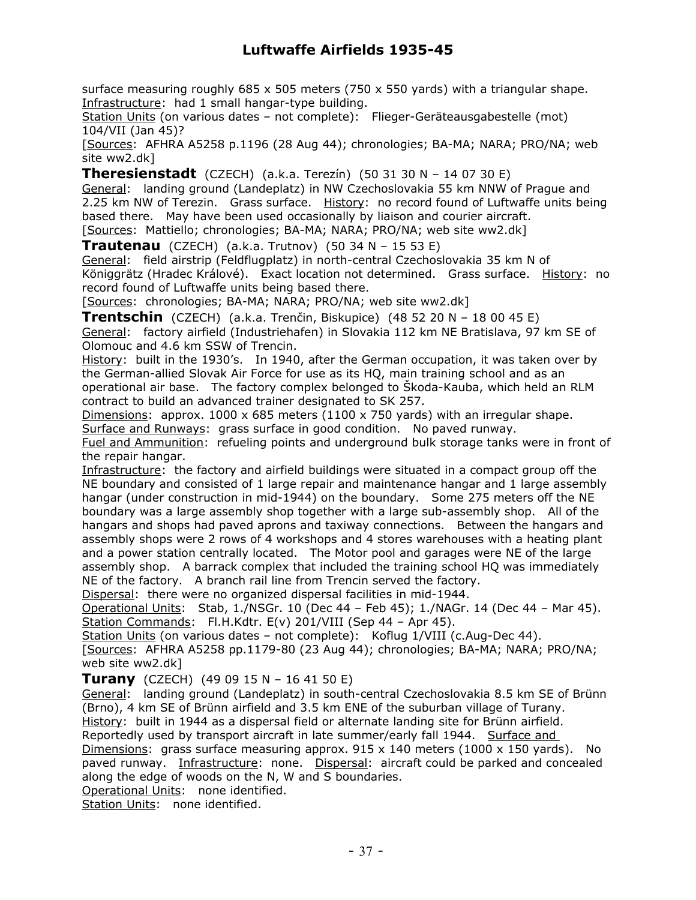surface measuring roughly  $685 \times 505$  meters (750  $\times$  550 yards) with a triangular shape. Infrastructure: had 1 small hangar-type building.

Station Units (on various dates – not complete): Flieger-Geräteausgabestelle (mot) 104/VII (Jan 45)?

[Sources: AFHRA A5258 p.1196 (28 Aug 44); chronologies; BA-MA; NARA; PRO/NA; web site ww2.dk]

**Theresienstadt** (CZECH) (a.k.a. Terezín) (50 31 30 N – 14 07 30 E)

General: landing ground (Landeplatz) in NW Czechoslovakia 55 km NNW of Prague and 2.25 km NW of Terezin. Grass surface. History: no record found of Luftwaffe units being based there. May have been used occasionally by liaison and courier aircraft.

[Sources: Mattiello; chronologies; BA-MA; NARA; PRO/NA; web site ww2.dk]

**Trautenau** (CZECH) (a.k.a. Trutnov) (50 34 N – 15 53 E)

General: field airstrip (Feldflugplatz) in north-central Czechoslovakia 35 km N of Königgrätz (Hradec Králové). Exact location not determined. Grass surface. History: no record found of Luftwaffe units being based there.

[Sources: chronologies; BA-MA; NARA; PRO/NA; web site ww2.dk]

**Trentschin** (CZECH) (a.k.a. Trenčin, Biskupice) (48 52 20 N – 18 00 45 E) General: factory airfield (Industriehafen) in Slovakia 112 km NE Bratislava, 97 km SE of Olomouc and 4.6 km SSW of Trencin.

History: built in the 1930's. In 1940, after the German occupation, it was taken over by the German-allied Slovak Air Force for use as its HQ, main training school and as an operational air base. The factory complex belonged to Škoda-Kauba, which held an RLM contract to build an advanced trainer designated to SK 257.

Dimensions: approx.  $1000 \times 685$  meters (1100 x 750 yards) with an irregular shape. Surface and Runways: grass surface in good condition. No paved runway.

Fuel and Ammunition: refueling points and underground bulk storage tanks were in front of the repair hangar.

Infrastructure: the factory and airfield buildings were situated in a compact group off the NE boundary and consisted of 1 large repair and maintenance hangar and 1 large assembly hangar (under construction in mid-1944) on the boundary. Some 275 meters off the NE boundary was a large assembly shop together with a large sub-assembly shop. All of the hangars and shops had paved aprons and taxiway connections. Between the hangars and assembly shops were 2 rows of 4 workshops and 4 stores warehouses with a heating plant and a power station centrally located. The Motor pool and garages were NE of the large assembly shop. A barrack complex that included the training school HQ was immediately NE of the factory. A branch rail line from Trencin served the factory.

Dispersal: there were no organized dispersal facilities in mid-1944.

Operational Units: Stab, 1./NSGr. 10 (Dec 44 – Feb 45); 1./NAGr. 14 (Dec 44 – Mar 45). Station Commands: Fl.H.Kdtr. E(v) 201/VIII (Sep 44 - Apr 45).

Station Units (on various dates - not complete): Koflug 1/VIII (c.Aug-Dec 44).

[Sources: AFHRA A5258 pp.1179-80 (23 Aug 44); chronologies; BA-MA; NARA; PRO/NA; web site ww2.dk]

**Turany** (CZECH) (49 09 15 N – 16 41 50 E)

General: landing ground (Landeplatz) in south-central Czechoslovakia 8.5 km SE of Brünn (Brno), 4 km SE of Brünn airfield and 3.5 km ENE of the suburban village of Turany. History: built in 1944 as a dispersal field or alternate landing site for Brünn airfield.

Reportedly used by transport aircraft in late summer/early fall 1944. Surface and

Dimensions: grass surface measuring approx.  $915 \times 140$  meters (1000 x 150 yards). No paved runway. Infrastructure: none. Dispersal: aircraft could be parked and concealed along the edge of woods on the N, W and S boundaries.

Operational Units: none identified.

Station Units: none identified.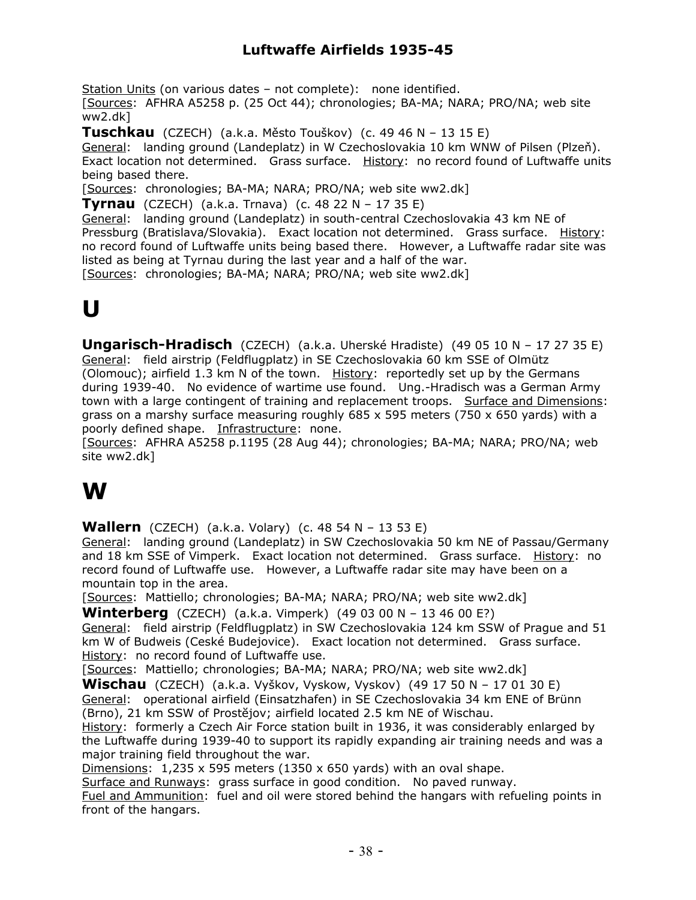Station Units (on various dates – not complete): none identified.

[Sources: AFHRA A5258 p. (25 Oct 44); chronologies; BA-MA; NARA; PRO/NA; web site ww2.dk]

**Tuschkau** (CZECH) (a.k.a. Město Touškov) (c. 49 46 N – 13 15 E)

General: landing ground (Landeplatz) in W Czechoslovakia 10 km WNW of Pilsen (Plzeň). Exact location not determined. Grass surface. History: no record found of Luftwaffe units being based there.

[Sources: chronologies; BA-MA; NARA; PRO/NA; web site ww2.dk]

**Tyrnau** (CZECH) (a.k.a. Trnava) (c. 48 22 N – 17 35 E)

General: landing ground (Landeplatz) in south-central Czechoslovakia 43 km NE of Pressburg (Bratislava/Slovakia). Exact location not determined. Grass surface. History: no record found of Luftwaffe units being based there. However, a Luftwaffe radar site was listed as being at Tyrnau during the last year and a half of the war.

[Sources: chronologies; BA-MA; NARA; PRO/NA; web site ww2.dk]

# **U**

**Ungarisch-Hradisch** (CZECH) (a.k.a. Uherské Hradiste) (49 05 10 N – 17 27 35 E) General: field airstrip (Feldflugplatz) in SE Czechoslovakia 60 km SSE of Olmütz (Olomouc); airfield 1.3 km N of the town. History: reportedly set up by the Germans during 1939-40. No evidence of wartime use found. Ung.-Hradisch was a German Army town with a large contingent of training and replacement troops. Surface and Dimensions: grass on a marshy surface measuring roughly  $685 \times 595$  meters (750  $\times$  650 yards) with a poorly defined shape. Infrastructure: none.

[Sources: AFHRA A5258 p.1195 (28 Aug 44); chronologies; BA-MA; NARA; PRO/NA; web site ww2.dk]

### **W**

**Wallern** (CZECH) (a.k.a. Volary) (c. 48 54 N – 13 53 E)

General: landing ground (Landeplatz) in SW Czechoslovakia 50 km NE of Passau/Germany and 18 km SSE of Vimperk. Exact location not determined. Grass surface. History: no record found of Luftwaffe use. However, a Luftwaffe radar site may have been on a mountain top in the area.

[Sources: Mattiello; chronologies; BA-MA; NARA; PRO/NA; web site ww2.dk]

**Winterberg** (CZECH) (a.k.a. Vimperk) (49 03 00 N – 13 46 00 E?)

General: field airstrip (Feldflugplatz) in SW Czechoslovakia 124 km SSW of Prague and 51 km W of Budweis (Ceské Budejovice). Exact location not determined. Grass surface. History: no record found of Luftwaffe use.

[Sources: Mattiello; chronologies; BA-MA; NARA; PRO/NA; web site ww2.dk]

**Wischau** (CZECH) (a.k.a. Vyškov, Vyskow, Vyskov) (49 17 50 N – 17 01 30 E) General: operational airfield (Einsatzhafen) in SE Czechoslovakia 34 km ENE of Brünn (Brno), 21 km SSW of Prostĕjov; airfield located 2.5 km NE of Wischau.

History: formerly a Czech Air Force station built in 1936, it was considerably enlarged by the Luftwaffe during 1939-40 to support its rapidly expanding air training needs and was a major training field throughout the war.

Dimensions: 1,235 x 595 meters (1350 x 650 yards) with an oval shape.

Surface and Runways: grass surface in good condition. No paved runway.

Fuel and Ammunition: fuel and oil were stored behind the hangars with refueling points in front of the hangars.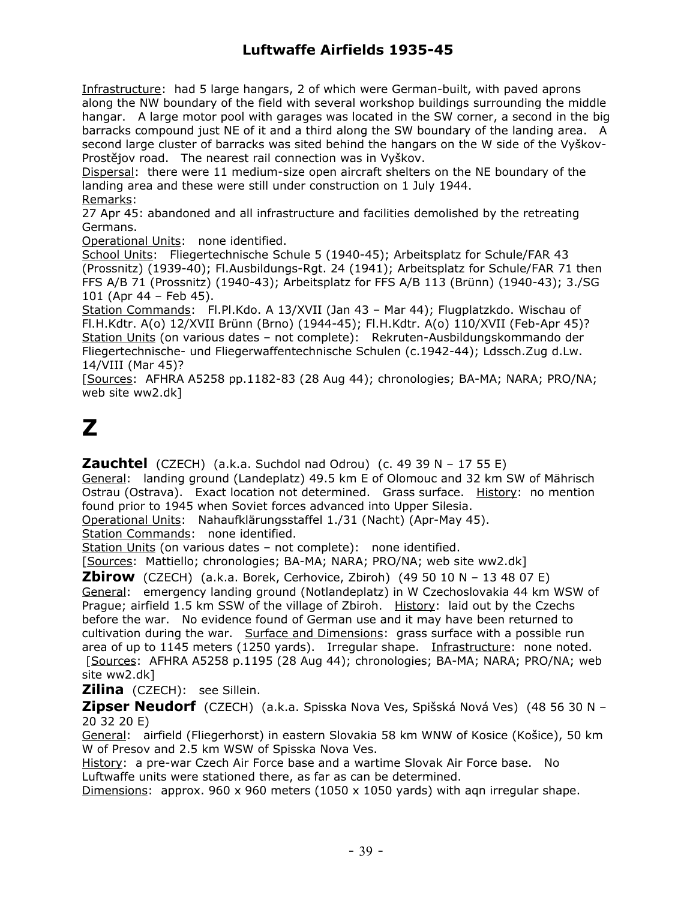Infrastructure: had 5 large hangars, 2 of which were German-built, with paved aprons along the NW boundary of the field with several workshop buildings surrounding the middle hangar. A large motor pool with garages was located in the SW corner, a second in the big barracks compound just NE of it and a third along the SW boundary of the landing area. A second large cluster of barracks was sited behind the hangars on the W side of the Vyškov-Prostĕjov road. The nearest rail connection was in Vyškov.

Dispersal: there were 11 medium-size open aircraft shelters on the NE boundary of the landing area and these were still under construction on 1 July 1944.

Remarks:

27 Apr 45: abandoned and all infrastructure and facilities demolished by the retreating Germans.

Operational Units: none identified.

School Units: Fliegertechnische Schule 5 (1940-45); Arbeitsplatz for Schule/FAR 43 (Prossnitz) (1939-40); Fl.Ausbildungs-Rgt. 24 (1941); Arbeitsplatz for Schule/FAR 71 then FFS A/B 71 (Prossnitz) (1940-43); Arbeitsplatz for FFS A/B 113 (Brünn) (1940-43); 3./SG 101 (Apr 44 – Feb 45).

Station Commands: Fl.Pl.Kdo. A 13/XVII (Jan 43 – Mar 44); Flugplatzkdo. Wischau of Fl.H.Kdtr. A(o) 12/XVII Brünn (Brno) (1944-45); Fl.H.Kdtr. A(o) 110/XVII (Feb-Apr 45)? Station Units (on various dates – not complete): Rekruten-Ausbildungskommando der Fliegertechnische- und Fliegerwaffentechnische Schulen (c.1942-44); Ldssch.Zug d.Lw. 14/VIII (Mar 45)?

[Sources: AFHRA A5258 pp.1182-83 (28 Aug 44); chronologies; BA-MA; NARA; PRO/NA; web site ww2.dk]

## **Z**

**Zauchtel** (CZECH) (a.k.a. Suchdol nad Odrou) (c. 49 39 N - 17 55 E)

General: landing ground (Landeplatz) 49.5 km E of Olomouc and 32 km SW of Mährisch Ostrau (Ostrava). Exact location not determined. Grass surface. History: no mention found prior to 1945 when Soviet forces advanced into Upper Silesia.

Operational Units: Nahaufklärungsstaffel 1./31 (Nacht) (Apr-May 45).

Station Commands: none identified.

Station Units (on various dates – not complete): none identified.

[Sources: Mattiello; chronologies; BA-MA; NARA; PRO/NA; web site ww2.dk]

**Zbirow** (CZECH) (a.k.a. Borek, Cerhovice, Zbiroh) (49 50 10 N – 13 48 07 E) General: emergency landing ground (Notlandeplatz) in W Czechoslovakia 44 km WSW of Prague; airfield 1.5 km SSW of the village of Zbiroh. History: laid out by the Czechs before the war. No evidence found of German use and it may have been returned to cultivation during the war. Surface and Dimensions: grass surface with a possible run area of up to 1145 meters (1250 yards). Irregular shape. Infrastructure: none noted. [Sources: AFHRA A5258 p.1195 (28 Aug 44); chronologies; BA-MA; NARA; PRO/NA; web site ww2.dk]

**Zilina** (CZECH): see Sillein.

**Zipser Neudorf** (CZECH) (a.k.a. Spisska Nova Ves, Spišská Nová Ves) (48 56 30 N – 20 32 20 E)

General: airfield (Fliegerhorst) in eastern Slovakia 58 km WNW of Kosice (Košice), 50 km W of Presov and 2.5 km WSW of Spisska Nova Ves.

History: a pre-war Czech Air Force base and a wartime Slovak Air Force base. No Luftwaffe units were stationed there, as far as can be determined.

Dimensions: approx. 960 x 960 meters (1050 x 1050 yards) with agn irregular shape.